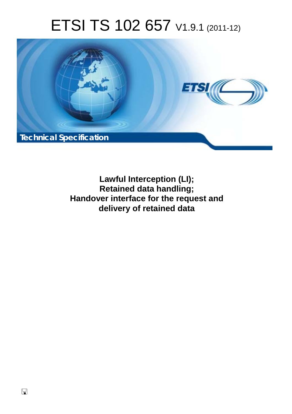# ETSI TS 102 657 V1.9.1 (2011-12)



**Lawful Interception (LI); Retained data handling; Handover interface for the request and delivery of retained data**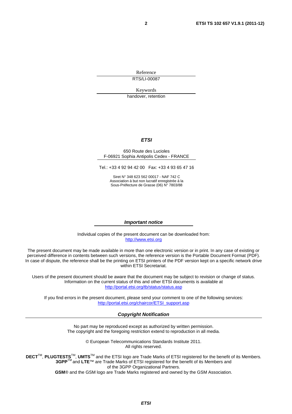Reference

RTS/LI-00087

Keywords

handover, retention

#### *ETSI*

#### 650 Route des Lucioles F-06921 Sophia Antipolis Cedex - FRANCE

Tel.: +33 4 92 94 42 00 Fax: +33 4 93 65 47 16

Siret N° 348 623 562 00017 - NAF 742 C Association à but non lucratif enregistrée à la Sous-Préfecture de Grasse (06) N° 7803/88

#### *Important notice*

Individual copies of the present document can be downloaded from: [http://www.etsi.org](http://www.etsi.org/)

The present document may be made available in more than one electronic version or in print. In any case of existing or perceived difference in contents between such versions, the reference version is the Portable Document Format (PDF). In case of dispute, the reference shall be the printing on ETSI printers of the PDF version kept on a specific network drive within ETSI Secretariat.

Users of the present document should be aware that the document may be subject to revision or change of status. Information on the current status of this and other ETSI documents is available at <http://portal.etsi.org/tb/status/status.asp>

If you find errors in the present document, please send your comment to one of the following services: [http://portal.etsi.org/chaircor/ETSI\\_support.asp](http://portal.etsi.org/chaircor/ETSI_support.asp)

#### *Copyright Notification*

No part may be reproduced except as authorized by written permission. The copyright and the foregoing restriction extend to reproduction in all media.

> © European Telecommunications Standards Institute 2011. All rights reserved.

DECT<sup>™</sup>, PLUGTESTS<sup>™</sup>, UMTS<sup>™</sup> and the ETSI logo are Trade Marks of ETSI registered for the benefit of its Members. **3GPP**TM and **LTE**™ are Trade Marks of ETSI registered for the benefit of its Members and of the 3GPP Organizational Partners.

**GSM**® and the GSM logo are Trade Marks registered and owned by the GSM Association.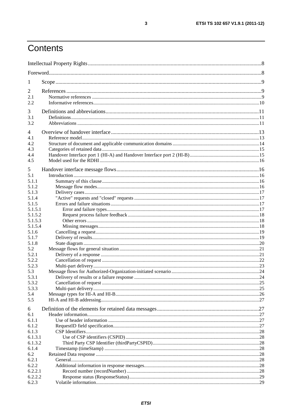# Contents

| $\perp$        |  |
|----------------|--|
| 2              |  |
| 2.1            |  |
| 2.2            |  |
|                |  |
| 3              |  |
| 3.1            |  |
| 3.2            |  |
| $\overline{4}$ |  |
| 4.1            |  |
| 4.2            |  |
| 4.3            |  |
| 4.4            |  |
| 4.5            |  |
| 5              |  |
| 5.1            |  |
| 5.1.1          |  |
| 5.1.2          |  |
| 5.1.3          |  |
| 5.1.4          |  |
| 5.1.5          |  |
| 5.1.5.1        |  |
| 5.1.5.2        |  |
| 5.1.5.3        |  |
| 5.1.5.4        |  |
| 5.1.6          |  |
| 5.1.7          |  |
| 5.1.8          |  |
| 5.2            |  |
| 5.2.1          |  |
| 5.2.2          |  |
| 5.2.3          |  |
| 5.3<br>5.3.1   |  |
| 5.3.2          |  |
| 5.3.3          |  |
| 5.4            |  |
| 5.5            |  |
| 6              |  |
| 6.1            |  |
| 6.1.1          |  |
| 6.1.2          |  |
| 6.1.3          |  |
| 6.1.3.1        |  |
| 6.1.3.2        |  |
| 6.1.4          |  |
| 6.2            |  |
| 6.2.1          |  |
| 6.2.2          |  |
| 6.2.2.1        |  |
| 6.2.2.2        |  |
| 6.2.3          |  |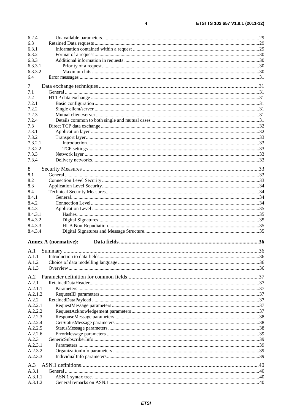| 6.2.4   |                             |  |
|---------|-----------------------------|--|
| 6.3     |                             |  |
| 6.3.1   |                             |  |
| 6.3.2   |                             |  |
| 6.3.3   |                             |  |
| 6.3.3.1 |                             |  |
| 6.3.3.2 |                             |  |
| 6.4     |                             |  |
| 7       |                             |  |
| 7.1     |                             |  |
| 7.2     |                             |  |
| 7.2.1   |                             |  |
| 7.2.2   |                             |  |
| 7.2.3   |                             |  |
| 7.2.4   |                             |  |
| 7.3     |                             |  |
| 7.3.1   |                             |  |
| 7.3.2   |                             |  |
| 7.3.2.1 |                             |  |
| 7.3.2.2 |                             |  |
| 7.3.3   |                             |  |
|         |                             |  |
| 7.3.4   |                             |  |
| 8       |                             |  |
| 8.1     |                             |  |
| 8.2     |                             |  |
| 8.3     |                             |  |
| 8.4     |                             |  |
| 8.4.1   |                             |  |
| 8.4.2   |                             |  |
| 8.4.3   |                             |  |
| 8.4.3.1 |                             |  |
| 8.4.3.2 |                             |  |
| 8.4.3.3 |                             |  |
| 8.4.3.4 |                             |  |
|         | <b>Annex A (normative):</b> |  |
|         |                             |  |
| A.1     |                             |  |
| A.1.1   |                             |  |
| A.1.2   |                             |  |
| A.1.3   |                             |  |
| A.2     |                             |  |
| A.2.1   |                             |  |
| A.2.1.1 |                             |  |
| A.2.1.2 |                             |  |
| A.2.2   |                             |  |
| A.2.2.1 |                             |  |
| A.2.2.2 |                             |  |
| A.2.2.3 |                             |  |
| A.2.2.4 |                             |  |
| A.2.2.5 |                             |  |
| A.2.2.6 |                             |  |
| A.2.3   |                             |  |
| A.2.3.1 |                             |  |
| A.2.3.2 |                             |  |
| A.2.3.3 |                             |  |
|         |                             |  |
| A.3     |                             |  |
| A.3.1   |                             |  |
| A.3.1.1 |                             |  |
| A.3.1.2 |                             |  |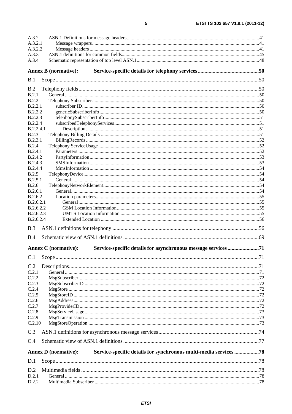| A.3.2                                                                                           |  |
|-------------------------------------------------------------------------------------------------|--|
| A.3.2.1                                                                                         |  |
| A.3.2.2                                                                                         |  |
| A.3.3                                                                                           |  |
| A.3.4                                                                                           |  |
| <b>Annex B</b> (normative):                                                                     |  |
| B.1                                                                                             |  |
| B.2                                                                                             |  |
| B.2.1                                                                                           |  |
| B.2.2                                                                                           |  |
| B.2.2.1                                                                                         |  |
| B.2.2.2                                                                                         |  |
| <b>B.2.2.3</b>                                                                                  |  |
| <b>B.2.2.4</b>                                                                                  |  |
| <b>B.2.2.4.1</b>                                                                                |  |
| <b>B.2.3</b><br>B.2.3.1                                                                         |  |
| B.2.4                                                                                           |  |
| B.2.4.1                                                                                         |  |
| <b>B.2.4.2</b>                                                                                  |  |
| <b>B.2.4.3</b>                                                                                  |  |
| B.2.4.4                                                                                         |  |
| B.2.5                                                                                           |  |
| B.2.5.1                                                                                         |  |
| B.2.6                                                                                           |  |
| <b>B.2.6.1</b>                                                                                  |  |
| B.2.6.2<br>B.2.6.2.1                                                                            |  |
| B.2.6.2.2                                                                                       |  |
| B.2.6.2.3                                                                                       |  |
| B.2.6.2.4                                                                                       |  |
| B.3                                                                                             |  |
| B.4                                                                                             |  |
|                                                                                                 |  |
| <b>Annex C</b> (normative):                                                                     |  |
| C.1                                                                                             |  |
| C.2                                                                                             |  |
| C.2.1                                                                                           |  |
| C.2.2                                                                                           |  |
| C.2.3                                                                                           |  |
| C.2.4<br>C.2.5                                                                                  |  |
| C.2.6                                                                                           |  |
| C.2.7                                                                                           |  |
| C.2.8                                                                                           |  |
| C.2.9                                                                                           |  |
| C.2.10                                                                                          |  |
| C.3                                                                                             |  |
| C.4                                                                                             |  |
| Service-specific details for synchronous multi-media services 78<br><b>Annex D</b> (normative): |  |
| D.1                                                                                             |  |
|                                                                                                 |  |
| D.2                                                                                             |  |
| D.2.1                                                                                           |  |
| D.2.2                                                                                           |  |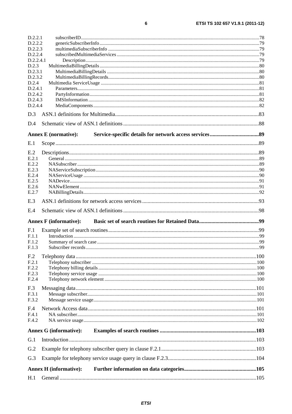|                 | D.2.2.1                       |  |
|-----------------|-------------------------------|--|
| D.2.2.2         |                               |  |
| D.2.2.3         |                               |  |
| D.2.2.4         |                               |  |
| D.2.2.4.1       |                               |  |
| D.2.3           |                               |  |
| D.2.3.1         |                               |  |
| D.2.3.2         |                               |  |
| D.2.4           |                               |  |
| D.2.4.1         |                               |  |
| D.2.4.2         |                               |  |
| D.2.4.3         |                               |  |
| D.2.4.4         |                               |  |
| D.3             |                               |  |
| D.4             |                               |  |
|                 | <b>Annex E</b> (normative):   |  |
| E.1             |                               |  |
| E.2             |                               |  |
| E.2.1           |                               |  |
| E.2.2           |                               |  |
| E.2.3           |                               |  |
| E.2.4           |                               |  |
| E.2.5           |                               |  |
| E.2.6           |                               |  |
| E.2.7           |                               |  |
| E.3             |                               |  |
|                 |                               |  |
| E.4             |                               |  |
|                 |                               |  |
|                 | <b>Annex F</b> (informative): |  |
| F <sub>.1</sub> |                               |  |
| F.1.1           |                               |  |
| F.1.2           |                               |  |
| F.1.3           |                               |  |
|                 |                               |  |
| F.2.1           |                               |  |
| F.2.2           |                               |  |
| F.2.3           |                               |  |
| F.2.4           |                               |  |
|                 |                               |  |
| F.3             |                               |  |
| F.3.1           |                               |  |
| F.3.2           |                               |  |
| F.4             |                               |  |
| F.4.1           |                               |  |
| F.4.2           |                               |  |
|                 | <b>Annex G (informative):</b> |  |
| G.1             |                               |  |
| G.2             |                               |  |
| G.3             |                               |  |
|                 | <b>Annex H</b> (informative): |  |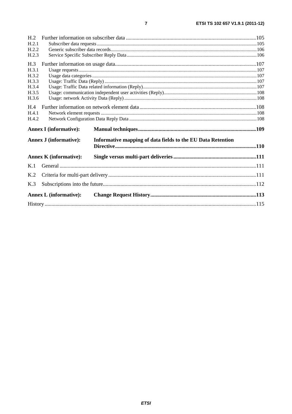| H.2            |                               |                                                             |  |
|----------------|-------------------------------|-------------------------------------------------------------|--|
| H.2.1          |                               |                                                             |  |
| H.2.2          |                               |                                                             |  |
| H.2.3          |                               |                                                             |  |
| H.3            |                               |                                                             |  |
| H.3.1          |                               |                                                             |  |
| H.3.2          |                               |                                                             |  |
| H.3.3          |                               |                                                             |  |
| H.3.4          |                               |                                                             |  |
| H.3.5          |                               |                                                             |  |
| H.3.6          |                               |                                                             |  |
| H.4            |                               |                                                             |  |
| H.4.1          |                               |                                                             |  |
| H.4.2          |                               |                                                             |  |
|                | <b>Annex I</b> (informative): |                                                             |  |
|                | <b>Annex J (informative):</b> | Informative mapping of data fields to the EU Data Retention |  |
|                | <b>Annex K</b> (informative): |                                                             |  |
| K.1            |                               |                                                             |  |
| K <sub>2</sub> |                               |                                                             |  |
| K.3            |                               |                                                             |  |
|                | <b>Annex L</b> (informative): |                                                             |  |
|                |                               |                                                             |  |
|                |                               |                                                             |  |

 $\overline{7}$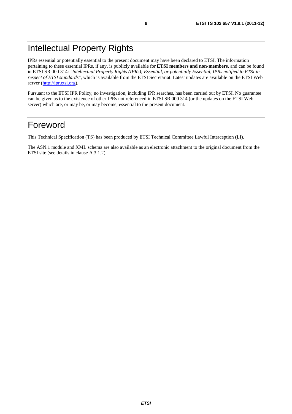# Intellectual Property Rights

IPRs essential or potentially essential to the present document may have been declared to ETSI. The information pertaining to these essential IPRs, if any, is publicly available for **ETSI members and non-members**, and can be found in ETSI SR 000 314: *"Intellectual Property Rights (IPRs); Essential, or potentially Essential, IPRs notified to ETSI in respect of ETSI standards"*, which is available from the ETSI Secretariat. Latest updates are available on the ETSI Web server [\(http://ipr.etsi.org](http://webapp.etsi.org/IPR/home.asp)).

Pursuant to the ETSI IPR Policy, no investigation, including IPR searches, has been carried out by ETSI. No guarantee can be given as to the existence of other IPRs not referenced in ETSI SR 000 314 (or the updates on the ETSI Web server) which are, or may be, or may become, essential to the present document.

# Foreword

This Technical Specification (TS) has been produced by ETSI Technical Committee Lawful Interception (LI).

The ASN.1 module and XML schema are also available as an electronic attachment to the original document from the ETSI site (see details in clause A.3.1.2).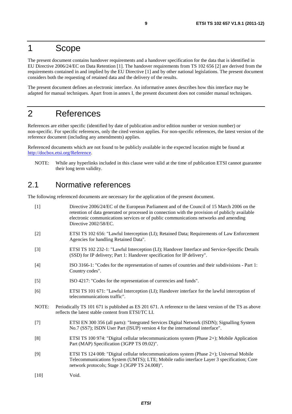### 1 Scope

The present document contains handover requirements and a handover specification for the data that is identified in EU Directive 2006/24/EC on Data Retention [1]. The handover requirements from TS 102 656 [2] are derived from the requirements contained in and implied by the EU Directive [1] and by other national legislations. The present document considers both the requesting of retained data and the delivery of the results.

The present document defines an electronic interface. An informative annex describes how this interface may be adapted for manual techniques. Apart from in annex I, the present document does not consider manual techniques.

# 2 References

References are either specific (identified by date of publication and/or edition number or version number) or non-specific. For specific references, only the cited version applies. For non-specific references, the latest version of the reference document (including any amendments) applies.

Referenced documents which are not found to be publicly available in the expected location might be found at [http://docbox.etsi.org/Reference.](http://docbox.etsi.org/Reference)

NOTE: While any hyperlinks included in this clause were valid at the time of publication ETSI cannot guarantee their long term validity.

# 2.1 Normative references

The following referenced documents are necessary for the application of the present document.

| Directive 2006/24/EC of the European Parliament and of the Council of 15 March 2006 on the<br>retention of data generated or processed in connection with the provision of publicly available<br>electronic communications services or of public communications networks and amending<br>Directive 2002/58/EC. |
|----------------------------------------------------------------------------------------------------------------------------------------------------------------------------------------------------------------------------------------------------------------------------------------------------------------|
| ETSI TS 102 656: "Lawful Interception (LI); Retained Data; Requirements of Law Enforcement<br>Agencies for handling Retained Data".                                                                                                                                                                            |
| ETSI TS 102 232-1: "Lawful Interception (LI); Handover Interface and Service-Specific Details<br>(SSD) for IP delivery; Part 1: Handover specification for IP delivery".                                                                                                                                       |
| ISO 3166-1: "Codes for the representation of names of countries and their subdivisions - Part 1:<br>Country codes".                                                                                                                                                                                            |
| ISO 4217: "Codes for the representation of currencies and funds".                                                                                                                                                                                                                                              |
| ETSI TS 101 671: "Lawful Interception (LI); Handover interface for the lawful interception of<br>telecommunications traffic".                                                                                                                                                                                  |
| Periodically TS 101 671 is published as ES 201 671. A reference to the latest version of the TS as above<br>reflects the latest stable content from ETSI/TC LI.                                                                                                                                                |
| ETSI EN 300 356 (all parts): "Integrated Services Digital Network (ISDN); Signalling System<br>No.7 (SS7); ISDN User Part (ISUP) version 4 for the international interface".                                                                                                                                   |
| ETSI TS 100 974: "Digital cellular telecommunications system (Phase 2+); Mobile Application<br>Part (MAP) Specification (3GPP TS 09.02)".                                                                                                                                                                      |
| ETSI TS 124 008: "Digital cellular telecommunications system (Phase 2+); Universal Mobile<br>Telecommunications System (UMTS); LTE; Mobile radio interface Layer 3 specification; Core<br>network protocols; Stage 3 (3GPP TS 24.008)".                                                                        |
|                                                                                                                                                                                                                                                                                                                |

[10] Void.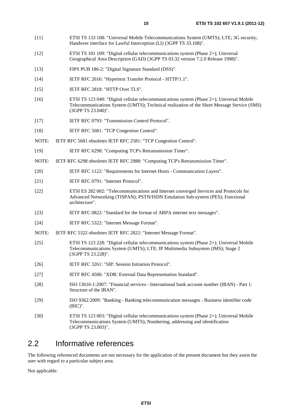- [11] ETSI TS 133 108: "Universal Mobile Telecommunications System (UMTS); LTE; 3G security; Handover interface for Lawful Interception (LI) (3GPP TS 33.108)".
- [12] ETSI TS 101 109: "Digital cellular telecommunications system (Phase 2+); Universal Geographical Area Description (GAD) (3GPP TS 03.32 version 7.2.0 Release 1998)".
- [13] FIPS PUB 186-2: "Digital Signature Standard (DSS)".
- [14] IETF RFC 2616: "Hypertext Transfer Protocol HTTP/1.1".
- [15] IETF RFC 2818: "HTTP Over TLS".
- [16] ETSI TS 123 040: "Digital cellular telecommunications system (Phase 2+); Universal Mobile Telecommunications System (UMTS); Technical realization of the Short Message Service (SMS) (3GPP TS 23.040)".
- [17] IETF RFC 0793: "Transmission Control Protocol".
- [18] IETF RFC 5681: "TCP Congestion Control".
- NOTE: IETF RFC 5681 obsoletes IETF RFC 2581: "TCP Congestion Control".
- [19] IETF RFC 6298: "Computing TCP's Retransmission Timer".
- NOTE: IETF RFC 6298 obsoletes IETF RFC 2988: "Computing TCP's Retransmission Timer".
- [20] IETF RFC 1122: "Requirements for Internet Hosts Communication Layers".
- [21] IETF RFC 0791: "Internet Protocol".
- [22] ETSI ES 282 002: "Telecommunications and Internet converged Services and Protocols for Advanced Networking (TISPAN); PSTN/ISDN Emulation Sub-system (PES); Functional architecture".
- [23] IETF RFC 0822: "Standard for the format of ARPA internet text messages".
- [24] IETF RFC 5322: "Internet Message Format".
- NOTE: IETF RFC 5322 obsoletes IETF RFC 2822: "Internet Message Format".
- [25] ETSI TS 123 228: "Digital cellular telecommunications system (Phase 2+); Universal Mobile Telecommunications System (UMTS); LTE; IP Multimedia Subsystem (IMS); Stage 2 (3GPP TS 23.228)".
- [26] IETF RFC 3261: "SIP: Session Initiation Protocol".
- [27] IETF RFC 4506: "XDR: External Data Representation Standard".
- [28] ISO 13616-1:2007: "Financial services International bank account number (IBAN) Part 1: Structure of the IBAN".
- [29] ISO 9362:2009: "Banking Banking telecommunication messages Business identifier code (BIC)".
- [30] ETSI TS 123 003: "Digital cellular telecommunications system (Phase 2+); Universal Mobile Telecommunications System (UMTS); Numbering, addressing and identification (3GPP TS 23.003)".

### 2.2 Informative references

The following referenced documents are not necessary for the application of the present document but they assist the user with regard to a particular subject area.

Not applicable.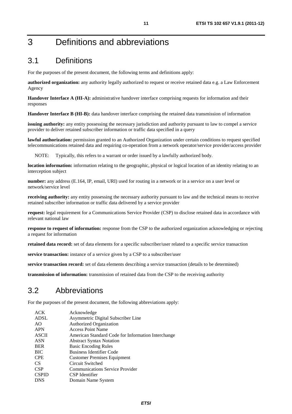# 3 Definitions and abbreviations

# 3.1 Definitions

For the purposes of the present document, the following terms and definitions apply:

**authorized organization:** any authority legally authorized to request or receive retained data e.g. a Law Enforcement Agency

**Handover Interface A (HI-A):** administrative handover interface comprising requests for information and their responses

**Handover Interface B (HI-B):** data handover interface comprising the retained data transmission of information

**issuing authority:** any entity possessing the necessary jurisdiction and authority pursuant to law to compel a service provider to deliver retained subscriber information or traffic data specified in a query

**lawful authorization:** permission granted to an Authorized Organization under certain conditions to request specified telecommunications retained data and requiring co-operation from a network operator/service provider/access provider

NOTE: Typically, this refers to a warrant or order issued by a lawfully authorized body.

**location information:** information relating to the geographic, physical or logical location of an identity relating to an interception subject

**number:** any address (E.164, IP, email, URI) used for routing in a network or in a service on a user level or network/service level

**receiving authority:** any entity possessing the necessary authority pursuant to law and the technical means to receive retained subscriber information or traffic data delivered by a service provider

**request:** legal requirement for a Communications Service Provider (CSP) to disclose retained data in accordance with relevant national law

**response to request of information:** response from the CSP to the authorized organization acknowledging or rejecting a request for information

**retained data record:** set of data elements for a specific subscriber/user related to a specific service transaction

**service transaction:** instance of a service given by a CSP to a subscriber/user

**service transaction record:** set of data elements describing a service transaction (details to be determined)

**transmission of information:** transmission of retained data from the CSP to the receiving authority

### 3.2 Abbreviations

For the purposes of the present document, the following abbreviations apply:

| <b>ACK</b>   | Acknowledge                                        |
|--------------|----------------------------------------------------|
| <b>ADSL</b>  | Asymmetric Digital Subscriber Line                 |
| AO           | <b>Authorized Organization</b>                     |
| <b>APN</b>   | <b>Access Point Name</b>                           |
| <b>ASCII</b> | American Standard Code for Information Interchange |
| <b>ASN</b>   | <b>Abstract Syntax Notation</b>                    |
| <b>BER</b>   | <b>Basic Encoding Rules</b>                        |
| <b>BIC</b>   | <b>Business Identifier Code</b>                    |
| <b>CPE</b>   | <b>Customer Premises Equipment</b>                 |
| CS.          | Circuit Switched                                   |
| <b>CSP</b>   | <b>Communications Service Provider</b>             |
| <b>CSPID</b> | CSP Identifier                                     |
| <b>DNS</b>   | Domain Name System                                 |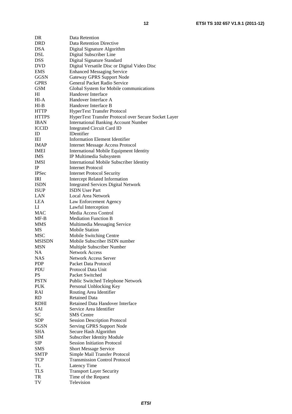| DR            | Data Retention                                       |
|---------------|------------------------------------------------------|
| <b>DRD</b>    | Data Retention Directive                             |
| <b>DSA</b>    | Digital Signature Algorithm                          |
| DSL           | Digital Subscriber Line                              |
| <b>DSS</b>    | Digital Signature Standard                           |
| <b>DVD</b>    | Digital Versatile Disc or Digital Video Disc         |
| <b>EMS</b>    | <b>Enhanced Messaging Service</b>                    |
| <b>GGSN</b>   | Gateway GPRS Support Node                            |
| <b>GPRS</b>   | General Packet Radio Service                         |
| <b>GSM</b>    | Global System for Mobile communications              |
| HI            | Handover Interface                                   |
| HI-A          | Handover Interface A                                 |
| $HI-B$        | Handover Interface B                                 |
| <b>HTTP</b>   | HyperText Transfer Protocol                          |
| <b>HTTPS</b>  | HyperText Transfer Protocol over Secure Socket Layer |
| <b>IBAN</b>   | <b>International Banking Account Number</b>          |
| <b>ICCID</b>  | <b>Integrated Circuit Card ID</b>                    |
| ID            | IDentifier                                           |
| IEI           | <b>Information Element Identifier</b>                |
| <b>IMAP</b>   | <b>Internet Message Access Protocol</b>              |
| <b>IMEI</b>   | International Mobile Equipment Identity              |
| <b>IMS</b>    | IP Multimedia Subsystem                              |
| <b>IMSI</b>   | <b>International Mobile Subscriber Identity</b>      |
| $_{\rm IP}$   | <b>Internet Protocol</b>                             |
| <b>IPSec</b>  | <b>Internet Protocol Security</b>                    |
| <b>IRI</b>    | <b>Intercept Related Information</b>                 |
| <b>ISDN</b>   | <b>Integrated Services Digital Network</b>           |
| <b>ISUP</b>   | <b>ISDN</b> User Part                                |
| LAN           | Local Area Network                                   |
| <b>LEA</b>    | Law Enforcement Agency                               |
| LI            | Lawful Interception                                  |
| <b>MAC</b>    | Media Access Control                                 |
| $MF-B$        | <b>Mediation Function B</b>                          |
| <b>MMS</b>    | Multimedia Messaging Service                         |
| MS            | <b>Mobile Station</b>                                |
| <b>MSC</b>    | Mobile Switching Centre                              |
| <b>MSISDN</b> | Mobile Subscriber ISDN number                        |
| <b>MSN</b>    | Multiple Subscriber Number                           |
| NA            | <b>Network Access</b>                                |
| <b>NAS</b>    | <b>Network Access Server</b>                         |
| <b>PDP</b>    | Packet Data Protocol                                 |
| <b>PDU</b>    | Protocol Data Unit                                   |
|               | Packet Switched                                      |
| PS            |                                                      |
| <b>PSTN</b>   | Public Switched Telephone Network                    |
| <b>PUK</b>    | Personal Unblocking Key                              |
| RAI           | Routing Area Identifier                              |
| <b>RD</b>     | Retained Data                                        |
| <b>RDHI</b>   | Retained Data Handover Interface                     |
| <b>SAI</b>    | Service Area Identifier                              |
| <b>SC</b>     | <b>SMS</b> Centre                                    |
| <b>SDP</b>    | <b>Session Description Protocol</b>                  |
| <b>SGSN</b>   | Serving GPRS Support Node                            |
| <b>SHA</b>    | Secure Hash Algorithm                                |
| <b>SIM</b>    | Subscriber Identity Module                           |
| <b>SIP</b>    | <b>Session Initiation Protocol</b>                   |
| <b>SMS</b>    | <b>Short Message Service</b>                         |
| <b>SMTP</b>   | Simple Mail Transfer Protocol                        |
| <b>TCP</b>    | <b>Transmission Control Protocol</b>                 |
| TL            | Latency Time                                         |
| <b>TLS</b>    | <b>Transport Layer Security</b>                      |
| TR            | Time of the Request                                  |
| TV            | Television                                           |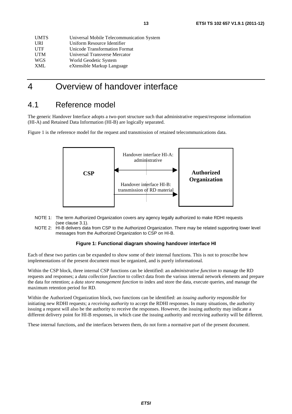| <b>UMTS</b> | Universal Mobile Telecommunication System |
|-------------|-------------------------------------------|
| <b>URI</b>  | Uniform Resource Identifier               |
| <b>UTF</b>  | Unicode Transformation Format             |
| <b>UTM</b>  | Universal Transverse Mercator             |
| <b>WGS</b>  | World Geodetic System                     |
| <b>XML</b>  | eXtensible Markup Language                |

# 4 Overview of handover interface

### 4.1 Reference model

The generic Handover Interface adopts a two-port structure such that administrative request/response information (HI-A) and Retained Data Information (HI-B) are logically separated.

Figure 1 is the reference model for the request and transmission of retained telecommunications data.



- NOTE 1: The term Authorized Organization covers any agency legally authorized to make RDHI requests (see clause 3.1).
- NOTE 2: HI-B delivers data from CSP to the Authorized Organization. There may be related supporting lower level messages from the Authorized Organization to CSP on HI-B.

#### **Figure 1: Functional diagram showing handover interface HI**

Each of these two parties can be expanded to show some of their internal functions. This is not to proscribe how implementations of the present document must be organized, and is purely informational.

Within the CSP block, three internal CSP functions can be identified: an *administrative function to* manage the RD requests and responses; a *data collection function* to collect data from the various internal network elements and prepare the data for retention; a *data store management function* to index and store the data, execute queries, and manage the maximum retention period for RD.

Within the Authorized Organization block, two functions can be identified: an *issuing authority* responsible for initiating new RDHI requests; a *receiving authority* to accept the RDHI responses. In many situations, the authority issuing a request will also be the authority to receive the responses. However, the issuing authority may indicate a different delivery point for HI-B responses, in which case the issuing authority and receiving authority will be different.

These internal functions, and the interfaces between them, do not form a normative part of the present document.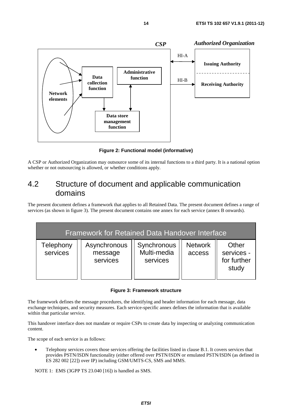

**Figure 2: Functional model (informative)** 

A CSP or Authorized Organization may outsource some of its internal functions to a third party. It is a national option whether or not outsourcing is allowed, or whether conditions apply.

# 4.2 Structure of document and applicable communication domains

The present document defines a framework that applies to all Retained Data. The present document defines a range of services (as shown in figure 3). The present document contains one annex for each service (annex B onwards).

| <b>Framework for Retained Data Handover Interface</b> |                                     |                                        |                          |                                             |  |
|-------------------------------------------------------|-------------------------------------|----------------------------------------|--------------------------|---------------------------------------------|--|
| Telephony<br>services                                 | Asynchronous<br>message<br>services | Synchronous<br>Multi-media<br>services | <b>Network</b><br>access | Other<br>services -<br>for further<br>study |  |

#### **Figure 3: Framework structure**

The framework defines the message procedures, the identifying and header information for each message, data exchange techniques, and security measures. Each service-specific annex defines the information that is available within that particular service.

This handover interface does not mandate or require CSPs to create data by inspecting or analyzing communication content.

The scope of each service is as follows:

• Telephony services covers those services offering the facilities listed in clause B.1. It covers services that provides PSTN/ISDN functionality (either offered over PSTN/ISDN or emulated PSTN/ISDN (as defined in ES 282 002 [22]) over IP) including GSM/UMTS-CS, SMS and MMS.

NOTE 1: EMS (3GPP TS 23.040 [16]) is handled as SMS.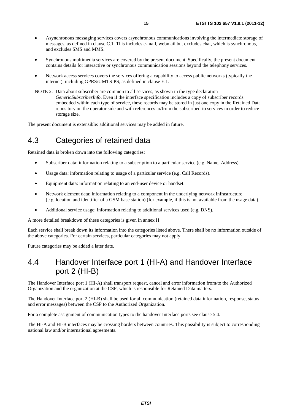- Asynchronous messaging services covers asynchronous communications involving the intermediate storage of messages, as defined in clause C.1. This includes e-mail, webmail but excludes chat, which is synchronous, and excludes SMS and MMS.
- Synchronous multimedia services are covered by the present document. Specifically, the present document contains details for interactive or synchronous communication sessions beyond the telephony services.
- Network access services covers the services offering a capability to access public networks (typically the internet), including GPRS/UMTS-PS, as defined in clause E.1.
- NOTE 2: Data about subscriber are common to all services, as shown in the type declaration *GenericSubscriberInfo*. Even if the interface specification includes a copy of subscriber records embedded within each type of service, these records may be stored in just one copy in the Retained Data repository on the operator side and with references to/from the subscribed-to services in order to reduce storage size.

The present document is extensible: additional services may be added in future.

### 4.3 Categories of retained data

Retained data is broken down into the following categories:

- Subscriber data: information relating to a subscription to a particular service (e.g. Name, Address).
- Usage data: information relating to usage of a particular service (e.g. Call Records).
- Equipment data: information relating to an end-user device or handset.
- Network element data: information relating to a component in the underlying network infrastructure (e.g. location and identifier of a GSM base station) (for example, if this is not available from the usage data).
- Additional service usage: information relating to additional services used (e.g. DNS).

A more detailed breakdown of these categories is given in annex H.

Each service shall break down its information into the categories listed above. There shall be no information outside of the above categories. For certain services, particular categories may not apply.

Future categories may be added a later date.

### 4.4 Handover Interface port 1 (HI-A) and Handover Interface port 2 (HI-B)

The Handover Interface port 1 (HI-A) shall transport request, cancel and error information from/to the Authorized Organization and the organization at the CSP, which is responsible for Retained Data matters.

The Handover Interface port 2 (HI-B) shall be used for all communication (retained data information, response, status and error messages) between the CSP to the Authorized Organization.

For a complete assignment of communication types to the handover Interface ports see clause 5.4.

The HI-A and HI-B interfaces may be crossing borders between countries. This possibility is subject to corresponding national law and/or international agreements.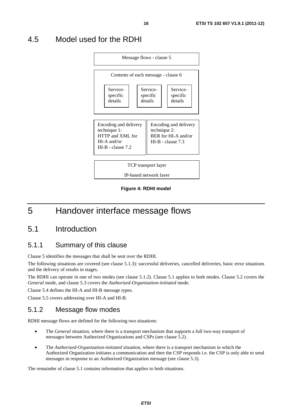# 4.5 Model used for the RDHI



**Figure 4: RDHI model** 

# 5 Handover interface message flows

# 5.1 Introduction

### 5.1.1 Summary of this clause

Clause 5 identifies the messages that shall be sent over the RDHI.

The following situations are covered (see clause 5.1.3): successful deliveries, cancelled deliveries, basic error situations and the delivery of results in stages.

The RDHI can operate in one of two modes (see clause 5.1.2). Clause 5.1 applies to both modes. Clause 5.2 covers the *General* mode, and clause 5.3 covers the *Authorized-Organization-initiated* mode.

Clause 5.4 defines the HI-A and HI-B message types.

Clause 5.5 covers addressing over HI-A and HI-B.

### 5.1.2 Message flow modes

RDHI message flows are defined for the following two situations:

- The *General* situation*,* where there is a transport mechanism that supports a full two-way transport of messages between Authorized Organizations and CSPs (see clause 5.2).
- The *Authorized-Organization-initiated* situation*,* where there is a transport mechanism in which the Authorized Organization initiates a communication and then the CSP responds i.e. the CSP is only able to send messages in response to an Authorized Organization message (see clause 5.3).

The remainder of clause 5.1 contains information that applies to both situations.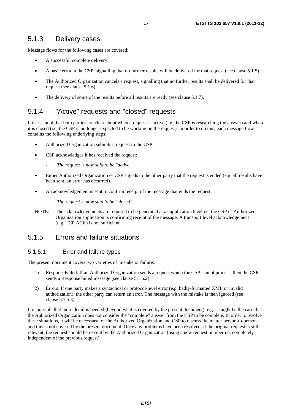#### 5.1.3 Delivery cases

Message flows for the following cases are covered:

- A successful complete delivery.
- A basic error at the CSP, signalling that no further results will be delivered for that request (see clause 5.1.5).
- The Authorized Organization cancels a request, signalling that no further results shall be delivered for that request (see clause 5.1.6).
- The delivery of some of the results before all results are ready (see clause 5.1.7).

#### 5.1.4 "Active" requests and "closed" requests

It is essential that both parties are clear about when a request is active (i.e. the CSP is researching the answer) and when it is closed (i.e. the CSP is no longer expected to be working on the request). In order to do this, each message flow contains the following underlying steps:

- Authorized Organization submits a request to the CSP.
- CSP acknowledges it has received the request:
	- The request is now said to be "active".
- Either Authorized Organization or CSP signals to the other party that the request is ended (e.g. all results have been sent, an error has occurred).
- An acknowledgement is sent to confirm receipt of the message that ends the request:
	- *The request is now said to be "closed".*
- NOTE: The acknowledgements are required to be generated at an application level i.e. the CSP or Authorized Organization application is confirming receipt of the message. A transport level acknowledgement (e.g. TCP ACK) is not sufficient.

#### 5.1.5 Errors and failure situations

#### 5.1.5.1 Error and failure types

The present document covers two varieties of mistake or failure:

- 1) ResponseFailed: If an Authorized Organization sends a request which the CSP cannot process, then the CSP sends a ResponseFailed message (see clause 5.1.5.2).
- 2) Errors: If one party makes a syntactical or protocol-level error (e.g. badly-formatted XML or invalid authorization), the other party can return an error. The message with the mistake is then ignored (see clause 5.1.5.3).

It is possible that more detail is needed (beyond what is covered by the present document), e.g. it might be the case that the Authorized Organization does not consider the "complete" answer from the CSP to be complete. In order to resolve these situations, it will be necessary for the Authorized Organization and CSP to discuss the matter person-to-person and this is not covered by the present document. Once any problems have been resolved, if the original request is still relevant, the request should be re-sent by the Authorized Organization (using a new request number i.e. completely independent of the previous request).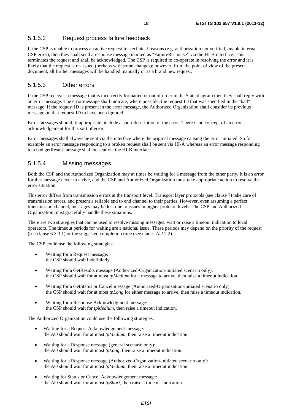#### 5.1.5.2 Request process failure feedback

If the CSP is unable to process an active request for technical reasons (e.g. authorization not verified, unable internal CSP error), then they shall send a response message marked as "FailureResponse" via the HI-B interface. This terminates the request and shall be acknowledged. The CSP is required to co-operate in resolving the error and it is likely that the request is re-issued (perhaps with some changes); however, from the point of view of the present document, all further messages will be handled manually or as a brand new request.

#### 5.1.5.3 Other errors

If the CSP receives a message that is incorrectly formatted or out of order in the State diagram then they shall reply with an error message. The error message shall indicate, where possible, the request ID that was specified in the "bad" message. If the request ID is present in the error message, the Authorized Organization shall consider its previous message on that request ID to have been ignored.

Error messages should, if appropriate, include a short description of the error. There is no concept of an error acknowledgement for this sort of error.

Error messages shall always be sent via the interface where the original message causing the error initiated. So for example an error message responding to a broken request shall be sent via HI-A whereas an error message responding to a bad getResult message shall be sent via the HI-B interface.

#### 5.1.5.4 Missing messages

Both the CSP and the Authorized Organization may at times be waiting for a message from the other party. It is an error for that message never to arrive, and the CSP and Authorized Organization must take appropriate action to resolve the error situation.

This error differs from transmission errors at the transport level. Transport layer protocols (see clause 7) take care of transmission errors, and present a reliable end to end channel to their parties. However, even assuming a perfect transmission channel, messages may be lost due to issues in higher protocol levels. The CSP and Authorized Organization must gracefully handle these situations.

There are two strategies that can be used to resolve missing messages: wait or raise a timeout indication to local operators. The timeout periods for waiting are a national issue. These periods may depend on the priority of the request (see clause 6.3.3.1) or the suggested completion time (see clause A.2.2.2).

The CSP could use the following strategies:

- Waiting for a Request message: the CSP should wait indefinitely.
- Waiting for a GetResults message (Authorized-Organization-initiated scenario only): the CSP should wait for at most *tpMedium* for a message to arrive, then raise a timeout indication.
- Waiting for a GetStatus or Cancel message (Authorized-Organization-initiated scenario only): the CSP should wait for at most *tpLong* for either message to arrive, then raise a timeout indication.
- Waiting for a Response Acknowledgment message: the CSP should wait for *tpMedium*, then raise a timeout indication.

The Authorized Organization could use the following strategies:

- Waiting for a Request Acknowledgement message: the AO should wait for at most *tpMedium*, then raise a timeout indication.
- Waiting for a Response message (general scenario only): the AO should wait for at most *tpLong*, then raise a timeout indication.
- Waiting for a Response message (Authorized-Organization-initiated scenario only): the AO should wait for at most *tpMedium*, then raise a timeout indication.
- Waiting for Status or Cancel Acknowledgement message: the AO should wait for at most *tpShort*, then raise a timeout indication.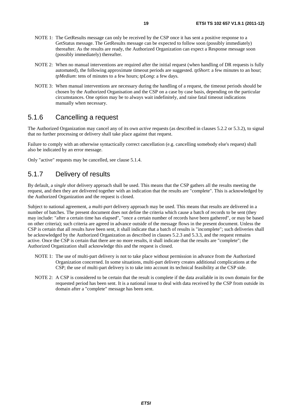- NOTE 1: The GetResults message can only be received by the CSP once it has sent a positive response to a GetStatus message. The GetResults message can be expected to follow soon (possibly immediately) thereafter. As the results are ready, the Authorized Organization can expect a Response message soon (possibly immediately) thereafter.
- NOTE 2: When no manual interventions are required after the initial request (when handling of DR requests is fully automated), the following approximate timeout periods are suggested. *tpShort*: a few minutes to an hour; *tpMedium*: tens of minutes to a few hours; *tpLong*: a few days.
- NOTE 3: When manual interventions are necessary during the handling of a request, the timeout periods should be chosen by the Authorized Organisation and the CSP on a case by case basis, depending on the particular circumstances. One option may be to always wait indefinitely, and raise fatal timeout indications manually when necessary.

#### 5.1.6 Cancelling a request

The Authorized Organization may cancel any of its own *active* requests (as described in clauses 5.2.2 or 5.3.2), to signal that no further processing or delivery shall take place against that request.

Failure to comply with an otherwise syntactically correct cancellation (e.g. cancelling somebody else's request) shall also be indicated by an error message.

Only "active" requests may be cancelled, see clause 5.1.4.

### 5.1.7 Delivery of results

By default, a *single shot* delivery approach shall be used. This means that the CSP gathers all the results meeting the request, and then they are delivered together with an indication that the results are "complete". This is acknowledged by the Authorized Organization and the request is closed.

Subject to national agreement, a *multi-part* delivery approach may be used. This means that results are delivered in a number of batches. The present document does not define the criteria which cause a batch of records to be sent (they may include: "after a certain time has elapsed", "once a certain number of records have been gathered", or may be based on other criteria); such criteria are agreed in advance outside of the message flows in the present document. Unless the CSP is certain that all results have been sent, it shall indicate that a batch of results is "incomplete"; such deliveries shall be acknowledged by the Authorized Organization as described in clauses 5.2.3 and 5.3.3, and the request remains active. Once the CSP is certain that there are no more results, it shall indicate that the results are "complete"; the Authorized Organization shall acknowledge this and the request is closed.

- NOTE 1: The use of multi-part delivery is not to take place without permission in advance from the Authorized Organization concerned. In some situations, multi-part delivery creates additional complications at the CSP; the use of multi-part delivery is to take into account its technical feasibility at the CSP side.
- NOTE 2: A CSP is considered to be certain that the result is complete if the data available in its own domain for the requested period has been sent. It is a national issue to deal with data received by the CSP from outside its domain after a "complete" message has been sent.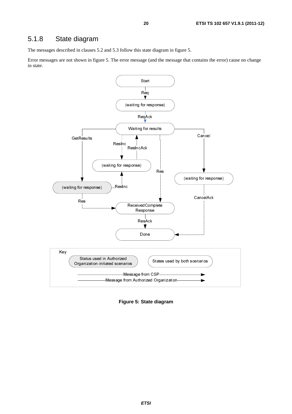### 5.1.8 State diagram

The messages described in clauses 5.2 and 5.3 follow this state diagram in figure 5.

Error messages are not shown in figure 5. The error message (and the message that contains the error) cause no change in state.



**Figure 5: State diagram**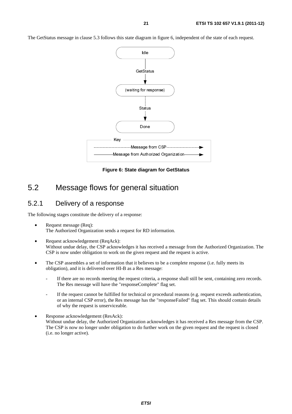The GetStatus message in clause 5.3 follows this state diagram in figure 6, independent of the state of each request.



**Figure 6: State diagram for GetStatus** 

### 5.2 Message flows for general situation

#### 5.2.1 Delivery of a response

The following stages constitute the delivery of a response:

- Request message (Req): The Authorized Organization sends a request for RD information.
- Request acknowledgement (ReqAck): Without undue delay, the CSP acknowledges it has received a message from the Authorized Organization. The CSP is now under obligation to work on the given request and the request is active.
- The CSP assembles a set of information that it believes to be a complete response (i.e. fully meets its obligation), and it is delivered over HI-B as a Res message:
	- If there are no records meeting the request criteria, a response shall still be sent, containing zero records. The Res message will have the "responseComplete" flag set.
	- If the request cannot be fulfilled for technical or procedural reasons (e.g. request exceeds authentication, or an internal CSP error), the Res message has the "responseFailed" flag set. This should contain details of why the request is unserviceable.
- Response acknowledgement (ResAck): Without undue delay, the Authorized Organization acknowledges it has received a Res message from the CSP. The CSP is now no longer under obligation to do further work on the given request and the request is closed (i.e. no longer active).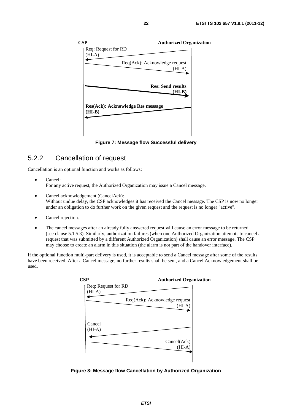

**Figure 7: Message flow Successful delivery** 

### 5.2.2 Cancellation of request

Cancellation is an optional function and works as follows:

- Cancel: For any active request, the Authorized Organization may issue a Cancel message.
- Cancel acknowledgement (CancelAck): Without undue delay, the CSP acknowledges it has received the Cancel message. The CSP is now no longer under an obligation to do further work on the given request and the request is no longer "active".
- Cancel rejection.
- The cancel messages after an already fully answered request will cause an error message to be returned (see clause 5.1.5.3). Similarly, authorization failures (when one Authorized Organization attempts to cancel a request that was submitted by a different Authorized Organization) shall cause an error message. The CSP may choose to create an alarm in this situation (the alarm is not part of the handover interface).

If the optional function multi-part delivery is used, it is acceptable to send a Cancel message after some of the results have been received. After a Cancel message, no further results shall be sent, and a Cancel Acknowledgement shall be used.



**Figure 8: Message flow Cancellation by Authorized Organization**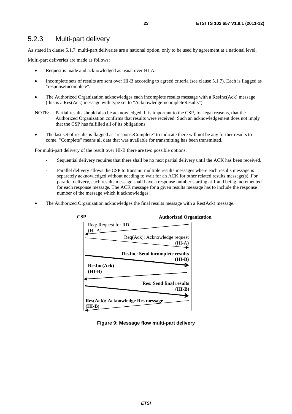### 5.2.3 Multi-part delivery

As stated in clause 5.1.7, multi-part deliveries are a national option, only to be used by agreement at a national level.

Multi-part deliveries are made as follows:

- Request is made and acknowledged as usual over HI-A.
- Incomplete sets of results are sent over HI-B according to agreed criteria (see clause 5.1.7). Each is flagged as "responseIncomplete".
- The Authorized Organization acknowledges each incomplete results message with a ResInc(Ack) message (this is a Res(Ack) message with type set to "AcknowledgeIncompleteResults").
- NOTE: Partial results should also be acknowledged. It is important to the CSP, for legal reasons, that the Authorized Organization confirms that results were received. Such an acknowledgement does not imply that the CSP has fulfilled all of its obligations.
- The last set of results is flagged as "responseComplete" to indicate there will not be any further results to come. "Complete" means all data that was available for transmitting has been transmitted.

For multi-part delivery of the result over HI-B there are two possible options:

- Sequential delivery requires that there shall be no next partial delivery until the ACK has been received.
- Parallel delivery allows the CSP to transmit multiple results messages where each results message is separately acknowledged without needing to wait for an ACK for other related results message(s). For parallel delivery, each results message shall have a response number starting at 1 and being incremented for each response message. The ACK message for a given results message has to include the response number of the message which it acknowledges.
- The Authorized Organization acknowledges the final results message with a Res(Ack) message.



**Figure 9: Message flow multi-part delivery**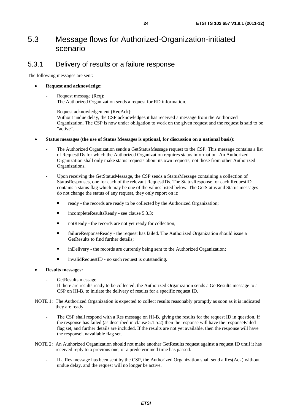## 5.3 Message flows for Authorized-Organization-initiated scenario

#### 5.3.1 Delivery of results or a failure response

The following messages are sent:

#### • **Request and acknowledge:**

- Request message (Req): The Authorized Organization sends a request for RD information.
- Request acknowledgement (ReqAck): Without undue delay, the CSP acknowledges it has received a message from the Authorized Organization. The CSP is now under obligation to work on the given request and the request is said to be "active".
- **Status messages (the use of Status Messages is optional, for discussion on a national basis):** 
	- The Authorized Organization sends a GetStatusMessage request to the CSP. This message contains a list of RequestIDs for which the Authorized Organization requires status information. An Authorized Organization shall only make status requests about its own requests, not those from other Authorized Organizations.
	- Upon receiving the GetStatusMessage, the CSP sends a StatusMessage containing a collection of StatusResponses, one for each of the relevant RequestIDs. The StatusResponse for each RequestID contains a status flag which may be one of the values listed below. The GetStatus and Status messages do not change the status of any request, they only report on it:
		- ready the records are ready to be collected by the Authorized Organization;
		- incompleteResultsReady see clause 5.3.3;
		- notReady the records are not yet ready for collection;
		- failureResponseReady the request has failed. The Authorized Organization should issue a GetResults to find further details;
		- inDelivery the records are currently being sent to the Authorized Organization;
		- invalidRequestID no such request is outstanding.

#### • **Results messages:**

GetResults message:

If there are results ready to be collected, the Authorized Organization sends a GetResults message to a CSP on HI-B, to initiate the delivery of results for a specific request ID.

- NOTE 1: The Authorized Organization is expected to collect results reasonably promptly as soon as it is indicated they are ready.
	- The CSP shall respond with a Res message on HI-B, giving the results for the request ID in question. If the response has failed (as described in clause 5.1.5.2) then the response will have the responseFailed flag set, and further details are included. If the results are not yet available, then the response will have the responseUnavailable flag set.
- NOTE 2: An Authorized Organization should not make another GetResults request against a request ID until it has received reply to a previous one, or a predetermined time has passed.
	- If a Res message has been sent by the CSP, the Authorized Organization shall send a Res(Ack) without undue delay, and the request will no longer be active.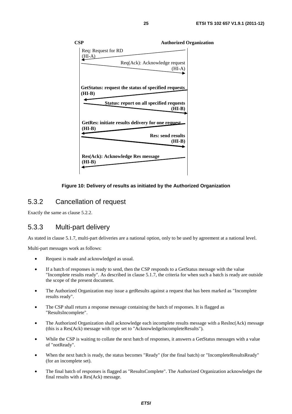

#### **Figure 10: Delivery of results as initiated by the Authorized Organization**

#### 5.3.2 Cancellation of request

Exactly the same as clause 5.2.2.

#### 5.3.3 Multi-part delivery

As stated in clause 5.1.7, multi-part deliveries are a national option, only to be used by agreement at a national level.

Multi-part messages work as follows:

- Request is made and acknowledged as usual.
- If a batch of responses is ready to send, then the CSP responds to a GetStatus message with the value "Incomplete results ready". As described in clause 5.1.7, the criteria for when such a batch is ready are outside the scope of the present document.
- The Authorized Organization may issue a getResults against a request that has been marked as "Incomplete" results ready".
- The CSP shall return a response message containing the batch of responses. It is flagged as "ResultsIncomplete".
- The Authorized Organization shall acknowledge each incomplete results message with a ResInc(Ack) message (this is a Res(Ack) message with type set to "AcknowledgeIncompleteResults").
- While the CSP is waiting to collate the next batch of responses, it answers a GetStatus messages with a value of "notReady".
- When the next batch is ready, the status becomes "Ready" (for the final batch) or "IncompleteResultsReady" (for an incomplete set).
- The final batch of responses is flagged as "ResultsComplete". The Authorized Organization acknowledges the final results with a Res(Ack) message.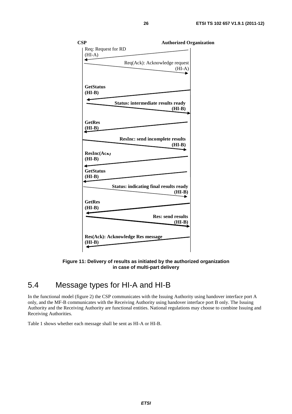| <b>CSP</b>          | <b>Authorized Organization</b>                |  |
|---------------------|-----------------------------------------------|--|
| Req: Request for RD |                                               |  |
| $(HI-A)$            |                                               |  |
|                     |                                               |  |
|                     | Req(Ack): Acknowledge request                 |  |
|                     | $(HI-A)$                                      |  |
|                     |                                               |  |
|                     |                                               |  |
| <b>GetStatus</b>    |                                               |  |
| $(HI-B)$            |                                               |  |
|                     |                                               |  |
|                     | <b>Status: intermediate results ready</b>     |  |
|                     | $(HI-B)$                                      |  |
|                     |                                               |  |
| <b>GetRes</b>       |                                               |  |
|                     |                                               |  |
| (HI-B)              |                                               |  |
|                     |                                               |  |
|                     | <b>ResInc: send incomplete results</b>        |  |
|                     | $(HI-B)$                                      |  |
| ResInc(AcK)         |                                               |  |
| $(HI-B)$            |                                               |  |
|                     |                                               |  |
| <b>GetStatus</b>    |                                               |  |
| $(HI-B)$            |                                               |  |
|                     |                                               |  |
|                     | <b>Status: indicating final results ready</b> |  |
|                     | $(HI-B)$                                      |  |
|                     |                                               |  |
| <b>GetRes</b>       |                                               |  |
| $(HI-B)$            |                                               |  |
|                     | <b>Res: send results</b>                      |  |
|                     |                                               |  |
|                     | $(HI-B)$                                      |  |
|                     |                                               |  |
|                     | <b>Res(Ack): Acknowledge Res message</b>      |  |
| $(HI-B)$            |                                               |  |
|                     |                                               |  |

**Figure 11: Delivery of results as initiated by the authorized organization in case of multi-part delivery** 

# 5.4 Message types for HI-A and HI-B

In the functional model (figure 2) the CSP communicates with the Issuing Authority using handover interface port A only, and the MF-B communicates with the Receiving Authority using handover interface port B only. The Issuing Authority and the Receiving Authority are functional entities. National regulations may choose to combine Issuing and Receiving Authorities.

Table 1 shows whether each message shall be sent as HI-A or HI-B.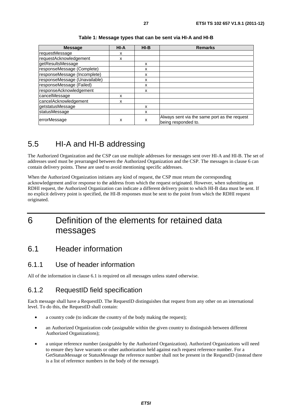| <b>Message</b>                | HI-A | $HI-B$ | <b>Remarks</b>                                                      |
|-------------------------------|------|--------|---------------------------------------------------------------------|
| requestMessage                | х    |        |                                                                     |
| requestAcknowledgement        | x    |        |                                                                     |
| getResultsMessage             |      | x      |                                                                     |
| responseMessage (Complete)    |      | x      |                                                                     |
| responseMessage (Incomplete)  |      | x      |                                                                     |
| responseMessage (Unavailable) |      | x      |                                                                     |
| responseMessage (Failed)      |      | x      |                                                                     |
| responseAcknowledgement       |      | x      |                                                                     |
| cancelMessage                 | x    |        |                                                                     |
| cancelAcknowledgement         | x    |        |                                                                     |
| getstatusMessage              |      | x      |                                                                     |
| statusMessage                 |      | X      |                                                                     |
| errorMessage                  | X    | x      | Always sent via the same port as the request<br>being responded to. |

#### **Table 1: Message types that can be sent via HI-A and HI-B**

# 5.5 HI-A and HI-B addressing

The Authorized Organization and the CSP can use multiple addresses for messages sent over HI-A and HI-B. The set of addresses used must be prearranged between the Authorized Organization and the CSP. The messages in clause 6 can contain delivery points. These are used to avoid mentioning specific addresses.

When the Authorized Organization initiates any kind of request, the CSP must return the corresponding acknowledgement and/or response to the address from which the request originated. However, when submitting an RDHI request, the Authorized Organization can indicate a different delivery point to which HI-B data must be sent. If no explicit delivery point is specified, the HI-B responses must be sent to the point from which the RDHI request originated.

# 6 Definition of the elements for retained data messages

### 6.1 Header information

### 6.1.1 Use of header information

All of the information in clause 6.1 is required on all messages unless stated otherwise.

### 6.1.2 RequestID field specification

Each message shall have a RequestID. The RequestID distinguishes that request from any other on an international level. To do this, the RequestID shall contain:

- a country code (to indicate the country of the body making the request);
- an Authorized Organization code (assignable within the given country to distinguish between different Authorized Organizations);
- a unique reference number (assignable by the Authorized Organization). Authorized Organizations will need to ensure they have warrants or other authorization held against each request reference number. For a GetStatusMessage or StatusMessage the reference number shall not be present in the RequestID (instead there is a list of reference numbers in the body of the message).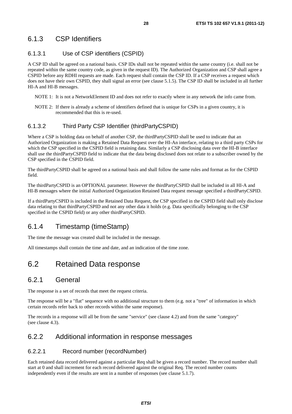### 6.1.3 CSP Identifiers

#### 6.1.3.1 Use of CSP identifiers (CSPID)

A CSP ID shall be agreed on a national basis. CSP IDs shall not be repeated within the same country (i.e. shall not be repeated within the same country code, as given in the request ID). The Authorized Organization and CSP shall agree a CSPID before any RDHI requests are made. Each request shall contain the CSP ID. If a CSP receives a request which does not have their own CSPID, they shall signal an error (see clause 5.1.5). The CSP ID shall be included in all further HI-A and HI-B messages.

- NOTE 1: It is not a NetworkElement ID and does not refer to exactly where in any network the info came from.
- NOTE 2: If there is already a scheme of identifiers defined that is unique for CSPs in a given country, it is recommended that this is re-used.

#### 6.1.3.2 Third Party CSP Identifier (thirdPartyCSPID)

Where a CSP is holding data on behalf of another CSP, the thirdPartyCSPID shall be used to indicate that an Authorized Organization is making a Retained Data Request over the HI-An interface, relating to a third party CSPs for which the CSP specified in the CSPID field is retaining data. Similarly a CSP disclosing data over the HI-B interface shall use the thirdPartyCSPID field to indicate that the data being disclosed does not relate to a subscriber owned by the CSP specified in the CSPID field.

The thirdPartyCSPID shall be agreed on a national basis and shall follow the same rules and format as for the CSPID field.

The thirdPartyCSPID is an OPTIONAL parameter. However the thirdPartyCSPID shall be included in all HI-A and HI-B messages where the initial Authorized Organization Retained Data request message specified a thirdPartyCSPID.

If a thirdPartyCSPID is included in the Retained Data Request, the CSP specified in the CSPID field shall only disclose data relating to that thirdPartyCSPID and not any other data it holds (e.g. Data specifically belonging to the CSP specified in the CSPID field) or any other thirdPartyCSPID.

### 6.1.4 Timestamp (timeStamp)

The time the message was created shall be included in the message.

All timestamps shall contain the time and date, and an indication of the time zone.

### 6.2 Retained Data response

#### 6.2.1 General

The response is a set of records that meet the request criteria.

The response will be a "flat" sequence with no additional structure to them (e.g. not a "tree" of information in which certain records refer back to other records within the same response).

The records in a response will all be from the same "service" (see clause 4.2) and from the same "category" (see clause 4.3).

#### 6.2.2 Additional information in response messages

#### 6.2.2.1 Record number (recordNumber)

Each retained data record delivered against a particular Req shall be given a record number. The record number shall start at 0 and shall increment for each record delivered against the original Req. The record number counts independently even if the results are sent in a number of responses (see clause 5.1.7).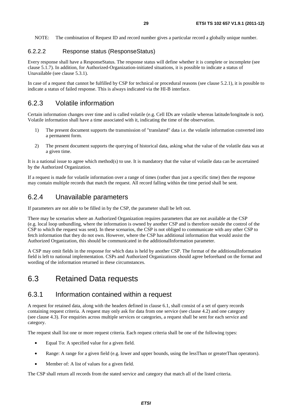NOTE: The combination of Request ID and record number gives a particular record a globally unique number.

#### 6.2.2.2 Response status (ResponseStatus)

Every response shall have a ResponseStatus. The response status will define whether it is complete or incomplete (see clause 5.1.7). In addition, for Authorized-Organization-initiated situations, it is possible to indicate a status of Unavailable (see clause 5.3.1).

In case of a request that cannot be fulfilled by CSP for technical or procedural reasons (see clause 5.2.1), it is possible to indicate a status of failed response. This is always indicated via the HI-B interface.

#### 6.2.3 Volatile information

Certain information changes over time and is called volatile (e.g. Cell IDs are volatile whereas latitude/longitude is not). Volatile information shall have a time associated with it, indicating the time of the observation.

- 1) The present document supports the transmission of "translated" data i.e. the volatile information converted into a permanent form.
- 2) The present document supports the querying of historical data, asking what the value of the volatile data was at a given time.

It is a national issue to agree which method(s) to use. It is mandatory that the value of volatile data can be ascertained by the Authorized Organization.

If a request is made for volatile information over a range of times (rather than just a specific time) then the response may contain multiple records that match the request. All record falling within the time period shall be sent.

#### 6.2.4 Unavailable parameters

If parameters are not able to be filled in by the CSP, the parameter shall be left out.

There may be scenarios where an Authorized Organization requires parameters that are not available at the CSP (e.g. local loop unbundling, where the information is owned by another CSP and is therefore outside the control of the CSP to which the request was sent). In these scenarios, the CSP is not obliged to communicate with any other CSP to fetch information that they do not own. However, where the CSP has additional information that would assist the Authorized Organization, this should be communicated in the additionalInformation parameter.

A CSP may omit fields in the response for which data is held by another CSP. The format of the additionalInformation field is left to national implementation. CSPs and Authorized Organizations should agree beforehand on the format and wording of the information returned in these circumstances.

### 6.3 Retained Data requests

#### 6.3.1 Information contained within a request

A request for retained data, along with the headers defined in clause 6.1, shall consist of a set of query records containing request criteria. A request may only ask for data from one service (see clause 4.2) and one category (see clause 4.3). For enquiries across multiple services or categories, a request shall be sent for each service and category.

The request shall list one or more request criteria. Each request criteria shall be one of the following types:

- Equal To: A specified value for a given field.
- Range: A range for a given field (e.g. lower and upper bounds, using the lessThan or greaterThan operators).
- Member of: A list of values for a given field.

The CSP shall return all records from the stated service and category that match all of the listed criteria.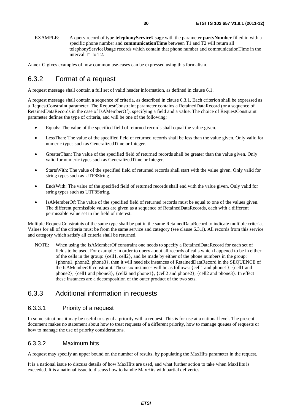EXAMPLE: A query record of type **telephonyServiceUsage** with the parameter **partyNumber** filled in with a specific phone number and **communicationTime** between T1 and T2 will return all telephonyServiceUsage records which contain that phone number and communicationTime in the interval T1 to T2.

Annex G gives examples of how common use-cases can be expressed using this formalism.

### 6.3.2 Format of a request

A request message shall contain a full set of valid header information, as defined in clause 6.1.

A request message shall contain a sequence of criteria, as described in clause 6.3.1. Each criterion shall be expressed as a RequestConstraint parameter. The RequestConstraint parameter contains a RetainedDataRecord (or a sequence of RetainedDataRecords in the case of IsAMemberOf), specifying a field and a value. The choice of RequestConstraint parameter defines the type of criteria, and will be one of the following:

- Equals: The value of the specified field of returned records shall equal the value given.
- LessThan: The value of the specified field of returned records shall be less than the value given. Only valid for numeric types such as GeneralizedTime or Integer.
- GreaterThan: The value of the specified field of returned records shall be greater than the value given. Only valid for numeric types such as GeneralizedTime or Integer.
- StartsWith: The value of the specified field of returned records shall start with the value given. Only valid for string types such as UTF8String.
- EndsWith: The value of the specified field of returned records shall end with the value given. Only valid for string types such as UTF8String.
- IsAMemberOf: The value of the specified field of returned records must be equal to one of the values given. The different permissible values are given as a sequence of RetainedDataRecords, each with a different permissible value set in the field of interest.

Multiple RequestConstraints of the same type shall be put in the same RetainedDataRecord to indicate multiple criteria. Values for all of the criteria must be from the same service and category (see clause 6.3.1). All records from this service and category which satisfy all criteria shall be returned.

NOTE: When using the IsAMemberOf constraint one needs to specify a RetainedDataRecord for each set of fields to be used. For example: in order to query about all records of calls which happened to be in either of the cells in the group: {cell1, cell2}, and be made by either of the phone numbers in the group: {phone1, phone2, phone3}, then it will need six instances of RetainedDataRecord in the SEQUENCE of the IsAMemberOf constraint. These six instances will be as follows: {cell1 and phone1}, {cell1 and phone2}, {cell1 and phone3}, {cell2 and phone1}, {cell2 and phone2}, {cell2 and phone3}. In effect these instances are a decomposition of the outer product of the two sets.

#### 6.3.3 Additional information in requests

#### 6.3.3.1 Priority of a request

In some situations it may be useful to signal a priority with a request. This is for use at a national level. The present document makes no statement about how to treat requests of a different priority, how to manage queues of requests or how to manage the use of priority considerations.

#### 6.3.3.2 Maximum hits

A request may specify an upper bound on the number of results, by populating the MaxHits parameter in the request.

It is a national issue to discuss details of how MaxHits are used, and what further action to take when MaxHits is exceeded. It is a national issue to discuss how to handle MaxHits with partial deliveries.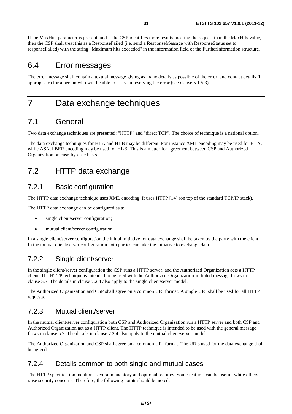If the MaxHits parameter is present, and if the CSP identifies more results meeting the request than the MaxHits value, then the CSP shall treat this as a ResponseFailed (i.e. send a ResponseMessage with ResponseStatus set to responseFailed) with the string "Maximum hits exceeded" in the information field of the FurtherInformation structure.

### 6.4 Error messages

The error message shall contain a textual message giving as many details as possible of the error, and contact details (if appropriate) for a person who will be able to assist in resolving the error (see clause 5.1.5.3).

# 7 Data exchange techniques

### 7.1 General

Two data exchange techniques are presented: "HTTP" and "direct TCP". The choice of technique is a national option.

The data exchange techniques for HI-A and HI-B may be different. For instance XML encoding may be used for HI-A, while ASN.1 BER encoding may be used for HI-B. This is a matter for agreement between CSP and Authorized Organization on case-by-case basis.

# 7.2 HTTP data exchange

### 7.2.1 Basic configuration

The HTTP data exchange technique uses XML encoding. It uses HTTP [14] (on top of the standard TCP/IP stack).

The HTTP data exchange can be configured as a:

- single client/server configuration;
- mutual client/server configuration.

In a single client/server configuration the initial initiative for data exchange shall be taken by the party with the client. In the mutual client/server configuration both parties can take the initiative to exchange data.

### 7.2.2 Single client/server

In the single client/server configuration the CSP runs a HTTP server, and the Authorized Organization acts a HTTP client. The HTTP technique is intended to be used with the Authorized-Organization-initiated message flows in clause 5.3. The details in clause 7.2.4 also apply to the single client/server model.

The Authorized Organization and CSP shall agree on a common URI format. A single URI shall be used for all HTTP requests.

### 7.2.3 Mutual client/server

In the mutual client/server configuration both CSP and Authorized Organization run a HTTP server and both CSP and Authorized Organization act as a HTTP client. The HTTP technique is intended to be used with the general message flows in clause 5.2. The details in clause 7.2.4 also apply to the mutual client/server model.

The Authorized Organization and CSP shall agree on a common URI format. The URIs used for the data exchange shall be agreed.

#### 7.2.4 Details common to both single and mutual cases

The HTTP specification mentions several mandatory and optional features. Some features can be useful, while others raise security concerns. Therefore, the following points should be noted.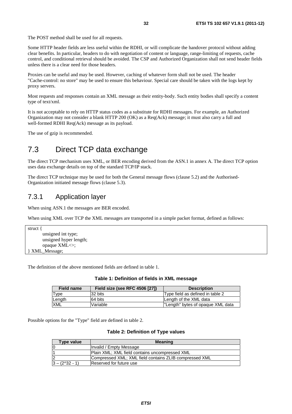The POST method shall be used for all requests.

Some HTTP header fields are less useful within the RDHI, or will complicate the handover protocol without adding clear benefits. In particular, headers to do with negotiation of content or language, range-limiting of requests, cache control, and conditional retrieval should be avoided. The CSP and Authorized Organization shall not send header fields unless there is a clear need for those headers.

Proxies can be useful and may be used. However, caching of whatever form shall not be used. The header "Cache-control: no store" may be used to ensure this behaviour. Special care should be taken with the logs kept by proxy servers.

Most requests and responses contain an XML message as their entity-body. Such entity bodies shall specify a content type of text/xml.

It is not acceptable to rely on HTTP status codes as a substitute for RDHI messages. For example, an Authorized Organization may not consider a blank HTTP 200 (OK) as a Req(Ack) message; it must also carry a full and well-formed RDHI Req(Ack) message as its payload.

The use of gzip is recommended.

# 7.3 Direct TCP data exchange

The direct TCP mechanism uses XML, or BER encoding derived from the ASN.1 in annex A. The direct TCP option uses data exchange details on top of the standard TCP/IP stack.

The direct TCP technique may be used for both the General message flows (clause 5.2) and the Authorised-Organization initiated message flows (clause 5.3).

#### 7.3.1 Application layer

When using ASN.1 the messages are BER encoded.

When using XML over TCP the XML messages are transported in a simple packet format, defined as follows:

```
struct { 
         unsigned int type; 
        unsigned hyper length; 
         opaque XML<>; 
} XML_Message;
```
The definition of the above mentioned fields are defined in table 1.

#### **Table 1: Definition of fields in XML message**

| <b>Field name</b> | <b>Field size (see RFC 4506 [27])</b> | <b>Description</b>                |
|-------------------|---------------------------------------|-----------------------------------|
| Type              | 32 bits                               | Type field as defined in table 2  |
| Length            | 64 bits                               | Length of the XML data            |
| <b>XML</b>        | Variable                              | "Length" bytes of opaque XML data |

Possible options for the "Type" field are defined in table 2.

#### **Table 2: Definition of Type values**

| Type value                | <b>Meaning</b>                                         |
|---------------------------|--------------------------------------------------------|
| 0                         | Invalid / Empty Message                                |
| $\overline{\mathbf{1}}$   | Plain XML; XML field contains uncompressed XML         |
| $\overline{2}$            | Compressed XML; XML field contains ZLIB compressed XML |
| $ 3 - (2 \times 32 - 1) $ | Reserved for future use                                |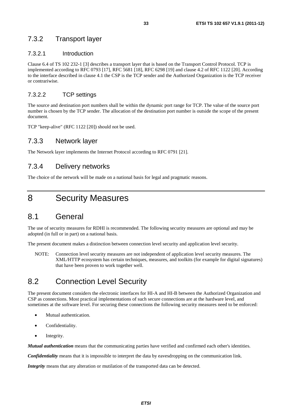#### 7.3.2 Transport layer

#### 7.3.2.1 Introduction

Clause 6.4 of TS 102 232-1 [3] describes a transport layer that is based on the Transport Control Protocol. TCP is implemented according to RFC 0793 [17], RFC 5681 [18], RFC 6298 [19] and clause 4.2 of RFC 1122 [20]. According to the interface described in clause 4.1 the CSP is the TCP sender and the Authorized Organization is the TCP receiver or contrariwise.

#### 7.3.2.2 TCP settings

The source and destination port numbers shall be within the dynamic port range for TCP. The value of the source port number is chosen by the TCP sender. The allocation of the destination port number is outside the scope of the present document.

TCP "keep-alive" (RFC 1122 [20]) should not be used.

#### 7.3.3 Network layer

The Network layer implements the Internet Protocol according to RFC 0791 [21].

#### 7.3.4 Delivery networks

The choice of the network will be made on a national basis for legal and pragmatic reasons.

# 8 Security Measures

### 8.1 General

The use of security measures for RDHI is recommended. The following security measures are optional and may be adopted (in full or in part) on a national basis.

The present document makes a distinction between connection level security and application level security.

NOTE: Connection level security measures are not independent of application level security measures. The XML/HTTP ecosystem has certain techniques, measures, and toolkits (for example for digital signatures) that have been proven to work together well.

### 8.2 Connection Level Security

The present document considers the electronic interfaces for HI-A and HI-B between the Authorized Organization and CSP as connections. Most practical implementations of such secure connections are at the hardware level, and sometimes at the software level. For securing these connections the following security measures need to be enforced:

- Mutual authentication.
- Confidentiality.
- Integrity.

*Mutual authentication* means that the communicating parties have verified and confirmed each other's identities.

*Confidentiality* means that it is impossible to interpret the data by eavesdropping on the communication link.

*Integrity* means that any alteration or mutilation of the transported data can be detected.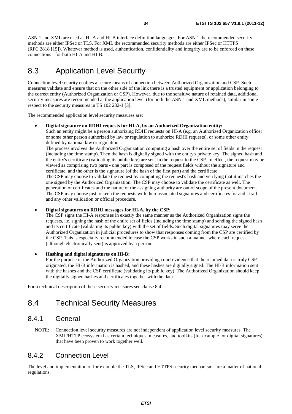ASN.1 and XML are used as HI-A and HI-B interface definition languages. For ASN.1 the recommended security methods are either IPSec or TLS. For XML the recommended security methods are either IPSec or HTTPS (RFC 2818 [15]). Whatever method is used, authentication, confidentiality and integrity are to be enforced on these connections - for both HI-A and HI-B.

# 8.3 Application Level Security

Connection level security enables a secure means of connection between Authorized Organization and CSP. Such measures validate and ensure that on the other side of the link there is a trusted equipment or application belonging to the correct entity (Authorized Organization or CSP). However, due to the sensitive nature of retained data, additional security measures are recommended at the application level (for both the ASN.1 and XML methods), similar in some respect to the security measures in TS 102 232-1 [3].

The recommended application level security measures are:

• **Digital signature on RDHI requests for HI-A, by an Authorized Organization entity:** Such an entity might be a person authorizing RDHI requests on HI-A (e.g. an Authorized Organization officer or some other person authorized by law or regulation to authorize RDHI requests), or some other entity defined by national law or regulation.

The process involves the Authorized Organization computing a hash over the entire set of fields in the request (including the time stamp). Then the hash is digitally signed with the entity's private key. The signed hash and the entity's certificate (validating its public key) are sent in the request to the CSP. In effect, the request may be viewed as comprising two parts - one part is composed of the request fields without the signature and certificate, and the other is the signature (of the hash of the first part) and the certificate. The CSP may choose to validate the request by computing the request's hash and verifying that it matches the one signed by the Authorized Organization. The CSP may choose to validate the certificate as well. The generation of certificates and the nature of the assigning authority are out of scope of the present document. The CSP may choose just to keep the requests with their associated signatures and certificates for audit trail

and any other validation or official procedure.

#### • **Digital signatures on RDHI messages for HI-A, by the CSP:**

The CSP signs the HI-A responses in exactly the same manner as the Authorized Organization signs the requests, i.e. signing the hash of the entire set of fields (including the time stamp) and sending the signed hash and its certificate (validating its public key) with the set of fields. Such digital signatures may serve the Authorized Organization in judicial procedures to show that responses coming from the CSP are certified by the CSP. This is especially recommended in case the CSP works in such a manner where each request (although electronically sent) is approved by a person.

#### • **Hashing and digital signatures on HI-B:**

For the purpose of the Authorized Organization providing court evidence that the retained data is truly CSP originated, the HI-B information is hashed, and these hashes are digitally signed. The HI-B information sent with the hashes and the CSP certificate (validating its public key). The Authorized Organization should keep the digitally signed hashes and certificates together with the data.

For a technical description of these security measures see clause 8.4.

### 8.4 Technical Security Measures

#### 8.4.1 General

NOTE: Connection level security measures are not independent of application level security measures. The XML/HTTP ecosystem has certain techniques, measures, and toolkits (for example for digital signatures) that have been proven to work together well.

#### 8.4.2 Connection Level

The level and implementation of for example the TLS, IPSec and HTTPS security mechanisms are a matter of national regulations.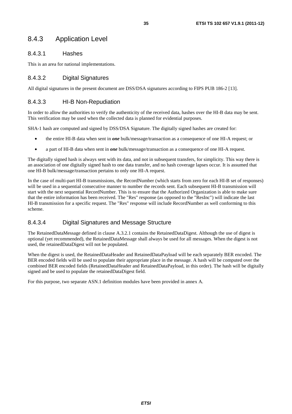### 8.4.3 Application Level

#### 8.4.3.1 Hashes

This is an area for national implementations.

#### 8.4.3.2 Digital Signatures

All digital signatures in the present document are DSS/DSA signatures according to FIPS PUB 186-2 [13].

#### 8.4.3.3 HI-B Non-Repudiation

In order to allow the authorities to verify the authenticity of the received data, hashes over the HI-B data may be sent. This verification may be used when the collected data is planned for evidential purposes.

SHA-1 hash are computed and signed by DSS/DSA Signature. The digitally signed hashes are created for:

- the entire HI-B data when sent in *one* bulk/message/transaction as a consequence of one HI-A request; or
- a part of HI-B data when sent in *one* bulk/message/transaction as a consequence of one HI-A request.

The digitally signed hash is always sent with its data, and not in subsequent transfers, for simplicity. This way there is an association of one digitally signed hash to one data transfer, and no hash coverage lapses occur. It is assumed that one HI-B bulk/message/transaction pertains to only one HI-A request.

In the case of multi-part HI-B transmissions, the RecordNumber (which starts from zero for each HI-B set of responses) will be used in a sequential consecutive manner to number the records sent. Each subsequent HI-B transmission will start with the next sequential RecordNumber. This is to ensure that the Authorized Organization is able to make sure that the entire information has been received. The "Res" response (as opposed to the "ResInc") will indicate the last HI-B transmission for a specific request. The "Res" response will include RecordNumber as well conforming to this scheme.

#### 8.4.3.4 Digital Signatures and Message Structure

The RetainedDataMessage defined in clause A.3.2.1 contains the RetainedDataDigest. Although the use of digest is optional (yet recommended), the RetainedDataMessage shall always be used for all messages. When the digest is not used, the retainedDataDigest will not be populated.

When the digest is used, the RetainedDataHeader and RetainedDataPayload will be each separately BER encoded. The BER encoded fields will be used to populate their appropriate place in the message. A hash will be computed over the combined BER encoded fields (RetainedDataHeader and RetainedDataPayload, in this order). The hash will be digitally signed and be used to populate the retainedDataDigest field.

For this purpose, two separate ASN.1 definition modules have been provided in annex A.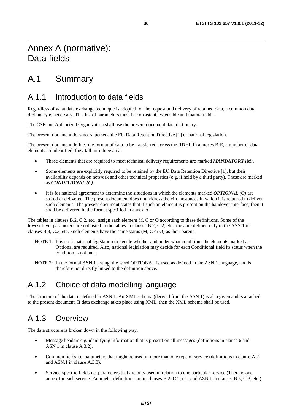# Annex A (normative): Data fields

# A.1 Summary

# A.1.1 Introduction to data fields

Regardless of what data exchange technique is adopted for the request and delivery of retained data, a common data dictionary is necessary. This list of parameters must be consistent, extensible and maintainable.

The CSP and Authorized Organization shall use the present document data dictionary.

The present document does not supersede the EU Data Retention Directive [1] or national legislation.

The present document defines the format of data to be transferred across the RDHI. In annexes B-E, a number of data elements are identified; they fall into three areas:

- Those elements that are required to meet technical delivery requirements are marked *MANDATORY (M)*.
- Some elements are explicitly required to be retained by the EU Data Retention Directive [1], but their availability depends on network and other technical properties (e.g. if held by a third party). These are marked as *CONDITIONAL (C)*.
- It is for national agreement to determine the situations in which the elements marked *OPTIONAL (O)* are stored or delivered. The present document does not address the circumstances in which it is required to deliver such elements. The present document states that if such an element is present on the handover interface, then it shall be delivered in the format specified in annex A.

The tables in clauses B.2, C.2, etc., assign each element M, C or O according to these definitions. Some of the lowest-level parameters are not listed in the tables in clauses B.2, C.2, etc.: they are defined only in the ASN.1 in clauses B.3, C.3, etc. Such elements have the same status (M, C or O) as their parent.

- NOTE 1: It is up to national legislation to decide whether and under what conditions the elements marked as Optional are required. Also, national legislation may decide for each Conditional field its status when the condition is not met.
- NOTE 2: In the formal ASN.1 listing, the word OPTIONAL is used as defined in the ASN.1 language, and is therefore not directly linked to the definition above.

# A.1.2 Choice of data modelling language

The structure of the data is defined in ASN.1. An XML schema (derived from the ASN.1) is also given and is attached to the present document. If data exchange takes place using XML, then the XML schema shall be used.

# A.1.3 Overview

The data structure is broken down in the following way:

- Message headers e.g. identifying information that is present on all messages (definitions in clause 6 and ASN.1 in clause A.3.2).
- Common fields i.e. parameters that might be used in more than one type of service (definitions in clause A.2 and ASN.1 in clause A.3.3).
- Service-specific fields i.e. parameters that are only used in relation to one particular service (There is one annex for each service. Parameter definitions are in clauses B.2, C.2, etc. and ASN.1 in clauses B.3, C.3, etc.).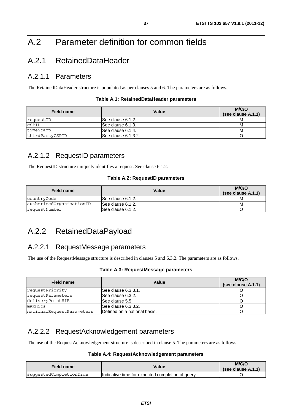# A.2 Parameter definition for common fields

## A.2.1 RetainedDataHeader

### A.2.1.1 Parameters

The RetainedDataHeader structure is populated as per clauses 5 and 6. The parameters are as follows.

| <b>Field name</b> | Value               | M/C/O<br>(see clause A.1.1) |
|-------------------|---------------------|-----------------------------|
| requestID         | ISee clause 6.1.2.  |                             |
| CSPID             | See clause 6.1.3.   | M                           |
| timeStamp         | ISee clause 6.1.4.  | м                           |
| thirdPartyCSPID   | See clause 6.1.3.2. |                             |

### A.2.1.2 RequestID parameters

The RequestID structure uniquely identifies a request. See clause 6.1.2.

### **Table A.2: RequestID parameters**

| Field name               | Value              | M/C/O<br>(see clause A.1.1) |
|--------------------------|--------------------|-----------------------------|
| countryCode              | ISee clause 6.1.2. |                             |
| authorisedOrganisationID | ISee clause 6.1.2. | M                           |
| requestNumber            | ISee clause 6.1.2. |                             |

## A.2.2 RetainedDataPayload

## A.2.2.1 RequestMessage parameters

The use of the RequestMessage structure is described in clauses 5 and 6.3.2. The parameters are as follows.

#### **Table A.3: RequestMessage parameters**

| Field name                | Value                         | M/C/O<br>(see clause A.1.1) |
|---------------------------|-------------------------------|-----------------------------|
| requestPriority           | ISee clause 6.3.3.1.          |                             |
| requestParameters         | See clause 6.3.2.             |                             |
| deliveryPointHIB          | See clause 5.5.               |                             |
| maxHits                   | lSee clause 6.3.3.2.          |                             |
| nationalRequestParameters | IDefined on a national basis. |                             |

### A.2.2.2 RequestAcknowledgement parameters

The use of the RequestAcknowledgement structure is described in clause 5. The parameters are as follows.

### **Table A.4: RequestAcknowledgement parameters**

| Field name              | Value                                             | M/C/O<br>(see clause $(A.1.1)$ ) |
|-------------------------|---------------------------------------------------|----------------------------------|
| suqqestedCompletionTime | Indicative time for expected completion of query. |                                  |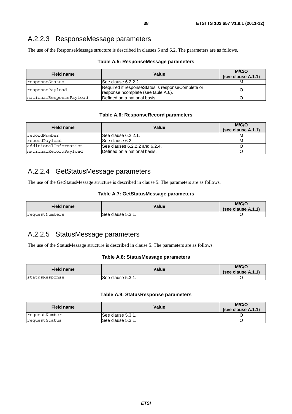### A.2.2.3 ResponseMessage parameters

The use of the ResponseMessage structure is described in clauses 5 and 6.2. The parameters are as follows.

| Table A.5: ResponseMessage parameters |  |
|---------------------------------------|--|
|---------------------------------------|--|

| Field name              | Value                                                                                    | M/C/O<br>(see clause A.1.1) |
|-------------------------|------------------------------------------------------------------------------------------|-----------------------------|
| responseStatus          | ISee clause 6.2.2.2.                                                                     |                             |
| responsePayload         | Required if responseStatus is responseComplete or<br>responselncomplete (see table A.6). |                             |
| nationalResponsePayload | lDefined on a national basis.                                                            |                             |

#### **Table A.6: ResponseRecord parameters**

| Field name             | Value                               | M/C/O<br>(see clause A.1.1) |
|------------------------|-------------------------------------|-----------------------------|
| recordNumber           | See clause 6.2.2.1.                 |                             |
| recordPayload          | ISee clause 6.2.                    | м                           |
| ladditionalInformation | See clauses $6.2.2.2$ and $6.2.4$ . |                             |
| nationalRecordPayload  | Defined on a national basis.        |                             |

### A.2.2.4 GetStatusMessage parameters

The use of the GetStatusMessage structure is described in clause 5. The parameters are as follows.

#### **Table A.7: GetStatusMessage parameters**

| <b>Field name</b> | Value             | M/C/O<br>(see clause $A.1.1$ ) |
|-------------------|-------------------|--------------------------------|
| requestNumbers    | See clause 5.3.1. |                                |

### A.2.2.5 StatusMessage parameters

The use of the StatusMessage structure is described in clause 5. The parameters are as follows.

#### **Table A.8: StatusMessage parameters**

| <b>Field name</b>     | Value              | M/C/O<br>(see clause $A.1.1$ ) |
|-----------------------|--------------------|--------------------------------|
| <i>statusResponse</i> | ISee clause 5.3.1. |                                |

#### **Table A.9: StatusResponse parameters**

| Field name    | Value              | M/C/O<br>(see clause $A.1.1$ ) |
|---------------|--------------------|--------------------------------|
| requestNumber | ISee clause 5.3.1. |                                |
| requestStatus | ISee clause 5.3.1. |                                |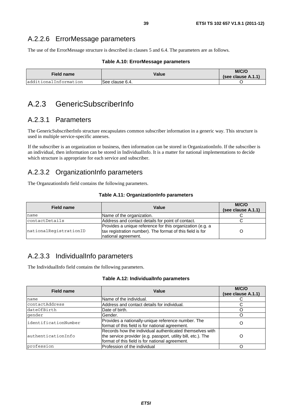### A.2.2.6 ErrorMessage parameters

The use of the ErrorMessage structure is described in clauses 5 and 6.4. The parameters are as follows.

#### **Table A.10: ErrorMessage parameters**

| <b>Field name</b>      | Value           | M/C/O<br>(see clause $(A.1.1)$ ) |
|------------------------|-----------------|----------------------------------|
| ladditionalInformation | See clause 6.4. |                                  |

## A.2.3 GenericSubscriberInfo

### A.2.3.1 Parameters

The GenericSubscriberInfo structure encapsulates common subscriber information in a generic way. This structure is used in multiple service-specific annexes.

If the subscriber is an organization or business, then information can be stored in OrganizationInfo. If the subscriber is an individual, then information can be stored in IndividualInfo. It is a matter for national implementations to decide which structure is appropriate for each service and subscriber.

## A.2.3.2 OrganizationInfo parameters

The OrganzationInfo field contains the following parameters.

|  | Table A.11: OrganizationInfo parameters |  |
|--|-----------------------------------------|--|
|--|-----------------------------------------|--|

| <b>Field name</b>      | Value                                                                                                                                         | M/C/O<br>(see clause A.1.1) |
|------------------------|-----------------------------------------------------------------------------------------------------------------------------------------------|-----------------------------|
| name                   | Name of the organization.                                                                                                                     |                             |
| contactDetails         | Address and contact details for point of contact.                                                                                             |                             |
| nationalReqistrationID | Provides a unique reference for this organization (e.g. a<br>tax registration number). The format of this field is for<br>national agreement. |                             |

## A.2.3.3 IndividualInfo parameters

The IndividualInfo field contains the following parameters.

#### **Table A.12: IndividualInfo parameters**

| Field name            | Value                                                                                                                                                                        | M/C/O<br>(see clause A.1.1) |
|-----------------------|------------------------------------------------------------------------------------------------------------------------------------------------------------------------------|-----------------------------|
| name                  | Name of the individual.                                                                                                                                                      |                             |
| contactAddress        | Address and contact details for individual.                                                                                                                                  |                             |
| dateOfBirth           | Date of birth.                                                                                                                                                               |                             |
| qender                | Gender.                                                                                                                                                                      |                             |
| lidentificationNumber | Provides a nationally-unique reference number. The<br>format of this field is for national agreement.                                                                        |                             |
| authenticationInfo    | Records how the individual authenticated themselves with<br>the service provider (e.g. passport, utility bill, etc.). The<br>format of this field is for national agreement. |                             |
| profession            | Profession of the individual                                                                                                                                                 |                             |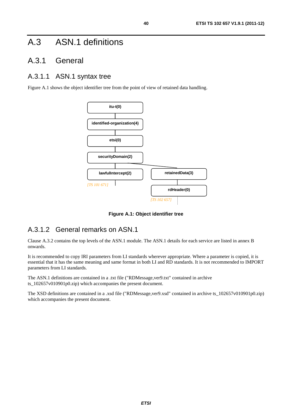# A.3 ASN.1 definitions

## A.3.1 General

## A.3.1.1 ASN.1 syntax tree

Figure A.1 shows the object identifier tree from the point of view of retained data handling.



**Figure A.1: Object identifier tree** 

## A.3.1.2 General remarks on ASN.1

Clause A.3.2 contains the top levels of the ASN.1 module. The ASN.1 details for each service are listed in annex B onwards.

It is recommended to copy IRI parameters from LI standards wherever appropriate. Where a parameter is copied, it is essential that it has the same meaning and same format in both LI and RD standards. It is not recommended to IMPORT parameters from LI standards.

The ASN.1 definitions are contained in a .txt file ("RDMessage,ver9.txt" contained in archive ts\_102657v010901p0.zip) which accompanies the present document.

The XSD definitions are contained in a .xsd file ("RDMessage,ver9.xsd" contained in archive ts  $102657v010901p0.zip$ ) which accompanies the present document.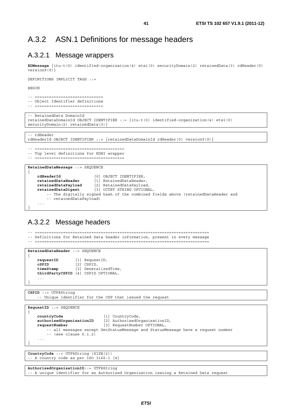### A.3.2 ASN.1 Definitions for message headers

### A.3.2.1 Message wrappers

**RDMessage** {itu-t(0) identified-organization(4) etsi(0) securityDomain(2) retainedData(3) rdHeader(0) version9(9)}

DEFINITIONS IMPLICIT TAGS ::=

BEGIN

```
-- ============================= 
-- Object Identifier definitions
```
-- =============================

-- RetainedData DomainId retainedDataDomainId OBJECT IDENTIFIER ::= {itu-t(0) identified-organization(4) etsi(0) securityDomain(2) retainedData(3) }

-- rdHeader

```
rdHeaderId OBJECT IDENTIFIER ::= \{retainedDataDomainId \ rdHeader(0) \ version(9)\}
```
-- ======================================

-- Top level definitions for RDHI wrapper -- ======================================

**RetainedDataMessage** ::= SEQUENCE

```
{ 
    rdHeaderId [0] OBJECT IDENTIFIER,<br>
retainedDataHeader [1] RetainedDataHeader
    retainedDataHeader [1] RetainedDataHeader,<br>
retainedDataPayload [2] RetainedDataPayload
     retainedDataPayload [2] RetainedDataPayload, 
     retainedDataDigest [3] OCTET STRING OPTIONAL, 
          -- The digitally signed hash of the combined fields above (retainedDataHeader and 
           -- retainedDataPayload) 
     ... 
}
```
### A.3.2.2 Message headers

```
-- ========================================================================== 
-- Definitions for Retained Data header information, present in every message 
-- ========================================================================== 
RetainedDataHeader ::= SEQUENCE 
{ 
   requestID [1] RequestID,
    cSPID [2] CSPID, 
    timeStamp [3] GeneralizedTime, 
   thirdPartyCSPID [4] CSPID OPTIONAL, 
 ... 
} 
CSPID ::= UTF8String 
     -- Unique identifier for the CSP that issued the request 
RequestID ::= SEQUENCE 
{ 
   countryCode [1] CountryCode, 
   authorisedOrganisationID [2] AuthorisedOrganisationID, 
   requestNumber [3] RequestNumber OPTIONAL, 
        -- all messages except GetStatusMessage and StatusMessage have a request number 
        -- (see clause 6.1.2) 
 ... 
} 
CountryCode ::= UTF8String (SIZE(2)) 
-- A country code as per ISO 3166-1 [4] 
AuthorisedOrganisationID::= UTF8String
```
-- A unique identifier for an Authorized Organization issuing a Retained Data request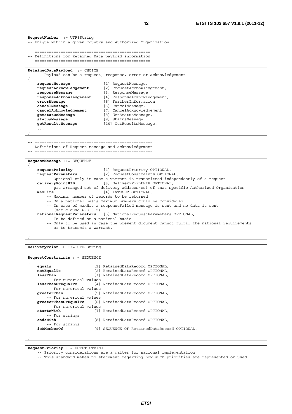```
RequestNumber ::= UTF8String 
-- Unique within a given country and Authorized Organization 
-- ================================================= 
-- Definitions for Retained Data payload information 
-- ================================================= 
RetainedDataPayload ::= CHOICE 
    -- Payload can be a request, response, error or acknowledgement 
{ 
   requestMessage [1] RequestMessage, 
                             requestAcknowledgement [2] RequestAcknowledgement, 
   responseMessage [3] ResponseMessage, 
   responseAcknowledgement [4] ResponseAcknowledgement, 
   errorMessage [5] FurtherInformation, 
   cancelMessage [6] CancelMessage, 
    cancelAcknowledgement [7] CancelAcknowledgement, 
    getstatusMessage [8] GetStatusMessage, 
    statusMessage [9] StatusMessage, 
    getResultsMessage [10] GetResultsMessage,
```
...

}

-- ==================================================

-- Definitions of Request message and acknowledgement

-- ==================================================

```
RequestMessage ::= SEQUENCE 
{ 
    requestPriority [1] RequestPriority OPTIONAL, 
    requestParameters [2] RequestConstraints OPTIONAL, 
         -- Optional only in case a warrant is transmitted independently of a request 
    deliveryPointHIB [3] DeliveryPointHIB OPTIONAL, 
    -- pre-arranged set of delivery address(es) of that specific Authorized Organization<br>
[4] INTEGER OPTIONAL.
                                [4] INTEGER OPTIONAL,
         -- Maximum number of records to be returned. 
         -- On a national basis maximum numbers could be considered 
         -- In case of maxHit a responseFailed message is sent and no data is sent 
         -- (see clause 6.3.3.2) 
    nationalRequestParameters [5] NationalRequestParameters OPTIONAL, 
         -- To be defined on a national basis 
         -- Only to be used in case the present document cannot fulfil the national requirements 
         -- or to transmit a warrant. 
     ... 
}
```
**DeliveryPointHIB ::=** UTF8String

```
RequestConstraints ::= SEQUENCE 
{ 
    equals [1] RetainedDataRecord OPTIONAL, 
   notEqualTo [2] RetainedDataRecord OPTIONAL, 
    lessThan [3] RetainedDataRecord OPTIONAL, 
         -- For numerical values 
   lessThanOrEqualTo [4] RetainedDataRecord OPTIONAL, 
        -- For numerical values 
    greaterThan [5] RetainedDataRecord OPTIONAL, 
         -- For numerical values 
   greaterThanOrEqualTo [6] RetainedDataRecord OPTIONAL, 
   -- For numerical values<br>startsWith [7]
                            [7] RetainedDataRecord OPTIONAL,
    -- For strings<br>endsWith
                           endsWith [8] RetainedDataRecord OPTIONAL, 
   -- For strings<br>isAMemberOf
                            [9] SEQUENCE OF RetainedDataRecord OPTIONAL,
 ... 
}
```
**RequestPriority** ::= OCTET STRING

-- Priority considerations are a matter for national implementation

-- This standard makes no statement regarding how such priorities are represented or used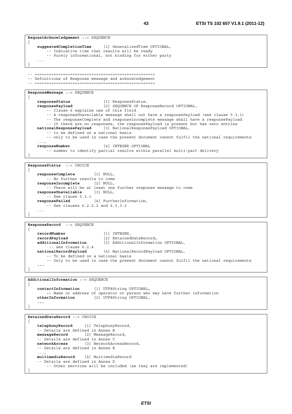```
RequestAcknowledgement ::= SEQUENCE
{ 
   suggestedCompletionTime [1] GeneralizedTime OPTIONAL, 
         -- Indicative time that results will be ready 
         -- Purely informational, not binding for either party 
 ... 
}
```
-- =================================================== -- Definitions of Response message and acknowledgement

-- ===================================================

```
ResponseMessage ::= SEQUENCE 
{ 
   responseStatus [1] ResponseStatus, 
   responsePayload [2] SEQUENCE OF ResponseRecord OPTIONAL, 
        -- Clause 6 explains use of this field 
        -- A responseUnavailable message shall not have a responsePayload (see clause 5.3.1) 
        -- The responseComplete and responseIncomplete message shall have a responsePayload 
         -- If there are no responses, the responsePayload is present but has zero entries 
   nationalResponsePayload [3] NationalResponsePayload OPTIONAL, 
        -- to be defined on a national basis 
        -- only to be used in case the present document cannot fulfil the national requirements 
 ..., 
   responseNumber [4] INTEGER OPTIONAL 
        -- number to identify partial results within parallel multi-part delivery
```
**ResponseStatus** ::= CHOICE { **responseComplete** [1] NULL, -- No further results to come **responseIncomplete** [2] NULL, -- There will be at least one further response message to come<br>onseUnavailable [3] NULL. **responseUnavailable** [3] NULL, -- See clause 5.3.1 **responseFailed** [4] FurtherInformation, -- See clauses 6.2.2.2 and 6.3.3.2 ... }

```
ResponseRecord ::= SEQUENCE 
{ 
   recordNumber [1] INTEGER, 
    recordPayload [2] RetainedDataRecord, 
     additionalInformation [3] AdditionalInformation OPTIONAL, 
    -- see clause 6.2.4<br>
nationalRecordPavload
                               [4] NationalRecordPayload OPTIONAL,
         -- To be defined on a national basis 
         -- Only to be used in case the present document cannot fulfil the national requirements 
     ... 
}
```

```
AdditionalInformation ::= SEQUENCE
```
}

{

{

```
contactInformation [1] UTF8String OPTIONAL, 
        -- Name or address of operator or person who may have further information 
   otherInformation [2] UTF8String OPTIONAL, 
 ... 
}
```
**RetainedDataRecord** ::= CHOICE

```
telephonyRecord [1] TelephonyRecord, 
    -- Details are defined in Annex B 
    messageRecord [2] MessageRecord, 
    -- Details are defined in Annex C 
    networkAccess [3] NetworkAccessRecord, 
    -- Details are defined in Annex E 
 ..., 
   multimediaRecord [4] MultimediaRecord 
    -- Details are defined in Annex D 
        -- Other services will be included (as they are implemented) 
}
```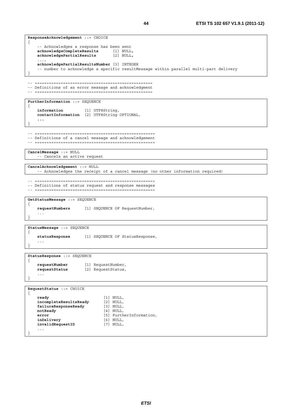```
ResponseAcknowledgement ::= CHOICE 
{ 
     -- Acknowledges a response has been sent 
    acknowledgeCompleteResults [1] NULL, 
    acknowledgePartialResults [2] NULL, 
 ..., 
    acknowledgePartialResultsNumber [3] INTEGER 
     -- number to acknowledge a specific resultMessage within parallel multi-part delivery 
} 
-- ================================================== 
-- Definitions of an error message and acknowledgment 
-- ================================================== 
FurtherInformation ::= SEQUENCE 
{ 
     information [1] UTF8String, 
   contactInformation [2] UTF8String OPTIONAL, 
     ... 
} 
-- =================================================== 
-- Definitions of a cancel message and acknowledgement 
-- =================================================== 
CancelMessage ::= NULL 
     -- Cancels an active request 
CancelAcknowledgement ::= NULL 
     -- Acknowledges the receipt of a cancel message (no other information required) 
-- =================================================== 
-- Definitions of status request and response messages 
-- =================================================== 
GetStatusMessage ::= SEQUENCE 
{ 
    requestNumbers [1] SEQUENCE OF RequestNumber, 
     ... 
} 
StatusMessage ::= SEQUENCE 
{ 
    statusResponse [1] SEQUENCE OF StatusResponse, 
     ... 
} 
StatusResponse ::= SEQUENCE 
{ 
    requestNumber [1] RequestNumber, 
    requestStatus [2] RequestStatus, 
 ... 
} 
RequestStatus ::= CHOICE 
{ 
    ready [1] NULL, 
    incompleteResultsReady [2] NULL,<br>failureResponseReady [3] NULL,
   failureResponseReady<br>notReady
                                notReady [4] NULL, 
    error [5] FurtherInformation, 
    inDelivery [6] NULL, 
    invalidRequestID [7] NULL, 
     ... 
}
```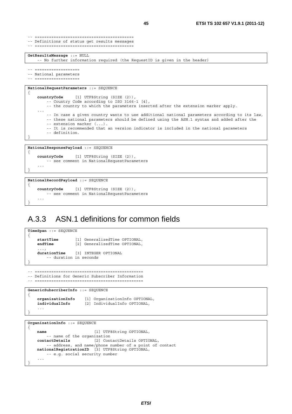```
-- ========================================== 
-- Definitions of status get results messages 
-- ========================================== 
GetResultsMessage ::= NULL 
    -- No further information required (the RequestID is given in the header) 
-- ----------------
-- National parameters 
-- =================== 
NationalRequestParameters ::= SEQUENCE 
{ 
    countryCode [1] UTF8String (SIZE (2)), 
         -- Country Code according to ISO 3166-1 [4], 
         -- the country to which the parameters inserted after the extension marker apply. 
     ... 
         -- In case a given country wants to use additional national parameters according to its law, 
         -- these national parameters should be defined using the ASN.1 syntax and added after the 
        -- extension marker (...). -- It is recommended that an version indicator is included in the national parameters 
         -- definition. 
} 
NationalResponsePayload ::= SEQUENCE 
{ 
    countryCode [1] UTF8String (SIZE (2)), 
         -- see comment in NationalRequestParameters
```
-- see comment in NationalRequestParameters

**countryCode** [1] UTF8String (SIZE (2)),

```
A.3.3 ASN.1 definitions for common fields
```

```
TimeSpan ::= SEQUENCE 
{ 
    startTime [1] GeneralizedTime OPTIONAL,<br>
endTime [2] GeneralizedTime OPTIONAL,
                      [2] GeneralizedTime OPTIONAL,
      ..., 
    durationTime [3] INTEGER OPTIONAL 
          -- duration in seconds 
} 
-- ============================================== 
-- Definitions for Generic Subscriber Information
```
-- ==============================================

GenericSubscriberInfo ::= SEOUENCE

**NationalRecordPayload** ::= SEQUENCE

```
{ 
   organizationInfo [1] OrganizationInfo OPTIONAL, 
   individualInfo [2] IndividualInfo OPTIONAL, 
 ... 
}
```
**OrganizationInfo** ::= SEQUENCE

 ... }

 ... }

{

{

```
name [1] UTF8String OPTIONAL, 
    -- name of the organization<br>contactDetails [2] Cont
                            contactDetails [2] ContactDetails OPTIONAL, 
        -- address, and name/phone number of a point of contact 
   nationalRegistrationID [3] UTF8String OPTIONAL, 
         -- e.g. social security number 
 ... 
}
```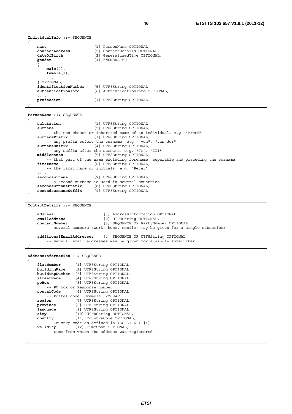```
IndividualInfo ::= SEQUENCE 
{ 
    name [1] PersonName OPTIONAL, 
    contactAddress [2] ContactDetails OPTIONAL, 
    dateOfBirth [3] GeneralizedTime OPTIONAL, 
    gender [4] ENUMERATED 
 { 
         male(0), 
         female(1), 
         ... 
    } OPTIONAL,<br>identificationNumber
     identificationNumber [5] UTF8String OPTIONAL, 
                             authenticationInfo [6] AuthenticationInfo OPTIONAL, 
    ...,<br>profession
                            profession [7] UTF8String OPTIONAL 
} 
PersonName ::= SEQUENCE 
{ 
    salutation [1] UTF8String OPTIONAL, 
    surname [2] UTF8String OPTIONAL, 
        -- the non-chosen or inherited name of an individual, e.g. "Arend" 
    surnamePrefix [3] UTF8String OPTIONAL, 
         -- any prefix before the surname, e.g. "von", "van der" 
    surnameSuffix [4] UTF8String OPTIONAL, 
         -- any suffix after the surname, e.g. "Jr", "III" 
    middleNames [5] UTF8String OPTIONAL, 
    -- that part of the name excluding forename, separable and preceding the surname [6] UTF8String OPTIONAL,
                            [6] UTF8String OPTIONAL,
        -- the first name or initials, e.g. "Peter" 
 ..., 
     secondsurname [7] UTF8String OPTIONAL, 
         -- a second surname is used in several countries 
    secondsurnamePrefix [8] UTF8String OPTIONAL, 
                            secondsurnameSuffix [9] UTF8String OPTIONAL 
} 
ContactDetails ::= SEQUENCE 
{ 
    address [1] AddressInformation OPTIONAL, 
    emailAddress [2] UTF8String OPTIONAL,<br>
contactNumber [3] SEQUENCE OF PartyNum
                                [3] SEQUENCE OF PartyNumber OPTIONAL,
         -- several numbers (work, home, mobile) may be given for a single subscriber 
 ..., 
    additionalEmailAddresses [4] SEQUENCE OF UTF8String OPTIONAL 
         -- several email addresses may be given for a single subscriber 
} 
AddressInformation ::= SEQUENCE 
{ 
    flatNumber [1] UTF8String OPTIONAL, 
   buildingName [2] UTF8String OPTIONAL, 
   buildingNumber [3] UTF8String OPTIONAL, 
    streetName [4] UTF8String OPTIONAL, 
    poBox [5] UTF8String OPTIONAL, 
    -- PO box or Response number<br>postalCode [6] UTF8String O
                  postalCode [6] UTF8String OPTIONAL, 
         -- Postal code. Example: 2289AC 
    region [7] UTF8String OPTIONAL, 
    province [8] UTF8String OPTIONAL, 
 language [9] UTF8String OPTIONAL, 
 city [10] UTF8String OPTIONAL, 
    country [11] CountryCode OPTIONAL,
    -- Country code as defined in ISO 3166-1 [4]<br>validity [12] TimeSpan OPTIONAL,
                  validity [12] TimeSpan OPTIONAL, 
       -- time from which the address was registered
```
 ... }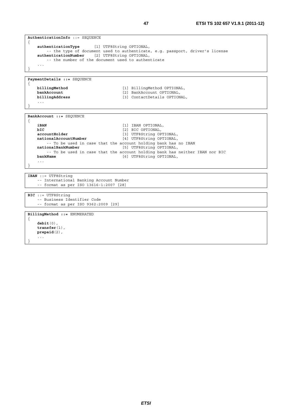```
AuthenticationInfo ::= SEQUENCE 
{ 
    authenticationType [1] UTF8String OPTIONAL, 
         -- the type of document used to authenticate, e.g. passport, driver's license 
    authenticationNumber [2] UTF8String OPTIONAL, 
         -- the number of the document used to authenticate 
 ... 
} 
PaymentDetails ::= SEQUENCE 
{ 
    billingMethod \begin{bmatrix} 1 \end{bmatrix} BillingMethod OPTIONAL,<br>
bankAccount (2) BankAccount OPTIONAL,
    bankAccount [2] BankAccount OPTIONAL,<br>
billingAddress [3] ContactDetails OPTION
                                             billingAddress [3] ContactDetails OPTIONAL, 
     ... 
} 
BankAccount ::= SEQUENCE 
{ 
    iBAN [1] IBAN OPTIONAL,<br>bIC [2] BIC OPTIONAL,
   bIC [2] BIC OPTIONAL,<br>accountHolder [3] UTF8String OP
   accountHolder [3] UTF8String OPTIONAL,<br>
nationalAccountNumber [4] UTF8String OPTIONAL.
                                             [4] UTF8String OPTIONAL,
    -- To be used in case that the account holding bank has no IBAN nationalBankNumber [5] UTF8String OPTIONAL,
                                             nationalBankNumber [5] UTF8String OPTIONAL, 
         -- To be used in case that the account holding bank has neither IBAN nor BIC 
    bankName [6] UTF8String OPTIONAL, 
     ... 
} 
IBAN ::= UTF8String 
     -- International Banking Account Number 
     -- format as per ISO 13616-1:2007 [28] 
BIC ::= UTF8String 
     -- Business Identifier Code 
     -- format as per ISO 9362:2009 [29] 
BillingMethod ::= ENUMERATED 
{ 
    debit(0), 
    transfer(1), 
    prepaid(2), 
      ... 
}
```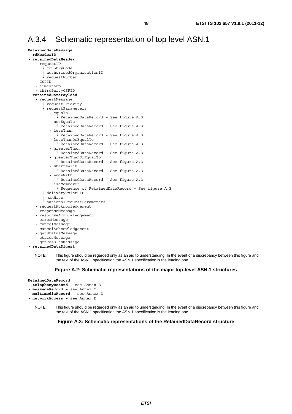## A.3.4 Schematic representation of top level ASN.1

```
RetainedDataMessage 
  ├ rdHeaderID
  ├ retainedDataHeader
     requestID
        countryCode
        authorisedOrganisationID
      L requestNumber
     │ ├ CSPID 
     timestamp
    │ └ thirdPartyCSPID 
  ├ retainedDataPayload
     requestMessage
        -<br>
requestPriority
        requestParameters
           equals
            L RetainedDataRecord - See figure A.3
           notEquals
            L RetainedDataRecord - See figure A.3
           lessThan
            L RetainedDataRecord - See figure A.3
           lessThanOrEqualTo
             L RetainedDataRecord - See figure A.3
           greaterThan
             L RetainedDataRecord - See figure A.3
           qreaterThanOrEqualTo
             L RetainedDataRecord - See figure A.3
           startsWith
            L RetainedDataRecord - See figure A.3
           \mathtt{endsWith}L RetainedDataRecord - See figure A.3
           isaMemberOf
             L Sequence of RetainedDataRecord - See figure A.3
        deliveryPointHIB
        maxHitsnationalRequestParameters
     requestAcknowledgement
     responseMessage
     │ ├ responseAcknowledgement 
     errorMessage
     cancelMessage
     cancelAcknowledgement
     getStatusMessage
     statusMessage
     getResultsMessage
  └ retainedDataDigest
```
#### **Figure A.2: Schematic representations of the major top-level ASN.1 structures**

```
RetainedDataRecord 
  ├ telephonyRecord – see Annex B 
  ├ messageRecord – see Annex C 
  ├ multimediaRecord – see Annex D 
  └ networkAccess – see Annex E
```
NOTE: This figure should be regarded only as an aid to understanding. In the event of a discrepancy between this figure and the text of the ASN.1 specification the ASN.1 specification is the leading one.

**Figure A.3: Schematic representations of the RetainedDataRecord structure** 

NOTE: This figure should be regarded only as an aid to understanding. In the event of a discrepancy between this figure and the text of the ASN.1 specification the ASN.1 specification is the leading one.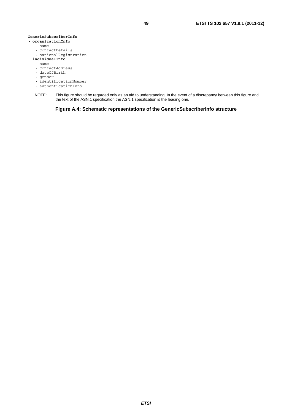| GenericSubscriberInfo |
|-----------------------|
| organizationInfo      |
| name                  |
| contactDetails        |
| nationalReqistration  |
| individualInfo        |
| name                  |
| contactAddress        |
| dateOfBirth           |
| gender                |
| identificationNumber  |
| authenticationInfo    |

NOTE: This figure should be regarded only as an aid to understanding. In the event of a discrepancy between this figure and the text of the ASN.1 specification the ASN.1 specification is the leading one.

**Figure A.4: Schematic representations of the GenericSubscriberInfo structure**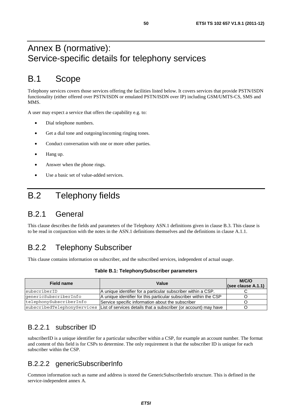## Annex B (normative): Service-specific details for telephony services

# B.1 Scope

Telephony services covers those services offering the facilities listed below. It covers services that provide PSTN/ISDN functionality (either offered over PSTN/ISDN or emulated PSTN/ISDN over IP) including GSM/UMTS-CS, SMS and MMS.

A user may expect a service that offers the capability e.g. to:

- Dial telephone numbers.
- Get a dial tone and outgoing/incoming ringing tones.
- Conduct conversation with one or more other parties.
- Hang up.
- Answer when the phone rings.
- Use a basic set of value-added services.

# B.2 Telephony fields

## B.2.1 General

This clause describes the fields and parameters of the Telephony ASN.1 definitions given in clause B.3. This clause is to be read in conjunction with the notes in the ASN.1 definitions themselves and the definitions in clause A.1.1.

## B.2.2 Telephony Subscriber

This clause contains information on subscriber, and the subscribed services, independent of actual usage.

| Field name              | Value                                                                                        | M/C/O<br>(see clause A.1.1) |
|-------------------------|----------------------------------------------------------------------------------------------|-----------------------------|
| subscriberID            | IA unique identifier for a particular subscriber within a CSP.                               |                             |
| qenericSubscriberInfo   | A unique identifier for this particular subscriber within the CSP                            |                             |
| telephonySubscriberInfo | Service specific information about the subscriber                                            |                             |
|                         | subscribedTelephonyServices List of services details that a subscriber (or account) may have |                             |

### B.2.2.1 subscriber ID

subscriberID is a unique identifier for a particular subscriber within a CSP, for example an account number. The format and content of this field is for CSPs to determine. The only requirement is that the subscriber ID is unique for each subscriber within the CSP.

### B.2.2.2 genericSubscriberInfo

Common information such as name and address is stored the GenericSubscriberInfo structure. This is defined in the service-independent annex A.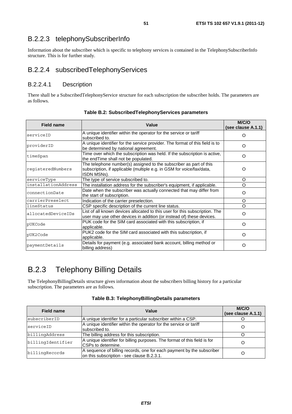## B.2.2.3 telephonySubscriberInfo

Information about the subscriber which is specific to telephony services is contained in the TelephonySubscriberInfo structure. This is for further study.

### B.2.2.4 subscribedTelephonyServices

### B.2.2.4.1 Description

There shall be a SubscribedTelephonyService structure for each subscription the subscriber holds. The parameters are as follows.

| <b>Field name</b>   | Value                                                                                                                                                      | M/C/O<br>(see clause A.1.1) |
|---------------------|------------------------------------------------------------------------------------------------------------------------------------------------------------|-----------------------------|
| serviceID           | A unique identifier within the operator for the service or tariff<br>subscribed to.                                                                        | ∩                           |
| providerID          | A unique identifier for the service provider. The format of this field is to<br>be determined by national agreement.                                       | O                           |
| timeSpan            | Time over which the subscription was held. If the subscription is active,<br>the endTime shall not be populated.                                           | $\Omega$                    |
| reqisteredNumbers   | The telephone number(s) assigned to the subscriber as part of this<br>subscription, if applicable (multiple e.g. in GSM for voice/fax/data,<br>ISDN MSNs). | O                           |
| serviceType         | The type of service subscribed to.                                                                                                                         | $\Omega$                    |
| installationAddress | The installation address for the subscriber's equipment, if applicable.                                                                                    | $\Omega$                    |
| connectionDate      | Date when the subscriber was actually connected that may differ from<br>the start of subscription.                                                         | $\Omega$                    |
| carrierPreselect    | Indication of the carrier preselection.                                                                                                                    | O                           |
| llineStatus         | CSP specific description of the current line status.                                                                                                       | $\Omega$                    |
| allocatedDeviceIDs  | List of all known devices allocated to this user for this subscription. The<br>user may use other devices in addition (or instead of) these devices.       | $\Omega$                    |
| pUKCode             | PUK code for the SIM card associated with this subscription, if<br>applicable.                                                                             | O                           |
| pUK2Code            | PUK2 code for the SIM card associated with this subscription, if<br>applicable.                                                                            | $\Omega$                    |
| paymentDetails      | Details for payment (e.g. associated bank account, billing method or<br>billing address)                                                                   | $\Omega$                    |

**Table B.2: SubscribedTelephonyServices parameters** 

## B.2.3 Telephony Billing Details

The TelephonyBillingDetails structure gives information about the subscribers billing history for a particular subscription. The parameters are as follows.

| <b>Field name</b> | Value                                                                                                               | M/C/O<br>(see clause A.1.1) |
|-------------------|---------------------------------------------------------------------------------------------------------------------|-----------------------------|
| subscriberID      | A unique identifier for a particular subscriber within a CSP.                                                       |                             |
| serviceID         | A unique identifier within the operator for the service or tariff<br>subscribed to.                                 |                             |
| billingAddress    | The billing address for this subscription.                                                                          |                             |
| billingIdentifier | A unique identifier for billing purposes. The format of this field is for<br>CSPs to determine.                     |                             |
| billingRecords    | A sequence of billing records, one for each payment by the subscriber<br>on this subscription - see clause B.2.3.1. |                             |

|  | Table B.3: TelephonyBillingDetails parameters |  |  |  |
|--|-----------------------------------------------|--|--|--|
|--|-----------------------------------------------|--|--|--|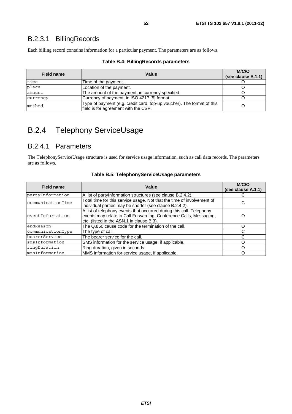## B.2.3.1 BillingRecords

Each billing record contains information for a particular payment. The parameters are as follows.

| Field name | Value                                                                                                          | M/C/O<br>(see clause A.1.1) |
|------------|----------------------------------------------------------------------------------------------------------------|-----------------------------|
|            |                                                                                                                |                             |
| time       | Time of the payment.                                                                                           |                             |
| place      | Location of the payment.                                                                                       |                             |
| amount     | The amount of the payment, in currency specified.                                                              |                             |
| currency   | Currency of payment, in ISO 4217 [5] format.                                                                   |                             |
| method     | Type of payment (e.g. credit card, top-up voucher). The format of this<br>field is for agreement with the CSP. | O                           |

#### **Table B.4: BillingRecords parameters**

# B.2.4 Telephony ServiceUsage

### B.2.4.1 Parameters

The TelephonyServiceUsage structure is used for service usage information, such as call data records. The parameters are as follows.

| <b>Field name</b> | Value                                                                                                                                                                                   | <b>M/C/O</b><br>(see clause A.1.1) |
|-------------------|-----------------------------------------------------------------------------------------------------------------------------------------------------------------------------------------|------------------------------------|
| partyInformation  | A list of partyInformation structures (see clause B.2.4.2).                                                                                                                             |                                    |
| communicationTime | Total time for this service usage. Not that the time of involvement of<br>individual parties may be shorter (see clause B.2.4.2).                                                       | С                                  |
| eventInformation  | A list of telephony events that occurred during this call. Telephony<br>events may relate to Call Forwarding, Conference Calls, Messaging,<br>etc. (listed in the ASN.1 in clause B.3). | O                                  |
| endReason         | The Q.850 cause code for the termination of the call.                                                                                                                                   |                                    |
| communicationType | The type of call.                                                                                                                                                                       | C                                  |
| bearerService     | The bearer service for the call.                                                                                                                                                        |                                    |
| smsInformation    | SMS information for the service usage, if applicable.                                                                                                                                   |                                    |
| ringDuration      | Ring duration, given in seconds.                                                                                                                                                        |                                    |
| mmsInformation    | MMS information for service usage, if applicable.                                                                                                                                       |                                    |

#### **Table B.5: TelephonyServiceUsage parameters**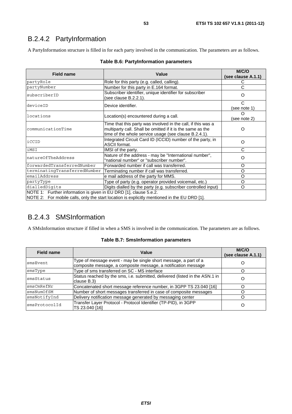## B.2.4.2 PartyInformation

A PartyInformation structure is filled in for each party involved in the communication. The parameters are as follows.

| <b>Field name</b>                                                                                                                                                 | Value                                                                                                                                                                               | M/C/O<br>(see clause A.1.1) |
|-------------------------------------------------------------------------------------------------------------------------------------------------------------------|-------------------------------------------------------------------------------------------------------------------------------------------------------------------------------------|-----------------------------|
| partyRole                                                                                                                                                         | Role for this party (e.g. called, calling).                                                                                                                                         | С                           |
| partyNumber                                                                                                                                                       | Number for this party in E.164 format.                                                                                                                                              | C                           |
| subscriberID                                                                                                                                                      | Subscriber identifier, unique identifier for subscriber<br>(see clause B.2.2.1).                                                                                                    | O                           |
| deviceID                                                                                                                                                          | Device identifier.                                                                                                                                                                  | C<br>(see note 1)           |
| locations                                                                                                                                                         | Location(s) encountered during a call.                                                                                                                                              | O<br>(see note 2)           |
| communicationTime                                                                                                                                                 | Time that this party was involved in the call, if this was a<br>multiparty call. Shall be omitted if it is the same as the<br>time of the whole service usage (see clause B.2.4.1). | $\Omega$                    |
| iCCID                                                                                                                                                             | Integrated Circuit Card ID (ICCID) number of the party, in<br>ASCII format.                                                                                                         | O                           |
| iMSI                                                                                                                                                              | IMSI of the party.                                                                                                                                                                  | C                           |
| natureOfTheAddress                                                                                                                                                | Nature of the address - may be "International number",<br>"national number" or "subscriber number".                                                                                 | O                           |
| forwardedTransferredNumber                                                                                                                                        | Forwarded number if call was transferred.                                                                                                                                           | O                           |
| terminatingTransferredNumber                                                                                                                                      | Terminating number if call was transferred.                                                                                                                                         | O                           |
| emailAddress                                                                                                                                                      | e mail address of the party for MMS.                                                                                                                                                | O                           |
| partyType                                                                                                                                                         | Type of party (e.g. operator provided voicemail, etc.)                                                                                                                              | O                           |
| dialledDigits                                                                                                                                                     | Digits dialled by the party (e.g. subscriber controlled input)                                                                                                                      | O                           |
| NOTE 1: Further information is given in EU DRD [1], clause 5.e.2.<br>NOTE 2: For mobile calls, only the start location is explicitly mentioned in the EU DRD [1]. |                                                                                                                                                                                     |                             |

### **Table B.6: PartyInformation parameters**

## B.2.4.3 SMSInformation

A SMsInformation structure if filled in when a SMS is involved in the communication. The parameters are as follows.

#### **Table B.7: SmsInformation parameters**

| <b>Field name</b> | Value                                                                                                                              | M/C/O<br>(see clause A.1.1) |
|-------------------|------------------------------------------------------------------------------------------------------------------------------------|-----------------------------|
| smsEvent          | Type of message event - may be single short message, a part of a<br>composite message, a composite message, a notification message | Ő                           |
| smsType           | Type of sms transferred on SC - MS interface                                                                                       |                             |
| smsStatus         | Status reached by the sms, i.e. submitted, delivered (listed in the ASN.1 in<br>clause B.3)                                        | O                           |
| smsCmRefNr        | Concatenated short message reference number, in 3GPP TS 23.040 [16]                                                                |                             |
| smsNumOfSM        | Number of short messages transferred in case of composite messages                                                                 |                             |
| smsNotifyInd      | Delivery notification message generated by messaging center                                                                        |                             |
| smsProtocolId     | Transfer Layer Protocol - Protocol Identifier (TP-PID), in 3GPP<br>TS 23.040 [16]                                                  | O                           |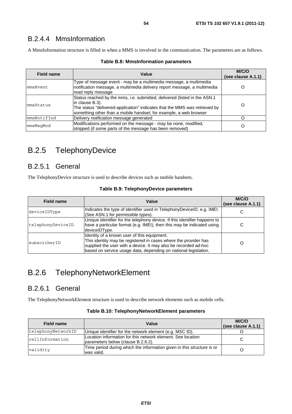## B.2.4.4 MmsInformation

A MmsInformation structure is filled in when a MMS is involved in the communication. The parameters are as follows.

| Value<br>Field name |                                                                                                                                                                                                                                                  | M/C/O<br>(see clause A.1.1) |
|---------------------|--------------------------------------------------------------------------------------------------------------------------------------------------------------------------------------------------------------------------------------------------|-----------------------------|
| mmsEvent            | Type of message event - may be a multimedia message, a multimedia<br>notification message, a multimedia delivery report message, a multimedia<br>read reply message                                                                              |                             |
| mmsStatus           | Status reached by the mms, i.e. submitted, delivered (listed in the ASN.1<br>lin clause B.3).<br>The status "delivered-application" indicates that the MMS was retrieved by<br>something other than a mobile handset; for example, a web browser |                             |
| mmsNotifInd         | Delivery notification message generated                                                                                                                                                                                                          |                             |
| mmsMsqMod           | Modifications performed on the message - may be none, modified,<br>stripped (if some parts of the message has been removed)                                                                                                                      |                             |

#### **Table B.8: MmsInformation parameters**

## B.2.5 TelephonyDevice

### B.2.5.1 General

The TelephonyDevice structure is used to describe devices such as mobile handsets.

|  |  |  | Table B.9: TelephonyDevice parameters |
|--|--|--|---------------------------------------|
|--|--|--|---------------------------------------|

| <b>Field name</b>                                                                                                                                                                         | Value                                                                                                                                                                                                                                                | M/C/O<br>(see clause A.1.1) |
|-------------------------------------------------------------------------------------------------------------------------------------------------------------------------------------------|------------------------------------------------------------------------------------------------------------------------------------------------------------------------------------------------------------------------------------------------------|-----------------------------|
| deviceIDType                                                                                                                                                                              | Indicates the type of identifier used in TelephonyDeviceID, e.g. IMEI.<br>(See ASN.1 for permissible types).                                                                                                                                         |                             |
| Unique identifier for the telephony device. If this identifier happens to<br>have a particular format (e.g. IMEI), then this may be indicated using<br>telephonyDeviceID<br>deviceIDType. |                                                                                                                                                                                                                                                      | С                           |
| subscriberID                                                                                                                                                                              | Identity of a known user of this equipment.<br>This identity may be registered in cases where the provider has<br>supplied the user with a device. It may also be recorded ad-hoc<br>based on service usage data, depending on national legislation. |                             |

## B.2.6 TelephonyNetworkElement

### B.2.6.1 General

The TelephonyNetworkElement structure is used to describe network elements such as mobile cells.

| <b>Field name</b>  | Value                                                                                             | M/C/O<br>(see clause A.1.1) |
|--------------------|---------------------------------------------------------------------------------------------------|-----------------------------|
| telephonyNetworkID | Unique identifier for the network element (e.g. MSC ID).                                          |                             |
| cellInformation    | Location information for this network element. See location<br>parameters below (clause B.2.6.2). | C                           |
| validity           | Time period during which the information given in this structure is or<br>was valid.              |                             |

**Table B.10: TelephonyNetworkElement parameters**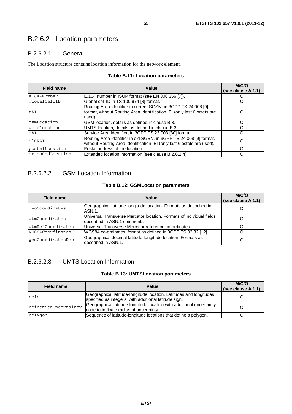## B.2.6.2 Location parameters

### B.2.6.2.1 General

The Location structure contains location information for the network element.

| <b>Field name</b> | Value                                                                                                                                               | M/C/O<br>(see clause A.1.1) |
|-------------------|-----------------------------------------------------------------------------------------------------------------------------------------------------|-----------------------------|
| $e164 - Number$   | E.164 number in ISUP format (see EN 300 356 [7]).                                                                                                   |                             |
| qlobalCellID      | Global cell ID in TS 100 974 [8] format.                                                                                                            |                             |
| rAI               | Routing Area Identifier in current SGSN, in 3GPP TS 24.008 [9]<br>format, without Routing Area Identification IEI (only last 6 octets are<br>used). | O                           |
| qsmLocation       | GSM location, details as defined in clause B.3.                                                                                                     |                             |
| umtsLocation      | UMTS location, details as defined in clause B.3.                                                                                                    | C                           |
| sAI               | Service Area Identifier, in 3GPP TS 23.003 [30] format.                                                                                             |                             |
| oldRAI            | Routing Area Identifier in old SGSN, in 3GPP TS 24.008 [9] format,<br>without Routing Area Identification IEI (only last 6 octets are used).        | O                           |
| postalLocation    | Postal address of the location.                                                                                                                     | ∩                           |
| extendedLocation  | Extended location information (see clause B.2.6.2.4)                                                                                                |                             |

#### **Table B.11: Location parameters**

### B.2.6.2.2 GSM Location Information

### **Table B.12: GSMLocation parameters**

| <b>Field name</b> | Value                                                                                                | M/C/O<br>(see clause A.1.1) |
|-------------------|------------------------------------------------------------------------------------------------------|-----------------------------|
| qeoCoordinates    | Geographical latitude-longitude location. Formats as described in<br>ASN.1.                          |                             |
| lutmCoordinates   | Universal Transverse Mercator location. Formats of individual fields<br>described in ASN.1 comments. |                             |
| utmRefCoordinates | Universal Transverse Mercator reference co-ordinates.                                                |                             |
| wGS84Coordinates  | WGS84 co-ordinates, format as defined in 3GPP TS 03.32 [12].                                         |                             |
| qeoCoordinatesDec | Geographical decimal latitude-longitude location. Formats as<br>described in ASN.1.                  |                             |

### B.2.6.2.3 UMTS Location Information

#### **Table B.13: UMTSLocation parameters**

| Value<br>Field name  |                                                                                                                             | M/C/O<br>(see clause A.1.1) |
|----------------------|-----------------------------------------------------------------------------------------------------------------------------|-----------------------------|
| point                | Geographical latitude-longitude location. Latitudes and longitudes<br>specified as integers, with additional latitude sign. |                             |
| pointWithUncertainty | Geographical latitude-longitude location with additional uncertainty<br>code to indicate radius of uncertainty.             |                             |
| polygon              | Sequence of latitude-longitude locations that define a polygon.                                                             |                             |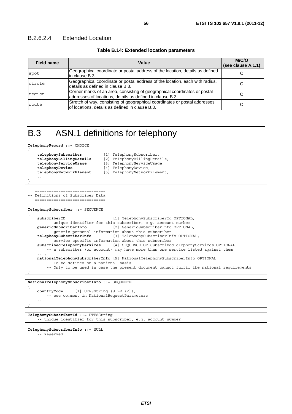### B.2.6.2.4 Extended Location

|  | Table B.14: Extended location parameters |  |
|--|------------------------------------------|--|
|--|------------------------------------------|--|

| <b>Field name</b> | Value                                                                                                                                  | M/C/O<br>(see clause A.1.1) |
|-------------------|----------------------------------------------------------------------------------------------------------------------------------------|-----------------------------|
| spot              | Geographical coordinate or postal address of the location, details as defined<br>lin clause B.3.                                       |                             |
| circle            | Geographical coordinate or postal address of the location, each with radius,<br>Idetails as defined in clause B.3.                     |                             |
| region            | Corner marks of an area, consisting of geographical coordinates or postal<br>addresses of locations, details as defined in clause B.3. |                             |
| route             | Stretch of way, consisting of geographical coordinates or postal addresses<br>of locations, details as defined in clause B.3.          |                             |

## B.3 ASN.1 definitions for telephony

```
TelephonyRecord ::= CHOICE 
{ 
     telephonySubscriber [1] TelephonySubscriber,<br>
telephonyBillingDetails [2] TelephonyBillingDeta
     telephonyBillingDetails [2] TelephonyBillingDetails,<br>
telephonyServiceUsage [3] TelephonyServiceUsage,
                                           telephonyServiceUsage [3] TelephonyServiceUsage, 
     telephonyDevice [4] TelephonyDevice, 
     telephonyNetworkElement [5] TelephonyNetworkElement, 
      ... 
}
```

```
-- ============================== 
-- Definitions of Subscriber Data
```

```
-- ==============================
```

```
TelephonySubscriber ::= SEQUENCE
```

```
{ 
    subscriberID [1] TelephonySubscriberId OPTIONAL, 
         -- unique identifier for this subscriber, e.g. account number 
    genericSubscriberInfo [2] GenericSubscriberInfo OPTIONAL, 
    -- generic personal information about this subscriber<br>telephonySubscriberInfo [3] TelephonySubscriberIn
                                  telephonySubscriberInfo [3] TelephonySubscriberInfo OPTIONAL, 
        .<br>-- service-specific information about this subscriber
    subscribedTelephonyServices [4] SEQUENCE OF SubscribedTelephonyServices OPTIONAL, 
         -- a subscriber (or account) may have more than one service listed against them 
 ..., 
    nationalTelephonySubscriberInfo [5] NationalTelephonySubscriberInfo OPTIONAL 
         -- To be defined on a national basis 
         -- Only to be used in case the present document cannot fulfil the national requirements 
}
```
#### **NationalTelephonySubscriberInfo** ::= SEQUENCE

```
countryCode [1] UTF8String (SIZE (2)), 
        -- see comment in NationalRequestParameters 
 ...
```

```
TelephonySubscriberId ::= UTF8String 
     -- unique identifier for this subscriber, e.g. account number
```

```
TelephonySubscriberInfo ::= NULL 
     -- Reserved
```
{

}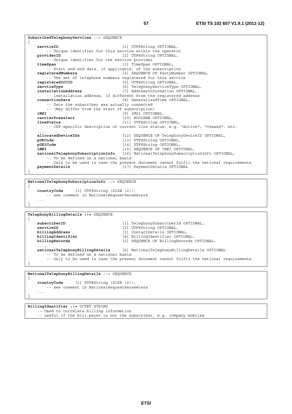```
SubscribedTelephonyServices ::= SEQUENCE 
{ 
    serviceID [1] UTF8String OPTIONAL, 
         -- Unique identifier for this service within the operator 
   providerID [2] UTF8String OPTIONAL,
         -- Unique identifier for the service provider 
    timeSpan [3] TimeSpan OPTIONAL, 
    -- Start and end data, if applicable, of the subscription registered Numbers [4] SEQUENCE OF PartyNumb
                                        [4] SEQUENCE OF PartyNumber OPTIONAL,
         -- The set of telephone numbers registered for this service 
     registeredICCID [5] UTF8String OPTIONAL, 
    serviceType [6] TelephonyServiceType OPTIONAL,<br>
installationAddress [7] AddressInformation OPTIONAL.
                                         [7] AddressInformation OPTIONAL,
        -- installation address, if different from the registered address 
    connectionDate [8] GeneralizedTime OPTIONAL, 
        -- Date the subscriber was actually connected 
    -- (May differ from the start of subscription)<br>iMSI [9] IMSI OPTIC
    iMSI [9] IMSI OPTIONAL,<br>
carrierPreselect [10] BOOLEAN OPTIC
                                         [10] BOOLEAN OPTIONAL,
    lineStatus [11] UTF8String OPTIONAL, 
        -- CSP-specific description of current line status, e.g. "Active", "Ceased", etc. 
 ..., 
   allocatedDeviceIDs [12] SEQUENCE OF TelephonyDeviceID OPTIONAL,<br>pUKCode [13] UTF8String OPTIONAL.
    pUKCode [13] UTF8String OPTIONAL, 
                                         [14] UTF8String OPTIONAL,
    iMEI iMEI iMEI iMEI b iMEI b iMEI b iMEI b iMEI b iMEI b i
    nationalTelephonySubscriptionInfo [16] NationalTelephonySubscriptionInfo OPTIONAL, 
         -- To be defined on a national basis 
    -- Only to be used in case the present document cannot fulfil the national requirements<br>paymentDetails (17) PaymentDetails OPTIONAL
                                        paymentDetails [17] PaymentDetails OPTIONAL 
}
```
**NationalTelephonySubscriptionInfo** ::= SEQUENCE

{

{

}

**countryCode** [1] UTF8String (SIZE (2)), -- see comment in NationalRequestParameters ... }

```
TelephonyBillingDetails ::= SEQUENCE 
{
```

```
subscriberID [1] TelephonySubscriberId OPTIONAL,<br>serviceID [2] UTF8String OPTIONAL,
                                    [2] UTF8String OPTIONAL,
   billingAddress [3] ContactDetails OPTIONAL, 
   billingIdentifier [4] BillingIdentifier OPTIONAL, 
   billingRecords [5] SEQUENCE OF BillingRecords OPTIONAL, 
 ..., 
   nationalTelephonyBillingDetails [6] NationalTelephonyBillingDetails OPTIONAL 
       -- To be defined on a national basis 
        -- Only to be used in case the present document cannot fulfil the national requirements 
}
```
#### **NationalTelephonyBillingDetails** ::= SEQUENCE

**countryCode** [1] UTF8String (SIZE (2)), -- see comment in NationalRequestParameters ...

**BillingIdentifier ::=** OCTET STRING -- Used to correlate billing information -- useful if the bill-payer is not the subscriber, e.g. company mobiles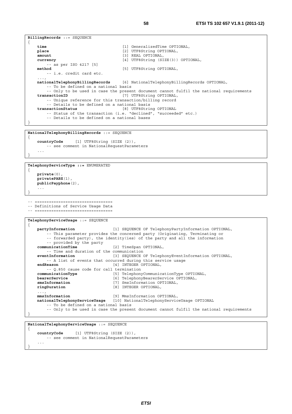```
BillingRecords ::= SEQUENCE 
{ 
   time [1] GeneralizedTime OPTIONAL, 
   place [2] UTF8String OPTIONAL, 
   amount [3] REAL OPTIONAL, 
   currency [4] UTF8String (SIZE(3)) OPTIONAL, 
   -- as per ISO 4217 [5]<br>method
                                      [5] UTF8String OPTIONAL,
        -- i.e. credit card etc. 
 ..., 
   nationalTelephonyBillingRecords [6] NationalTelephonyBillingRecords OPTIONAL, 
        -- To be defined on a national basis 
         -- Only to be used in case the present document cannot fulfil the national requirements 
    transactionID [7] UTF8String OPTIONAL,
        -- Unique reference for this transaction/billing record 
        -- Details to be defined on a national basis 
    transactionStatus [8] UTF8String OPTIONAL 
        -- Status of the transaction (i.e. "declined", "succeeded" etc.)
        -- Details to be defined on a national bases 
} 
NationalTelephonyBillingRecords ::= SEQUENCE 
{ 
   countryCode [1] UTF8String (SIZE (2)), 
        -- see comment in NationalRequestParameters 
 ... 
} 
TelephonyServiceType ::= ENUMERATED 
{ 
   private(0), 
   privatePABX(1), 
   publicPayphone(2), 
     ... 
} 
-- ================================= 
-- Definitions of Service Usage Data 
-- ==================================
TelephonyServiceUsage ::= SEQUENCE 
{ 
   partyInformation [1] SEQUENCE OF TelephonyPartyInformation OPTIONAL, 
        -- This parameter provides the concerned party (Originating, Terminating or 
        -- forwarded party), the identity(ies) of the party and all the information 
   -- provided by the party<br>communicationTime
                                  communicationTime [2] TimeSpan OPTIONAL, 
        -- Time and duration of the communication 
   eventInformation [3] SEQUENCE OF TelephonyEventInformation OPTIONAL, 
         -- A list of events that occurred during this service usage 
   endReason [4] INTEGER OPTIONAL, 
   -- Q.850 cause code for call termination<br>communicationType [5] Telephony
    communicationType [5] TelephonyCommunicationType OPTIONAL, 
    bearerService [6] TelephonyBearerService OPTIONAL, 
   smsInformation [7] SmsInformation OPTIONAL,<br>
ringDuration [8] INTEGER OPTIONAL,
                                  [8] INTEGER OPTIONAL,
 ..., 
   mmsInformation [9] MmsInformation OPTIONAL, 
   nationalTelephonyServiceUsage [10] NationalTelephonyServiceUsage OPTIONAL 
        -- To be defined on a national basis 
        -- Only to be used in case the present document cannot fulfil the national requirements
```

```
}
```
**NationalTelephonyServiceUsage** ::= SEQUENCE

{

}

```
countryCode [1] UTF8String (SIZE (2)), 
        -- see comment in NationalRequestParameters 
 ...
```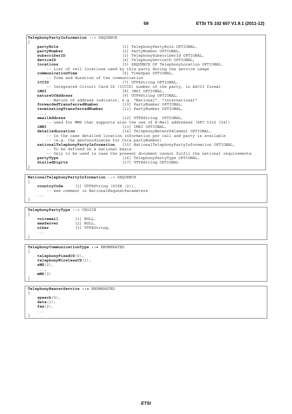```
TelephonyPartyInformation ::= SEQUENCE 
{ 
   partyRole [1] TelephonyPartyRole OPTIONAL, 
   partyNumber [2] PartyNumber OPTIONAL, 
   subscriberID [3] TelephonySubscriberId OPTIONAL, 
   deviceID [4] TelephonyDeviceID OPTIONAL,
   locations [5] SEQUENCE OF TelephonyLocation OPTIONAL, 
   -- List of cell locations used by this party during the service usage communicationTime [6] TimeSpan OPTIONAL,
                                      communicationTime [6] TimeSpan OPTIONAL, 
        -- Time and duration of the communication 
   iCCID iCCID 17 iCCID iCCID iCCID iCCID iCCID
   -- Integrated Circuit Card ID (ICCID) number of the party, in ASCII format<br>
181 IMSI OPTIONAL.
                                      iMSI [8] IMSI OPTIONAL, 
    natureOfAddress [9] UTF8String OPTIONAL, 
        -- Nature of address indicator, e.g. "National", "International" 
   forwardedTransferredNumber [10] PartyNumber OPTIONAL, 
   terminatingTransferredNumber [11] PartyNumber OPTIONAL, 
 ..., 
   emailAddress [12] UTF8String OPTIONAL, 
   -- used for MMS that supports also the use of E-Mail addresses (RFC 5322 [24]) \overline{MRT} [13] \overline{MRT} OPTIONAL.
   iMEI [13] IMEI OPTIONAL,<br>detailedLocation [14] TelephonyNetwo
                                      [14] TelephonyNetworkElement OPTIONAL,
        -- In the case detailed location information per call and party is available 
        -- (e.g. the geoCoordinates for this partyNumber) 
   nationalTelephonyPartyInformation [15] NationalTelephonyPartyInformation OPTIONAL, 
        -- To be defined on a national basis 
        -- Only to be used in case the present document cannot fulfil the national requirements 
   partyType partyType partyType partyType partyType 0PTIONAL,
   dialledDigits [17] UTF8String OPTIONAL 
}
```

```
NationalTelephonyPartyInformation ::= SEQUENCE 
{ 
    countryCode [1] UTF8String (SIZE (2)), 
        -- see comment in NationalRequestParameters
```

```
 ... 
}
```
{

}

}

}

```
TelephonyPartyType ::= CHOICE
```
**voicemail** [1] NULL,<br> **smsServer** [2] NULL,  $s$ msServer [3] UTF8String, ...

```
TelephonyCommunicationType ::= ENUMERATED 
{
```

```
telephonyFixedCS(0), 
   telephonyWirelessCS(1), 
   sMS(2), 
 ..., 
   mMS(3)
```

```
TelephonyBearerService ::= ENUMERATED 
{ 
    speech(0), 
    data(1), 
    fax(2), 
     ...
```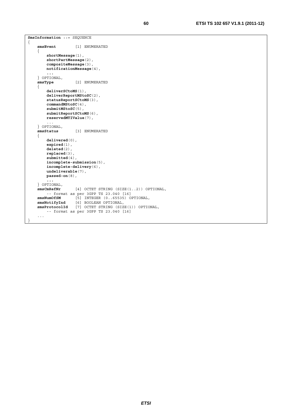```
SmsInformation ::= SEQUENCE
{ 
     smsEvent [1] ENUMERATED 
     { 
         shortMessage(1), 
         shortPartMessage(2), 
         compositeMessage(3), 
         notificationMessage(4), 
         ... 
     } OPTIONAL, 
     smsType [2] ENUMERATED 
     { 
         deliverSCtoMS(1), 
         deliverReportMStoSC(2), 
         statusReportSCtoMS(3), 
         commandMStoSC(4), 
         submitMStoSC(5), 
         submitReportSCtoMS(6), 
         reservedMTIValue(7), 
     ... 
 } OPTIONAL, 
    smsStatus [3] ENUMERATED 
    { 
         delivered(0), 
         expired(1), 
         deleted(2), 
         replaced(3), 
        submitted(4),
         incomplete-submission(5), 
         incomplete-delivery(6), 
         undeliverable(7), 
         passed-on(8), 
         ... 
    } OPTIONAL, 
                    smsCmRefNr [4] OCTET STRING (SIZE(1..2)) OPTIONAL, 
         -- format as per 3GPP TS 23.040 [16] 
     smsNumOfSM [5] INTEGER (0..65535) OPTIONAL, 
     smsNotifyInd [6] BOOLEAN OPTIONAL, 
     smsProtocolId [7] OCTET STRING (SIZE(1)) OPTIONAL, 
         -- format as per 3GPP TS 23.040 [16] 
    ...
```
}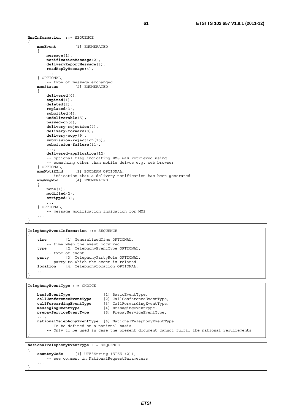```
MmsInformation ::= SEQUENCE
{ 
     mmsEvent [1] ENUMERATED
    { 
         message(1),
         notificationMessage(2),
          deliveryReportMessage(3),
         readReplyMessage(4),
          ... 
     } OPTIONAL, 
    -- type of message exchanged<br>mmsStatus [2] ENUMERATED
                      mmsStatus [2] ENUMERATED
    { 
         delivered(0), 
          expired(1), 
          deleted(2), 
         replaced(3), 
          submitted(4), 
         undeliverable(5), 
         passed-on(6), 
          delivery-rejection(7), 
         delivery-forward(8), 
         delivery-copy(9), 
          submission-rejection(10), 
         submission-failure(11),
...,
         delivered-application(12)
          -- optional flag indicating MMS was retrieved using 
          -- something other than mobile deivce e.g. web browser 
    } OPTIONAL, 
                       mmsNotifInd [3] BOOLEAN OPTIONAL, 
         -- indication that a delivery notification has been generated 
     mmsMsgMod [4] ENUMERATED
    { 
         none(1),
         modified(2),
         stripped(3),
 ... ...
    } OPTIONAL, 
          -- message modification indication for MMS 
     ... 
}
```
**TelephonyEventInformation** ::= SEQUENCE

{

}

```
time [1] GeneralizedTime OPTIONAL, 
    -- time when the event occurred 
type [2] TelephonyEventType OPTIONAL, 
    -- type of event 
party [3] TelephonyPartyRole OPTIONAL, 
    -- party to which the event is related
location [4] TelephonyLocation OPTIONAL, 
 ...
```
**TelephonyEventType** ::= CHOICE { **basicEventType** [1] BasicEventType,<br> **callConferenceEventType** [2] CallConferenceE **callConferenceEventType** [2] CallConferenceEventType, **callForwardingEventType** [3] CallForwardingEventType,

```
messagingEventType [4] MessagingEventType, 
   prepayServiceEventType [5] PrepayServiceEventType, 
 ..., 
   nationalTelephonyEventType [6] NationalTelephonyEventType 
        -- To be defined on a national basis 
        -- Only to be used in case the present document cannot fulfil the national requirements 
}
```

```
NationalTelephonyEventType ::= SEQUENCE 
{ 
    countryCode [1] UTF8String (SIZE (2)), 
        -- see comment in NationalRequestParameters 
 ... 
}
```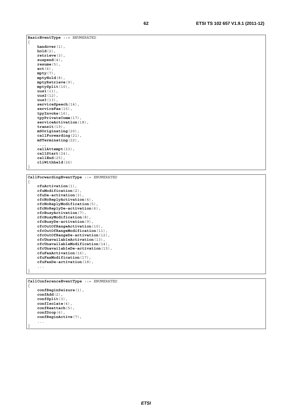```
BasicEventType ::= ENUMERATED 
{ 
    handover(1), 
    hold(2), 
    retrieve(3), 
    suspend(4), 
    resume(5), 
    ect(6), 
    mpty(7), 
    mptyHold(8), 
    mptyRetrieve(9), 
    mptySplit(10), 
    uus1(11), 
    uus2(12), 
    uus3(13), 
    serviceSpeech(14), 
    serviceFax(15), 
    tpyInvoke(16), 
    tpyPrivateComm(17), 
     serviceActivation(18), 
     transit(19), 
    mSOriginating(20), 
    callForwarding(21), 
    mSTerminating(22), 
 ..., 
    callAttempt(23), 
    callStart(24), 
    callEnd(25), 
    cliWithheld(26) 
}
```

```
CallForwardingEventType ::= ENUMERATED 
{ 
     cfuActivation(1), 
    cfuModification(2), 
    cfuDe-activation(3), 
    cfcNoReplyActivation(4), 
    cfcNoReplyModification(5), 
    cfcNoReplyDe-activation(6), 
    cfcBusyActivation(7), 
    cfcBusyModification(8), 
    cfcBusyDe-activation(9), 
    cfcOutOfRangeActivation(10), 
    cfcOutOfRangeModification(11), 
    cfcOutOfRangeDe-activation(12), 
    cfcUnavailableActivation(13), 
    cfcUnavailableModification(14), 
    cfcUnavailableDe-activation(15), 
    cfuFaxActivation(16), 
    cfuFaxModification(17), 
    cfuFaxDe-activation(18), 
     ... 
}
```

```
CallConferenceEventType ::= ENUMERATED 
{ 
    confBeginSeizure(1), 
    confAdd(2), 
    confSplit(3), 
    confIsolate(4), 
    confReattach(5), 
    confDrop(6), 
    confBeginActive(7), 
     ...
```
}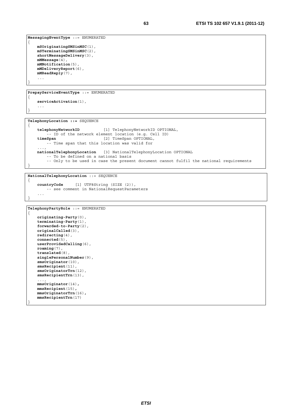```
MessagingEventType ::= ENUMERATED 
    mSOriginatingSMSinMSC(1), 
    mSTerminatingSMSinMSC(2), 
    shortMessageDelivery(3), 
   mMMessage(4), 
    mMNotification(5), 
    mMDeliveryReport(6), 
    mMReadReply(7), 
     ... 
}
```
{

{

}

{

}

}

**PrepayServiceEventType** ::= ENUMERATED

```
serviceActivation(1), 
 ...
```
**TelephonyLocation ::=** SEQUENCE

```
telephonyNetworkID [1] TelephonyNetworkID OPTIONAL, 
 -- ID of the network element location (e.g. Cell ID) 
   timeSpan [2] TimeSpan OPTIONAL, 
       -- Time span that this location was valid for 
 ..., 
   nationalTelephonyLocation [3] NationalTelephonyLocation OPTIONAL 
        -- To be defined on a national basis 
        -- Only to be used in case the present document cannot fulfil the national requirements
```
**NationalTelephonyLocation** ::= SEQUENCE { **countryCode** [1] UTF8String (SIZE (2)),

```
 -- see comment in NationalRequestParameters 
 ...
```

```
TelephonyPartyRole ::= ENUMERATED 
{ 
    originating-Party(0), 
    terminating-Party(1), 
    forwarded-to-Party(2), 
    originalCalled(3), 
    redirecting(4), 
    connected(5), 
    userProvidedCalling(6), 
    roaming(7), 
    translated(8), 
    singlePersonalNumber(9), 
    smsOriginator(10), 
    smsRecipient(11), 
    smsOriginatorTrn(12), 
    smsRecipientTrn(13), 
      ..., 
     mmsOriginator(14), 
     mmsRecipient(15), 
     mmsOriginatorTrn(16), 
     mmsRecipientTrn(17) 
}
```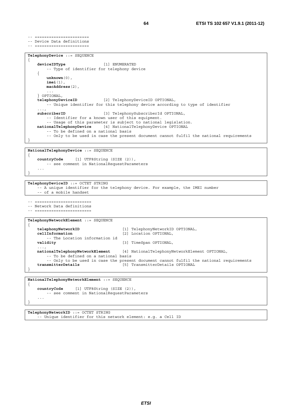```
-- ======================= 
-- Device Data definitions 
-- =======================
```

```
TelephonyDevice ::= SEQUENCE 
{ 
   deviceIDType [1] ENUMERATED 
        -- Type of identifier for telephony device 
    { 
        unknown(0), 
        imei(1), 
        macAddress(2), 
 ... 
    } OPTIONAL, 
   telephonyDeviceID [2] TelephonyDeviceID OPTIONAL, 
        -- Unique identifier for this telephony device according to type of identifier 
 ..., 
   subscriberID [3] TelephonySubscriberId OPTIONAL, 
        -- Identifier for a known user of this equipment. 
        -- Usage of this parameter is subject to national legislation. 
    nationalTelephonyDevice [4] NationalTelephonyDevice OPTIONAL 
        -- To be defined on a national basis 
        -- Only to be used in case the present document cannot fulfil the national requirements 
}
```

```
NationalTelephonyDevice ::= SEQUENCE 
\{countryCode [1] UTF8String (SIZE (2)), 
        -- see comment in NationalRequestParameters 
 ...
```

```
}
```
**TelephonyDeviceID** ::= OCTET STRING

```
 -- A unique identifier for the telephony device. For example, the IMEI number 
 -- of a mobile handset
```
-- ========================

```
-- Network Data definitions 
-- ========================
```

```
TelephonyNetworkElement ::= SEQUENCE 
{ 
    telephonyNetworkID [1] TelephonyNetworkID OPTIONAL,<br>
cellInformation [2] Location OPTIONAL,
                                             cellInformation [2] Location OPTIONAL, 
          -- The Location information id 
    validity [3] TimeSpan OPTIONAL, 
 ..., 
    nationalTelephonyNetworkElement [4] NationalTelephonyNetworkElement OPTIONAL, 
          -- To be defined on a national basis 
    -- Only to be used in case the present document cannot fulfil the national requirements<br>[5] TransmitterDetails OPTIONAL
                                              transmitterDetails [5] TransmitterDetails OPTIONAL 
}
```

```
NationalTelephonyNetworkElement ::= SEQUENCE 
{ 
    countryCode [1] UTF8String (SIZE (2)), 
        -- see comment in NationalRequestParameters 
 ... 
}
```
**TelephonyNetworkID** ::= OCTET STRING -- Unique identifier for this network element: e.g. a Cell ID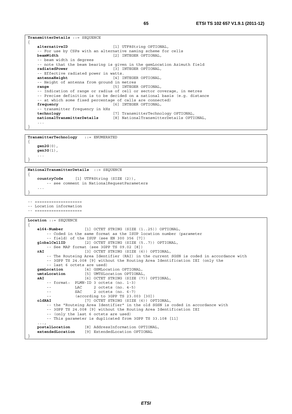```
TransmitterDetails ::= SEQUENCE 
{ 
   alternativeID [1] UTF8String OPTIONAL, 
     -- For use by CSPs with an alternative naming scheme for cells 
   beamWidth [2] INTEGER OPTIONAL, 
    -- beam width in degrees 
    -- note that the beam bearing is given in the gsmLocation Azimuth field 
   radiatedPower [3] INTEGER OPTIONAL, 
   -- Effective radiated power in watts.<br>
antennaHeight [4] [1]
                                 [4] INTEGER OPTIONAL,
     -- Height of antenna from ground in metres 
   range [5] INTEGER OPTIONAL, 
    -- Indication of range or radius of cell or sector coverage, in metres 
    -- Precise definition is to be decided on a national basis (e.g. distance 
    -- at which some fixed percentage of calls are connected) 
   frequency [6] INTEGER OPTIONAL,
     -- transmitter frequency in kHz 
   technology [7] TransmitterTechnology OPTIONAL, 
    nationalTransmitterDetails [8] NationalTransmitterDetails OPTIONAL, 
 ... 
} 
TransmitterTechnology ::= ENUMERATED 
{
```

```
gen2G(0), 
      gen3G(1), 
      ... 
}
```
{

}

```
NationalTransmitterDetails ::= SEQUENCE
```

```
countryCode [1] UTF8String (SIZE (2)), 
       -- see comment in NationalRequestParameters 
 ...
```

```
-- ====================
```

```
-- Location information
```

```
-- ====================
Location ::= SEQUENCE
```

```
{ 
   e164-Number [1] OCTET STRING (SIZE (1..25)) OPTIONAL, 
         -- Coded in the same format as the ISUP location number (parameter 
         -- field) of the ISUP (see EN 300 356 [7]) 
   globalCellID [2] OCTET STRING (SIZE (5..7)) OPTIONAL, 
   -- See MAP format (see 3GPP TS 09.02 [8])<br>rAI (31 OCTET STRING (SIZE 6
                        [3] OCTET STRING (SIZE (6)) OPTIONAL,
        -- The Routeing Area Identifier (RAI) in the current SGSN is coded in accordance with 
        -- 3GPP TS 24.008 [9] without the Routing Area Identification IEI (only the 
   -- last 6 octets are used)<br>gsmLocation [4] GSMLoc
                       gsmLocation [4] GSMLocation OPTIONAL, 
    umtsLocation [5] UMTSLocation OPTIONAL, 
   sAI [6] OCTET STRING (SIZE (7)) OPTIONAL, 
         -- format: PLMN-ID 3 octets (no. 1-3) 
         -- LAC 2 octets (no. 4-5) 
        -- SAC 2 octets (no. 6-7) 
                   (according to 3GPP TS 23.003 [30])
   oldRAI [7] OCTET STRING (SIZE (6)) OPTIONAL, 
        -- the "Routeing Area Identifier" in the old SGSN is coded in accordance with 
        -- 3GPP TS 24.008 [9] without the Routing Area Identification IEI 
        -- (only the last 6 octets are used) 
         -- This parameter is duplicated from 3GPP TS 33.108 [11] 
 ..., 
   postalLocation [8] AddressInformation OPTIONAL, 
   extendedLocation [9] ExtendedLocation OPTIONAL 
}
```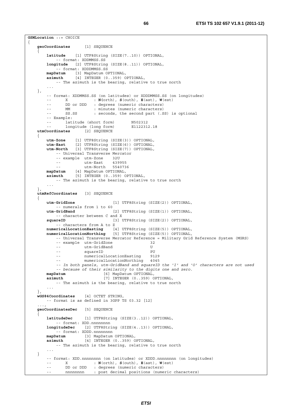```
GSMLocation ::= CHOICE 
{ 
   geoCoordinates [1] SEQUENCE 
 { 
        latitude [1] UTF8String (SIZE(7..10)) OPTIONAL, 
             -- format: XDDMMSS.SS 
        longitude [2] UTF8String (SIZE(8..11)) OPTIONAL, 
             -- format: XDDDMMSS.SS 
        mapDatum [3] MapDatum OPTIONAL, 
        azimuth [4] INTEGER (0..359) OPTIONAL, 
            -- The azimuth is the bearing, relative to true north 
 ... 
    }, 
        -- format: XDDMMSS.SS (on latitudes) or XDDDMMSS.SS (on longitudes)<br>-- X: N(orth), S(outh), E(ast), W(est)
        -- X : N(orth), S(outh), E(ast), W(est) 
        -- DD or DDD : degrees (numeric characters)
 -- MM : minutes (numeric characters) 
-- SS.SS : seconds, the second part (.SS) is optional
         -- Example: 
        -- latitude (short form) N502312<br>-- longitude (long form) E1122312.18
        -- longitude (long form)<br>'oordinates [2] SEQUENCE
   utmCoordinates { 
        utm-Zone [1] UTF8String (SIZE(3)) OPTIONAL, 
 utm-East [2] UTF8String (SIZE(6)) OPTIONAL, 
 utm-North [3] UTF8String (SIZE(7)) OPTIONAL, 
            -- Universal Transverse Mercator 
            -- example utm-Zone 32U 
           -- utm-East 439955<br>utm-North 554073
       -- utm-North 5540736<br>mapDatum [4] MapDatum OPTIONAL,
 mapDatum [4] MapDatum OPTIONAL, 
 azimuth [5] INTEGER (0..359) OPTIONAL, 
            -- The azimuth is the bearing, relative to true north 
 ... 
 }, 
   utmRefCoordinates [3] SEQUENCE 
 { 
        utm-GridZone [1] UTF8String (SIZE(2)) OPTIONAL, 
       -- numerals from 1 to 60<br>utm-GridBand
                                    utm-GridBand [2] UTF8String (SIZE(1)) OPTIONAL, 
        -- character between C and X<br>squareID [3] U
                                   [3] UTF8String (SIZE(2)) OPTIONAL,
            -- characters from A to Z 
 numericalLocationEasting [4] UTF8String (SIZE(5)) OPTIONAL, 
 numericalLocationNorthing [5] UTF8String (SIZE(5)) OPTIONAL, 
            -- Universal Transverse Mercator Reference = Military Grid Reference System (MGRS) 
             -- example utm-GridZone 32 
           -- utm-GridBand U
           -- squareID PU
            -- numericalLocationEasting 9129 
             -- mumericalLocationNorthing 4045 
             -- In both panels, utm-GridBand and squareID the 'I' and 'O' characters are not used 
             -- because of their similarity to the digits one and zero.
        mapDatum [6] MapDatum OPTIONAL, 
       azimuth [7] INTEGER (0..359) OPTIONAL,
           -- The azimuth is the bearing, relative to true north 
 ... 
 }, 
   wGS84Coordinates [4] OCTET STRING, 
         -- format is as defined in 3GPP TS 03.32 [12] 
 ..., 
   geoCoordinatesDec [5] SEQUENCE 
 { 
        latitudeDec [1] UTF8String (SIZE(3..12)) OPTIONAL, 
            -- format: XDD.nnnnnnnn
        longitudeDec [2] UTF8String (SIZE(4..13)) OPTIONAL, 
       -- format: XDDD.nnnnnnnnn<br>mapDatum [3] MapDatum
 mapDatum [3] MapDatum OPTIONAL, 
 azimuth [4] INTEGER (0..359) OPTIONAL, 
            -- The azimuth is the bearing, relative to true north 
 ... 
    } 
        -- format: XDD.nnnnnnnn (on latitudes) or XDDD.nnnnnnnn (on longitudes)<br>-- X : N(\text{orth}), S(\text{outh}), E(\text{ast}), W(\text{est}): N(\text{orth}), S(\text{outh}), E(\text{ast}), W(\text{est})-- DD or DDD : degrees (numeric characters)
               nnnnnnnn : post decimal positions (numeric characters)
```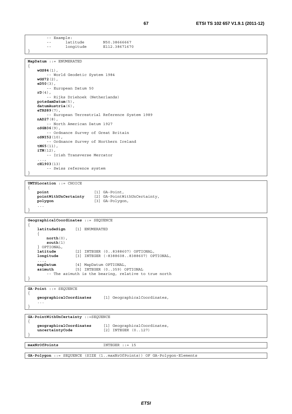```
 -- Example: 
-- latitude N50.38666667
 -- longitude E112.38671670
```

```
MapDatum ::= ENUMERATED 
{ 
    wGS84(1), 
          -- World Geodetic System 1984 
    wGS72(2), 
    eD50(3), 
          -- European Datum 50 
     rD(4),
         -- Rijks Driehoek (Netherlands) 
     potsdamDatum(5), 
    datumAustria(6), 
    eTRS89(7),
          -- European Terrestrial Reference System 1989 
    nAD27(8), 
          -- North American Datum 1927 
    oSGB36(9), 
          -- Ordnance Survey of Great Britain 
    oSNI52(10), 
          -- Ordnance Survey of Northern Ireland 
    tM65(11), 
    iTM(12), 
         -- Irish Transverse Mercator 
 ..., 
    cH1903(13) 
         -- Swiss reference system 
}
```
**UMTSLocation** ::= CHOICE

}

```
{ 
    point [1] GA-Point,<br>
pointWithUnCertainty [2] GA-PointW
                                   pointWithUnCertainty [2] GA-PointWithUnCertainty, 
    polygon [3] GA-Polygon, 
     ... 
}
```

```
GeographicalCoordinates ::= SEQUENCE 
{ 
    latitudeSign [1] ENUMERATED 
     { 
         north(0), 
         south(1) 
     } OPTIONAL, 
                   latitude [2] INTEGER (0..8388607) OPTIONAL, 
    longitude [3] INTEGER (-8388608..8388607) OPTIONAL, 
     ..., 
    mapDatum [4] MapDatum OPTIONAL, 
    azimuth [5] INTEGER (0..359) OPTIONAL 
         -- The azimuth is the bearing, relative to true north 
}
```
**GA**-**Point** ::= SEQUENCE {

**geographicalCoordinates** [1] GeographicalCoordinates, ... }

**GA-PointWithUnCertainty** ::=SEQUENCE {

```
geographicalCoordinates [1] GeographicalCoordinates, uncertaintyCode [2] INTEGER (0..127)[2] INTEGER (0..127)
}
```
**maxNrOfPoints** INTEGER ::= 15

**GA-Polygon** ::= SEQUENCE (SIZE (1..maxNrOfPoints)) OF GA-Polygon-Elements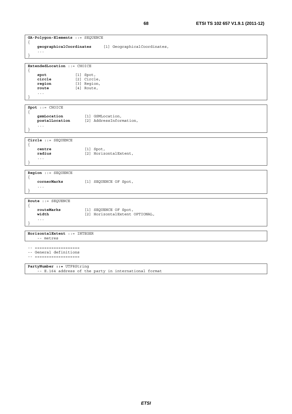```
GA-Polygon-Elements ::= SEQUENCE 
{ 
    geographicalCoordinates [1] GeographicalCoordinates, 
     ... 
} 
ExtendedLocation ::= CHOICE 
{ 
    spot [1] Spot,<br>
circle [2] Circl
                    circle [2] Circle, 
    region [3] Region,<br>
route [4] Route,
                     route [4] Route, 
     ... 
} 
Spot ::= CHOICE 
{ 
    gsmLocation [1] GSMLocation, 
    postalLocation [2] AddressInformation, 
     ... 
} 
Circle ::= SEQUENCE 
{ 
    centre [1] Spot,<br>
radius [2] Horiz
                        radius [2] HorizontalExtent, 
     ... 
} 
Region ::= SEQUENCE 
{ 
    cornerMarks [1] SEQUENCE OF Spot, 
     ... 
} 
Route ::= SEQUENCE 
{ 
    routeMarks [1] SEQUENCE OF Spot, 
    width [2] HorizontalExtent OPTIONAL, 
     ... 
} 
HorizontalExtent ::= INTEGER 
     -- metres 
-- =================== 
-- General definitions 
-- =================== 
PartyNumber ::= UTF8String
```
-- E.164 address of the party in international format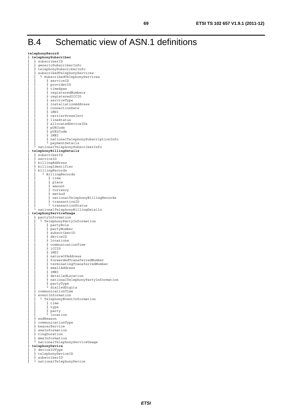**telephonyRecord**  ├ **telephonySubscriber** subscriberID genericSubscriberInfo │ ├ telephonySubscriberInfo subscribedTelephonyServices │ │ └ SubscribedTelephonyServices │ │ ├ serviceID<br>│ │ ├ providerID<br>│ │ ├ <u>iveSec</u>e provider.<br>timeSpan │ │ ├ registeredNumbers registeredICCID serviceType installationAddress │ │ ├ connectionDate  $i$ MSI carrierPreselect lineStatus allocatedDeviceIDs<br>pUKCode │ │ ├ pUKCode │ │ ├ pUK2Code │ │ ├ iMEI nationalTelephonySubscriptionInfo<br>paymentDetails │ │ └ paymentDetails │ └ nationalTelephonySubscriberInfo ├ **telephonyBillingDetails** subscriberID serviceID billingAddress billingIdentifier billingRecords L BillingRecords │ │ ├ time place  $\frac{1}{2}$  amount currency<br>method │ │ │ ト method<br>│ │ │ │ ∩ationalTelephonyBillingRecords │ │ ├ transactionID │ │ L transactionStatus │ └ nationalTelephonyBillingDetails ├ **telephonyServiceUsage** partyInformation L TelephonyPartyInformation │ │ ├ partyRole<br>│ │ ├ partyNumber<br>│ │ │ ├ partyNumber subscriberID deviceID │ │ ├ locations communicationTime │ │ ├ iCCID  $i$ MSI natureOfAddress │ │ │ ├ forwardedTransferredNumber<br>│ │ │ ├ terminatingTransferredNumber emailAddress  $i$  MEI detailedLocation │ │ ├ nationalTelephonyPartyInformation partyType dialledDigits communicationTime eventInformation │ │ └ TelephonyEventInformation │ │ ├ time type │ │ │ **hearty**<br>│ │ │ **Location** endReason communicationType │ ├ bearerService smsInformation ringDuration mmsInformation │ └ nationalTelephonyServiceUsage ├ **telephonyDevice** deviceIDType │ ├ telephonyDeviceID<br>│ ├ subscriberID<br>│ ┌ ¬tianalWalambanyD │ └ nationalTelephonyDevice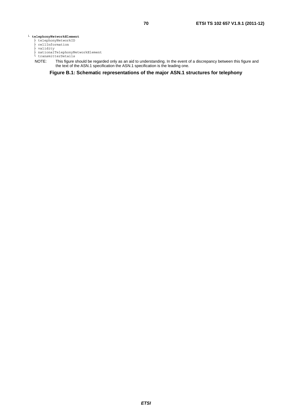#### └ **telephonyNetworkElement**

- ├ telephonyNetworkID
- ├ cellInformation
- ├ validity ├ nationalTelephonyNetworkElement └ transmitterDetails
	-
	- NOTE: This figure should be regarded only as an aid to understanding. In the event of a discrepancy between this figure and the text of the ASN.1 specification the ASN.1 specification is the leading one.

**Figure B.1: Schematic representations of the major ASN.1 structures for telephony**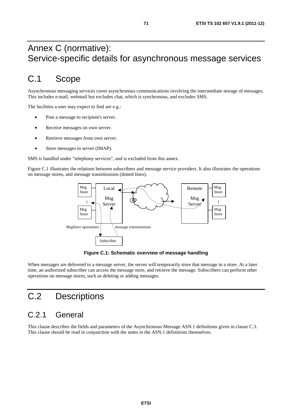## Annex C (normative): Service-specific details for asynchronous message services

## C.1 Scope

Asynchronous messaging services cover asynchronous communications involving the intermediate storage of messages. This includes e-mail, webmail but excludes chat, which is synchronous, and excludes SMS.

The facilities a user may expect to find are e.g.:

- Post a message to recipient's server.
- Receive messages on own server.
- Retrieve messages from own server.
- Store messages in server (IMAP).

SMS is handled under "telephony services", and is excluded from this annex.

Figure C.1 illustrates the relations between subscribers and message service providers. It also illustrates the operations on message stores, and message transmissions (dotted lines).



**Figure C.1: Schematic overview of message handling** 

When messages are delivered to a message server, the server will temporarily store that message in a store. At a later time, an authorized subscriber can access the message store, and retrieve the message. Subscribers can perform other operations on message stores, such as deleting or adding messages.

# C.2 Descriptions

## C.2.1 General

This clause describes the fields and parameters of the Asynchronous Message ASN.1 definitions given in clause C.3. This clause should be read in conjunction with the notes in the ASN.1 definitions themselves.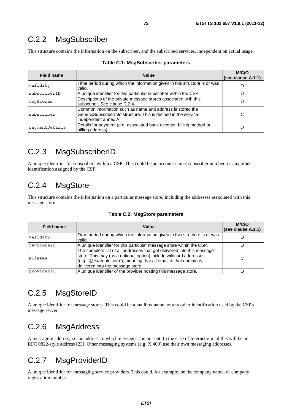## C.2.2 MsgSubscriber

This structure contains the information on the subscriber, and the subscribed services, independent on actual usage.

| Field name     | Value                                                                                                                                                  | M/C/O<br>(see clause A.1.1) |
|----------------|--------------------------------------------------------------------------------------------------------------------------------------------------------|-----------------------------|
| validity       | Time period during which the information given in this structure is or was<br>valid.                                                                   |                             |
| subscriberID   | A unique identifier for this particular subscriber within the CSP.                                                                                     |                             |
| msqStores      | Descriptions of the private message stores associated with this<br>subscriber. See clause C.2.4.                                                       |                             |
| subscriber     | Common information such as name and address is stored the<br>GenericSubscriberInfo structure. This is defined in the service-<br>lindependent annex A. | С                           |
| paymentDetails | Details for payment (e.g. associated bank account, billing method or<br>billing address)                                                               |                             |

| Table C.1: MsgSubscriber parameters |  |  |  |  |
|-------------------------------------|--|--|--|--|
|-------------------------------------|--|--|--|--|

## C.2.3 MsgSubscriberID

A unique identifier for subscribers within a CSP. This could be an account name, subscriber number, or any other identification assigned by the CSP.

# C.2.4 MsgStore

This structure contains the information on a particular message store, including the addresses associated with this message store.

| <b>Field name</b> | Value                                                                                                                                                                                                                                                   | M/C/O<br>(see clause A.1.1) |
|-------------------|---------------------------------------------------------------------------------------------------------------------------------------------------------------------------------------------------------------------------------------------------------|-----------------------------|
| validity          | Time period during which the information given in this structure is or was<br>valid.                                                                                                                                                                    |                             |
| msqStoreID        | A unique identifier for this particular message store within the CSP.                                                                                                                                                                                   |                             |
| aliases           | The complete list of all addresses that get delivered into this message<br>store. This may (as a national option) include wildcard addresses<br>$(e.g. "@example.com")$ , meaning that all email to that domain is<br>delivered into the message store. | С                           |
| providerID        | A unique identifier of the provider hosting this message store.                                                                                                                                                                                         |                             |

#### **Table C.2: MsgStore parameters**

# C.2.5 MsgStoreID

A unique identifier for message stores. This could be a mailbox name, or any other identification used by the CSP's message server.

## C.2.6 MsgAddress

A messaging address, i.e. an address to which messages can be sent. In the case of Internet e-mail this will be an RFC 0822-style address [23]. Other messaging systems (e.g. X.400) use their own messaging addresses.

# C.2.7 MsgProviderID

A unique identifier for messaging service providers. This could, for example, be the company name, or company registration number.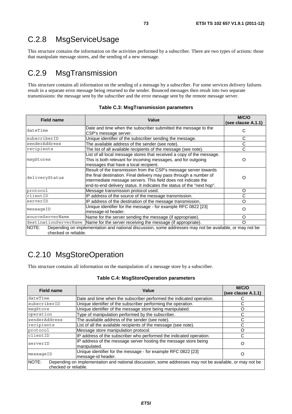## C.2.8 MsgServiceUsage

This structure contains the information on the activities performed by a subscriber. There are two types of actions: those that manipulate message stores, and the sending of a new message.

## C.2.9 MsgTransmission

This structure contains all information on the sending of a message by a subscriber. For some services delivery failures result in a separate error message being returned to the sender. Bounced messages then result into two separate transmissions: the message sent by the subscriber and the error message sent by the remote message server.

| <b>Field name</b>             | Value                                                                                                                                                                                                                                                                              | M/C/O<br>(see clause A.1.1) |
|-------------------------------|------------------------------------------------------------------------------------------------------------------------------------------------------------------------------------------------------------------------------------------------------------------------------------|-----------------------------|
| dateTime                      | Date and time when the subscriber submitted the message to the<br>CSP's message server.                                                                                                                                                                                            |                             |
| subscriberID                  | Unique identifier of the subscriber sending the message.                                                                                                                                                                                                                           | С                           |
| senderAddress                 | The available address of the sender (see note).                                                                                                                                                                                                                                    | C                           |
| recipients                    | The list of all available recipients of the message (see note).                                                                                                                                                                                                                    | С                           |
| msgStores                     | List of all local message stores that received a copy of the message.<br>This is both relevant for incoming messages, and for outgoing<br>messages that have a local recipient.                                                                                                    | O                           |
| deliveryStatus                | Result of the transmission from the CSP's message server towards<br>the final destination. Final delivery may pass through a number of<br>intermediate message servers. This field does not indicate the<br>end-to-end delivery status. It indicates the status of the "next hop". | 0                           |
| protocol                      | Message transmission protocol used.                                                                                                                                                                                                                                                | O                           |
| clientID                      | IP address of the source of the message transmission.                                                                                                                                                                                                                              | С                           |
| serverID                      | IP address of the destination of the message transmission.                                                                                                                                                                                                                         | ∩                           |
| messageID                     | Unique identifier for the message - for example RFC 0822 [23]<br>message-id header.                                                                                                                                                                                                | O                           |
| sourceServerName              | Name for the server sending the message (if appropriate).                                                                                                                                                                                                                          | O                           |
|                               | destinationServerName Name for the server receiving the message (if appropriate).                                                                                                                                                                                                  | $\Omega$                    |
| NOTE:<br>checked or reliable. | Depending on implementation and national discussion, some addresses may not be available, or may not be                                                                                                                                                                            |                             |

#### **Table C.3: MsgTransmission parameters**

# C.2.10 MsgStoreOperation

This structure contains all information on the manipulation of a message store by a subscriber.

#### **Table C.4: MsgStoreOperation parameters**

| <b>Field name</b>                                                                                                                        | Value                                                                               | M/C/O<br>(see clause A.1.1) |
|------------------------------------------------------------------------------------------------------------------------------------------|-------------------------------------------------------------------------------------|-----------------------------|
| dateTime                                                                                                                                 | Date and time when the subscriber performed the indicated operation.                |                             |
| subscriberID                                                                                                                             | Unique identifier of the subscriber performing the operation.                       | C                           |
| msqStore                                                                                                                                 | Unique identifier of the message store being manipulated.                           | O                           |
| operation                                                                                                                                | Type of manipulation performed by the subscriber.                                   |                             |
| senderAddress                                                                                                                            | The available address of the sender (see note).                                     | C                           |
| recipients                                                                                                                               | List of all the available recipients of the message (see note).                     | С                           |
| protocol                                                                                                                                 | Message store manipulation protocol.                                                | Ω                           |
| clientID                                                                                                                                 | IP address of the subscriber who performed the indicated operation.                 | С                           |
| serverID                                                                                                                                 | IP address of the message server hosting the message store being<br>manipulated.    | Ω                           |
| messageID                                                                                                                                | Unique identifier for the message - for example RFC 0822 [23]<br>message-id header. |                             |
| NOTE:<br>Depending on implementation and national discussion, some addresses may not be available, or may not be<br>checked or reliable. |                                                                                     |                             |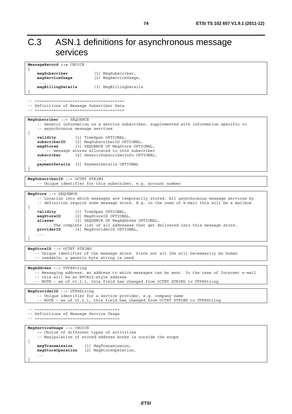# C.3 ASN.1 definitions for asynchronous message services

| MessageRecord ::= CHOICE                                                                                                         |                                                                                                                                                                                                                                                                                                                                                                                     |
|----------------------------------------------------------------------------------------------------------------------------------|-------------------------------------------------------------------------------------------------------------------------------------------------------------------------------------------------------------------------------------------------------------------------------------------------------------------------------------------------------------------------------------|
| $\left\{ \right.$<br>msgSubscriber<br>msgServiceUsage                                                                            | [1] MsgSubscriber,<br>[2] MsqServiceUsaqe,                                                                                                                                                                                                                                                                                                                                          |
| $\cdots$<br>msgBillingDetails                                                                                                    | [3] MsgBillingDetails                                                                                                                                                                                                                                                                                                                                                               |
| -------------------------------<br>-- Definitions of Message Subscriber Data                                                     |                                                                                                                                                                                                                                                                                                                                                                                     |
| MsgSubscriber ::= SEQUENCE<br>-- asynchronous message services<br>$\{$                                                           | -- Generic information on a service subscriber, supplemented with information specific to                                                                                                                                                                                                                                                                                           |
| [1] TimeSpan OPTIONAL,<br>validity<br>subscriberID<br>msgStores<br>-- message stores allocated to this subscriber<br>subscriber  | [2] MsgSubscriberID OPTIONAL,<br>[3] SEQUENCE OF MsgStore OPTIONAL,<br>[4] GenericSubscriberInfo OPTIONAL,                                                                                                                                                                                                                                                                          |
| $\cdots$<br>paymentDetails [5] PaymentDetails OPTIONAL                                                                           |                                                                                                                                                                                                                                                                                                                                                                                     |
| MsgSubscriberID ::= OCTET STRING                                                                                                 | -- Unique identifier for this subscriber, e.g. account number                                                                                                                                                                                                                                                                                                                       |
| MsgStore ::= SEQUENCE<br>$\mathcal{L}$<br>validity<br>[1] TimeSpan OPTIONAL,<br>msgStoreID<br>aliases<br>providerID<br>$\ddotsc$ | -- Location into which messages are temporarily stored. All asynchronous message services by<br>-- definition require some message store. E.g. in the case of e-mail this will be a mailbox<br>[2] MsgStoreID OPTIONAL,<br>[3] SEQUENCE OF MsgAddress OPTIONAL,<br>-- The complete list of all addresses that get delivered into this message store.<br>[4] MsgProviderID OPTIONAL, |
| MsgStoreID ::= OCTET STRING<br>-- readable, a generic byte string is used                                                        | -- Unique identifier of the message store. Since not all IDs will necessarily be human                                                                                                                                                                                                                                                                                              |
| MsgAddress ::= UTF8String<br>-- this will be an RFC822-style address                                                             | -- Messaging address, an address to which messages can be sent. In the case of Internet e-mail<br>-- NOTE - as of v1.2.1, this field has changed from OCTET STRING to UTF8String                                                                                                                                                                                                    |
| MsgProviderID ::= UTF8String                                                                                                     | -- Unique identifier for a service provider, e.g. company name<br>-- NOTE - as of v1.2.1, this field has changed from OCTET STRING to UTF8String                                                                                                                                                                                                                                    |
| ------------------------------------<br>-- Definitions of Message Service Usage<br>------------------------------------          |                                                                                                                                                                                                                                                                                                                                                                                     |
| MsgServiceUsage ::= CHOICE<br>-- Choice of different types of activities                                                         | -- Manipulation of stored address books is outside the scope                                                                                                                                                                                                                                                                                                                        |
| $\mathcal{L}$<br>msgTransmission<br>msgStoreOperation<br>$\sim$ $\sim$ $\sim$                                                    | [1] MsgTransmission,<br>[2] MsgStoreOperation,                                                                                                                                                                                                                                                                                                                                      |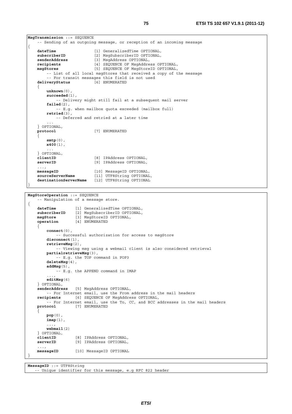```
 -- Sending of an outgoing message, or reception of an incoming message 
{ 
   dateTime [1] GeneralizedTime OPTIONAL, 
    subscriberID [2] MsgSubscriberID OPTIONAL, 
    senderAddress [3] MsgAddress OPTIONAL, 
    recipients [4] SEQUENCE OF MsgAddress OPTIONAL, 
   msgStores [5] SEQUENCE OF MsgStoreID OPTIONAL, 
       -- List of all local msgStores that received a copy of the message
         -- For transit messages this field is not used 
    deliveryStatus [6] ENUMERATED 
     { 
        unknown(0), 
        succeeded(1), 
            -- Delivery might still fail at a subsequent mail server 
         failed(2), 
            -- E.g. when mailbox quota exceeded (mailbox full) 
         retried(3), 
            -- Deferred and retried at a later time 
 ... 
    } OPTIONAL, 
                           protocol [7] ENUMERATED 
 { 
         smtp(0), 
        x400(1), 
 ... 
     } OPTIONAL, 
    clientID [8] IPAddress OPTIONAL, 
    serverID [9] IPAddress OPTIONAL, 
     ..., 
   messageID [10] MessageID OPTIONAL, 
    sourceServerName [11] UTF8String OPTIONAL, 
     destinationServerName [12] UTF8String OPTIONAL 
} 
MsgStoreOperation ::= SEQUENCE 
     -- Manipulation of a message store. 
{ 
   dateTime [1] GeneralizedTime OPTIONAL, 
    subscriberID [2] MsgSubscriberID OPTIONAL, 
   msgStore [3] MsgStoreID OPTIONAL, 
    operation [4] ENUMERATED 
     { 
         connect(0), 
            -- Successful authorization for access to msgStore 
         disconnect(1), 
        retrieveMsg(2), 
            -- Viewing msg using a webmail client is also considered retrieval 
        partialretrieveMsg(3), 
            -- E.g. the TOP command in POP3 
         deleteMsg(4), 
         addMsg(5), 
            -- E.g. the APPEND command in IMAP 
 ..., 
         editMsg(6) 
     } OPTIONAL, 
    senderAddress [5] MsgAddress OPTIONAL, 
        -- For Internet email, use the From address in the mail headers 
    recipients [6] SEQUENCE OF MsgAddress OPTIONAL, 
        -- For Internet email, use the To, CC, and BCC addresses in the mail headers 
   protocol [7] ENUMERATED 
 { 
        pop(0), 
         imap(1), 
         ..., 
        webmail(2) 
     } OPTIONAL, 
    clientID [8] IPAddress OPTIONAL,<br>serverID [9] IPAddress OPTIONAL,
                   [9] IPAddress OPTIONAL,
```
 ...,  **messageID** [10] MessageID OPTIONAL

}

**MsgTransmission** ::= SEQUENCE

```
MessageID ::= UTF8String 
    -- Unique identifier for this message, e.g RFC 822 header
```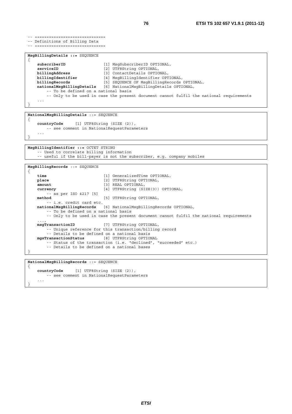```
-- Definitions of Billing Data 
-- ============================== 
MsgBillingDetails ::= SEQUENCE 
{ 
    subscriberID [1] MsgSubscriberID OPTIONAL,<br>serviceID [2] UTF8String OPTIONAL,
    serviceID [2] UTF8String OPTIONAL,<br>
billingAddress [3] ContactDetails OPTIC
    billingAddress [3] ContactDetails OPTIONAL,<br>
billingIdentifier [4] MsgBillingIdentifier OPT
                                     billingIdentifier [4] MsgBillingIdentifier OPTIONAL, 
    billingRecords [5] SEQUENCE OF MsgBillingRecords OPTIONAL, 
    nationalMsgBillingDetails [6] NationalMsgBillingDetails OPTIONAL, 
          -- To be defined on a national basis 
          -- Only to be used in case the present document cannot fulfil the national requirements 
      ... 
}
```
**NationalMsgBillingDetails** ::= SEQUENCE

-- ==============================

{ **countryCode** [1] UTF8String (SIZE (2)), -- see comment in NationalRequestParameters ... }

**MsgBillingIdentifier ::=** OCTET STRING -- Used to correlate billing information -- useful if the bill-payer is not the subscriber, e.g. company mobiles

```
MsgBillingRecords ::= SEQUENCE 
{ 
   time [1] GeneralizedTime OPTIONAL, 
   place [2] UTF8String OPTIONAL, amount [3] REAL OPTIONAL,
                               amount [3] REAL OPTIONAL, 
   currency [4] UTF8String (SIZE(3)) OPTIONAL, 
   -- as per ISO 4217 [5]
                               [5] UTF8String OPTIONAL,
        -- i.e. credit card etc. 
   nationalMsgBillingRecords [6] NationalMsgBillingRecords OPTIONAL, 
        -- To be defined on a national basis 
        -- Only to be used in case the present document cannot fulfil the national requirements 
 ..., 
   msgTransactionID [7] UTF8String OPTIONAL, 
         -- Unique reference for this transaction/billing record 
         -- Details to be defined on a national basis 
   mgsTransactionStatus [8] UTF8String OPTIONAL 
        -- Status of the transaction (i.e. "declined", "succeeded" etc.) 
         -- Details to be defined on a national bases 
}
```
**NationalMsgBillingRecords** ::= SEQUENCE { **countryCode** [1] UTF8String (SIZE (2)), -- see comment in NationalRequestParameters ... }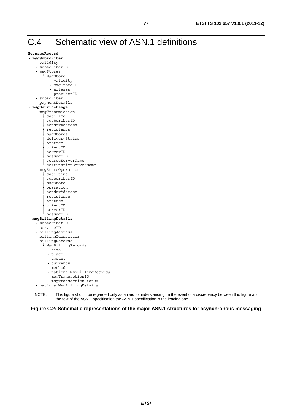# C.4 Schematic view of ASN.1 definitions

| MessageRecord |
|---------------|
|               |

| msgSubscriber                 |
|-------------------------------|
| validity                      |
| subscriberID                  |
| msgStores                     |
| L<br>MsgStore                 |
| - validity                    |
| msgStoreID                    |
| aliases                       |
| providerID                    |
| subscriber                    |
| paymentDetails                |
| msgServiceUsage               |
| msgTransmission               |
| - dateTime                    |
| susbcriberID                  |
| senderAddress                 |
| recipients                    |
| msqStores                     |
| deliveryStatus                |
| protocol                      |
| clientID                      |
| serverID                      |
| messageID<br>sourceServerName |
| destinationServerName         |
| msgStoreOperation             |
| - dateTtime                   |
| subscriberID                  |
| msqStore                      |
| operation                     |
| senderAddress                 |
| recipients                    |
| protocol                      |
| clientID                      |
| serverID                      |
| messageID                     |
| msgBillingDetails             |
| subscriberID                  |
| serviceID                     |
| billingAddress                |
| billingIdentifier             |
| billingRecords                |
| L<br>MsgBillingRecords        |
| time                          |
| place                         |
| amount                        |
| - currency                    |
| method                        |
| nationalMsgBillingRecords     |
| msgTransactionID              |
| msgTransactionStatus          |
| nationalMsgBillingDetails     |

NOTE: This figure should be regarded only as an aid to understanding. In the event of a discrepancy between this figure and the text of the ASN.1 specification the ASN.1 specification is the leading one.

**Figure C.2: Schematic representations of the major ASN.1 structures for asynchronous messaging**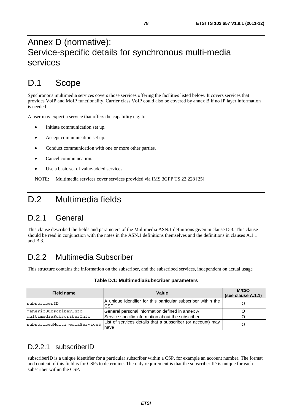# Annex D (normative): Service-specific details for synchronous multi-media services

# D.1 Scope

Synchronous multimedia services covers those services offering the facilities listed below. It covers services that provides VoIP and MoIP functionality. Carrier class VoIP could also be covered by annex B if no IP layer information is needed.

A user may expect a service that offers the capability e.g. to:

- Initiate communication set up.
- Accept communication set up.
- Conduct communication with one or more other parties.
- Cancel communication.
- Use a basic set of value-added services.

NOTE: Multimedia services cover services provided via IMS 3GPP TS 23.228 [25].

## D.2 Multimedia fields

### D.2.1 General

This clause described the fields and parameters of the Multimedia ASN.1 definitions given in clause D.3. This clause should be read in conjunction with the notes in the ASN.1 definitions themselves and the definitions in clauses A.1.1 and B.3.

### D.2.2 Multimedia Subscriber

This structure contains the information on the subscriber, and the subscribed services, independent on actual usage

| Field name                   | Value                                                                       | M/C/O<br>(see clause A.1.1) |
|------------------------------|-----------------------------------------------------------------------------|-----------------------------|
| subscriberID                 | A unique identifier for this particular subscriber within the<br><b>CSP</b> |                             |
| genericSubscriberInfo        | General personal information defined in annex A                             |                             |
| multimediaSubscriberInfo     | Service specific information about the subscriber                           |                             |
| subscribedMultimediaServices | List of services details that a subscriber (or account) may<br>have         |                             |

**Table D.1: MultimediaSubscriber parameters** 

#### D.2.2.1 subscriberID

subscriberID is a unique identifier for a particular subscriber within a CSP, for example an account number. The format and content of this field is for CSPs to determine. The only requirement is that the subscriber ID is unique for each subscriber within the CSP.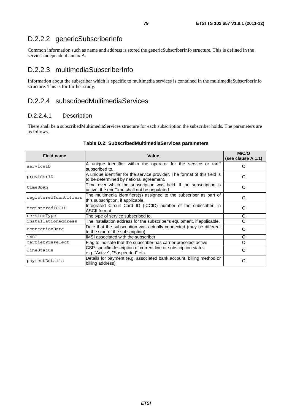### D.2.2.2 genericSubscriberInfo

Common information such as name and address is stored the genericSubscriberInfo structure. This is defined in the service-independent annex A.

#### D.2.2.3 multimediaSubscriberInfo

Information about the subscriber which is specific to multimedia services is contained in the multimediaSubscriberInfo structure. This is for further study.

#### D.2.2.4 subscribedMultimediaServices

#### D.2.2.4.1 Description

There shall be a subscribedMultimediaServices structure for each subscription the subscriber holds. The parameters are as follows.

| <b>Field name</b>     | Value                                                                                                                | M/C/O<br>(see clause A.1.1) |
|-----------------------|----------------------------------------------------------------------------------------------------------------------|-----------------------------|
| serviceID             | A unique identifier within the operator for the service or tariff<br>subscribed to.                                  | O                           |
| providerID            | A unique identifier for the service provider. The format of this field is<br>to be determined by national agreement. | ∩                           |
| timeSpan              | Time over which the subscription was held. If the subscription is<br>active, the end Time shall not be populated.    | O                           |
| registeredIdentifiers | The multimedia identifiers(s) assigned to the subscriber as part of<br>this subscription, if applicable.             | ∩                           |
| reqisteredICCID       | Integrated Circuit Card ID (ICCID) number of the subscriber, in<br>ASCII format.                                     | O                           |
| serviceType           | The type of service subscribed to.                                                                                   | O                           |
| installationAddress   | The installation address for the subscriber's equipment, if applicable.                                              | O                           |
| connectionDate        | Date that the subscription was actually connected (may be different<br>to the start of the subscription)             | ∩                           |
| iMSI                  | IMSI associated with the subscriber                                                                                  | $\Omega$                    |
| carrierPreselect      | Flag to indicate that the subscriber has carrier preselect active                                                    | O                           |
| lineStatus            | CSP-specific description of current line or subscription status<br>e.g. "Active", "Suspended" etc.                   | O                           |
| paymentDetails        | Details for payment (e.g. associated bank account, billing method or<br>billing address)                             | Ω                           |

#### **Table D.2: SubscribedMultimediaServices parameters**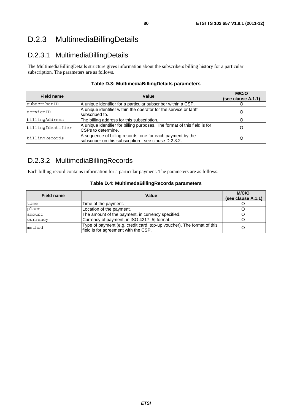# D.2.3 MultimediaBillingDetails

### D.2.3.1 MultimediaBillingDetails

The MultimediaBillingDetails structure gives information about the subscribers billing history for a particular subscription. The parameters are as follows.

| <b>Field name</b> | Value                                                                                                               | M/C/O<br>(see clause A.1.1) |
|-------------------|---------------------------------------------------------------------------------------------------------------------|-----------------------------|
| subscriberID      | A unique identifier for a particular subscriber within a CSP.                                                       |                             |
| serviceID         | A unique identifier within the operator for the service or tariff<br>subscribed to.                                 |                             |
| billingAddress    | The billing address for this subscription.                                                                          |                             |
| billingIdentifier | A unique identifier for billing purposes. The format of this field is for<br>ICSPs to determine.                    |                             |
| billingRecords    | A sequence of billing records, one for each payment by the<br>subscriber on this subscription - see clause D.2.3.2. |                             |

#### **Table D.3: MultimediaBillingDetails parameters**

### D.2.3.2 MultimediaBillingRecords

Each billing record contains information for a particular payment. The parameters are as follows.

#### **Table D.4: MultimedaBillingRecords parameters**

| Field name | Value                                                                                                          | M/C/O<br>(see clause A.1.1) |
|------------|----------------------------------------------------------------------------------------------------------------|-----------------------------|
| time       | Time of the payment.                                                                                           |                             |
| place      | Location of the payment.                                                                                       |                             |
| amount     | The amount of the payment, in currency specified.                                                              |                             |
| currency   | Currency of payment, in ISO 4217 [5] format.                                                                   |                             |
| method     | Type of payment (e.g. credit card, top-up voucher). The format of this<br>field is for agreement with the CSP. |                             |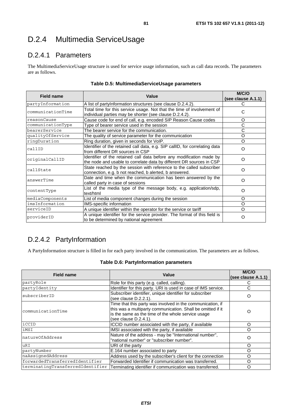## D.2.4 Multimedia ServiceUsage

### D.2.4.1 Parameters

The MultimediaServiceUsage structure is used for service usage information, such as call data records. The parameters are as follows.

| <b>Field name</b> | Value                                                                                                                                        | M/C/O<br>(see clause A.1.1) |
|-------------------|----------------------------------------------------------------------------------------------------------------------------------------------|-----------------------------|
| partyInformation  | A list of partyInformation structures (see clause D.2.4.2).                                                                                  |                             |
| communicationTime | Total time for this service usage. Not that the time of involvement of<br>individual parties may be shorter (see clause D.2.4.2).            | С                           |
| reasonCause       | Cause code for end of call, e.g. encoded SIP Reason Cause codes                                                                              | O                           |
| communicationType | Type of bearer service used in the session                                                                                                   | C                           |
| bearerService     | The bearer service for the communication.                                                                                                    | С                           |
| qualityOfService  | The quality of service parameter for the communication                                                                                       | O                           |
| ringDuration      | Ring duration, given in seconds for VoIP.                                                                                                    | O                           |
| callID            | Identifier of the retained call data, e.g. SIP callID, for correlating data<br>from different DR sources in CSP                              | O                           |
| originalCallID    | Identifier of the retained call data before any modification made by<br>the node and usable to correlate data by different DR sources in CSP | $\Omega$                    |
| callState         | State reached by the session with reference to the called subscriber<br>connection, e.g. b not reached, b alerted, b answered.               | $\Omega$                    |
| answerTime        | Date and time when the communication has been answered by the<br>called party in case of sessions                                            | O                           |
| contentType       | List of the media type of the message body, e.g. application/sdp,<br>text/html                                                               | O                           |
| mediaComponents   | List of media component changes during the session                                                                                           | O                           |
| imsInformation    | IMS-specific information                                                                                                                     | O                           |
| serviceID         | A unique identifier within the operator for the service or tariff                                                                            | O                           |
| providerID        | A unique identifier for the service provider. The format of this field is<br>to be determined by national agreement                          | O                           |

#### **Table D.5: MultimediaServiceUsage parameters**

### D.2.4.2 PartyInformation

A PartyInformation structure is filled in for each party involved in the communication. The parameters are as follows.

#### **Table D.6: PartyInformation parameters**

| <b>Field name</b>                | Value                                                                                                                                                                                                    | M/C/O<br>(see clause A.1.1) |
|----------------------------------|----------------------------------------------------------------------------------------------------------------------------------------------------------------------------------------------------------|-----------------------------|
| partyRole                        | Role for this party (e.g. called, calling).                                                                                                                                                              |                             |
| partyIdentity                    | Identifier for this party. URI is used in case of IMS service.                                                                                                                                           | C                           |
| subscriberID                     | Subscriber identifier, unique identifier for subscriber<br>(see clause D.2.2.1).                                                                                                                         | O                           |
| communicationTime                | Time that this party was involved in the communication, if<br>this was a multiparty communication. Shall be omitted if it<br>is the same as the time of the whole service usage<br>(see clause D.2.4.1). | O                           |
| iccip                            | ICCID number associated with the party, if available                                                                                                                                                     | O                           |
| iMSI                             | IMSI associated with the party, if available                                                                                                                                                             | O                           |
| natureOfAddress                  | Nature of the address - may be "International number",<br>"national number" or "subscriber number".                                                                                                      | O                           |
| uRI                              | URI of the party                                                                                                                                                                                         | O                           |
| partyNumber                      | E.164 number associated to party                                                                                                                                                                         | O                           |
| naAssignedAddress                | Address used by the subscriber's client for the connection                                                                                                                                               | O                           |
| forwardedTransferredIdentifier   | Forwarded Identifier if communication was transferred.                                                                                                                                                   | O                           |
| terminatingTransferredIdentifier | Terminating identifier if communication was transferred.                                                                                                                                                 | O                           |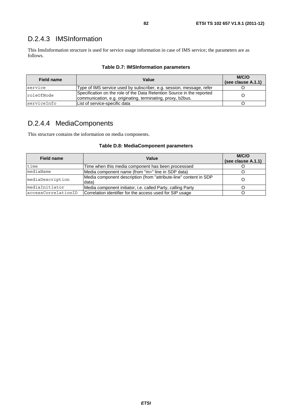### D.2.4.3 IMSInformation

This ImsInformation structure is used for service usage information in case of IMS service; the parameters are as follows.

| Field name  | Value                                                                                                                                 | M/C/O<br>(see clause A.1.1) |
|-------------|---------------------------------------------------------------------------------------------------------------------------------------|-----------------------------|
| service     | Type of IMS service used by subscriber, e.g. session, message, refer                                                                  |                             |
| roleOfNode  | Specification on the role of the Data Retention Source in the reported<br>communication, e.g. originating, terminating, proxy, b2bus. |                             |
| serviceInfo | List of service-specific data                                                                                                         |                             |

#### **Table D.7: IMSInformation parameters**

### D.2.4.4 MediaComponents

This structure contains the information on media components.

#### **Table D.8: MediaComponent parameters**

| <b>Field name</b>   | Value                                                                      | M/C/O<br>(see clause A.1.1) |
|---------------------|----------------------------------------------------------------------------|-----------------------------|
| time                | Time when this media component has been processsed                         |                             |
| mediaName           | Media component name (from "m=" line in SDP data)                          |                             |
| mediaDescription    | Media component description (from "attribute-line" content in SDP<br>data) |                             |
| mediaInitiator      | Media component initiator, i.e. called Party, calling Party                |                             |
| accessCorrelationID | Correlation identifier for the access used for SIP usage                   |                             |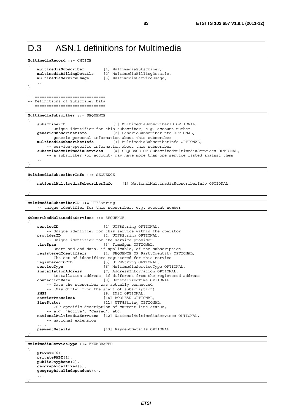## D.3 ASN.1 definitions for Multimedia

```
MultimediaRecord ::= CHOICE 
{ 
    multimediaSubscriber [1] MultimediaSubscriber, 
    multimediaBillingDetails [2] MultimediaBillingDetails,
    multimediaServiceUsage [3] MultimediaServiceUsage, 
     ... 
} 
-- ============================== 
-- Definitions of Subscriber Data 
-- ============================== 
MultimediaSubscriber ::= SEQUENCE 
{ 
    subscriberID [1] MultimediaSubscriberID OPTIONAL, 
         -- unique identifier for this subscriber, e.g. account number 
    genericSubscriberInfo [2] GenericSubscriberInfo OPTIONAL, 
    -- generic personal information about this subscriber<br>multimediaSubscriberInfo [3] MultimediaSubscriberI
                                 multimediaSubscriberInfo [3] MultimediaSubscriberInfo OPTIONAL, 
         -- service-specific information about this subscriber 
    subscribedMultimediaServices [4] SEQUENCE OF SubscribedMultimediaServices OPTIONAL, 
          -- a subscriber (or account) may have more than one service listed against them 
 ... 
} 
MultimediaSubscriberInfo ::= SEQUENCE
```

```
{ 
   nationalMultimediaSubscriberInfo [1] NationalMultimediaSubscriberInfo OPTIONAL, 
 ...
```
}

**MultimediaSubscriberID ::=** UTF8String -- unique identifier for this subscriber, e.g. account number

```
SubscribedMultimediaServices ::= SEQUENCE 
{ 
    serviceID [1] UTF8String OPTIONAL,
         -- Unique identifier for this service within the operator 
   providerID [2] UTF8String OPTIONAL, 
    -- Unique identifier for the service provider<br>timeSpan [3] TimeSpan OPTIONAL
                                [3] TimeSpan OPTIONAL,
        -- Start and end data, if applicable, of the subscription 
    registeredIdentifiers [4] SEQUENCE OF PartyIdentity OPTIONAL, 
    -- The set of identifiers registered for this service<br>registeredICCID [5] UTF8String OPTIONAL,
                               [5] UTF8String OPTIONAL,
    serviceType [6] MultimediaServiceType OPTIONAL, 
    installationAddress [7] AddressInformation OPTIONAL, 
         -- installation address, if different from the registered address 
    connectionDate [8] GeneralizedTime OPTIONAL, 
         -- Date the subscriber was actually connected 
         -- (May differ from the start of subscription) 
    iMSI [9] IMSI OPTIONAL,<br>
carrierPreselect [10] BOOLEAN OPTIC
                                [10] BOOLEAN OPTIONAL,
   lineStatus [11] UTF8String OPTIONAL, 
         -- CSP-specific description of current line status, 
         -- e.g. "Active", "Ceased", etc. 
    nationalMultimediaServices [12] NationalMultimediaServices OPTIONAL, 
         -- national extension 
     ..., 
    paymentDetails [13] PaymentDetails OPTIONAL 
} 
MultimediaServiceType ::= ENUMERATED
```

```
{ 
   private(0), 
   privatePABX(1), 
   publicPayphone(2), 
    geographicalfixed(3), 
    geographicalindependent(4), 
     ... 
}
```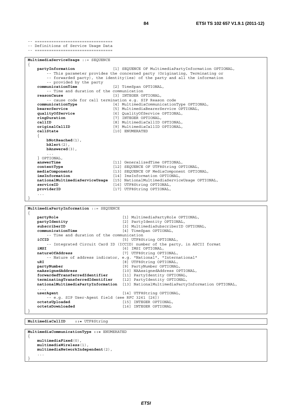-- ================================= **MultimediaServiceUsage** ::= SEQUENCE { **partyInformation** [1] SEQUENCE OF MultimediaPartyInformation OPTIONAL, -- This parameter provides the concerned party (Originating, Terminating or -- forwarded party), the identity(ies) of the party and all the information -- provided by the party **communicationTime** [2] TimeSpan OPTIONAL, -- Time and duration of the communication **reasonCause** [3] INTEGER OPTIONAL, -- cause code for call termination e.g. SIP Reason code **communicationType** [4] MultimediaCommunicationType OPTIONAL, **bearerService** [5] MultimediaBearerService OPTIONAL, **qualityOfService** [6] QualityOfService OPTIONAL, **ringDuration** [7] INTEGER OPTIONAL, **callID callID callID contract (8)** MultimediaCallID OPTIONAL, **originalCallID OPTIONAL**, **originalCallID** [9] MultimediaCallID OPTIONAL,<br> **callState** [10] ENUMERATED **callState** [10] ENUMERATED { **bNotReached**(1), **bAlert**(2), **bAnswered**(3), ... } OPTIONAL, **answerTime** [11] GeneralizedTime OPTIONAL, **contentType** [12] SEQUENCE OF UTF8String OPTIONAL,<br> **mediaComponents** [13] SEQUENCE OF MediaComponent OPTIC [13] SEQUENCE OF MediaComponent OPTIONAL, **imsInformation** [14] ImsInformation OPTIONAL, **nationalMultimediaServiceUsage** [15] NationalMultimediaServiceUsage OPTIONAL, **serviceID** [16] UTF8String OPTIONAL, **providerID** [17] UTF8String OPTIONAL, [17] UTF8String OPTIONAL, ... } **MultimediaPartyInformation** ::= SEQUENCE { **partyRole** [1] MultimediaPartyRole OPTIONAL,<br> **partyIdentity** [2] PartyIdentity OPTIONAL, **partyIdentity** [2] PartyIdentity OPTIONAL,<br> **subscriberID** [3] MultimediaSubscriberID **subscriberID** [3] MultimediaSubscriberID OPTIONAL,<br> **communicationTime** [4] TimeSpan OPTIONAL, **communicationTime** [4] TimeSpan OPTIONAL, -- Time and duration of the communication **iCCID iCCID iCCID iCCID iCCID iCCID iCCID** -- Integrated Circuit Card ID (ICCID) number of the party, in ASCII format<br>
161 IMSI OPTIONAL, **iMSI** [6] IMSI OPTIONAL,  **natureOfAddress** [7] UTF8String OPTIONAL, -- Nature of address indicator, e.g. "National", "International" **uRI**  $[8]$  UTF8String OPTIONAL, **partyNumber** [9] PartyNumber OPTIONAL, **naAssignedAddress** [10] NAAssignedAddress OPTIONAL, **forwardedTransferredIdentifier** [11] PartyIdentity OPTIONAL, **terminatingTransferredIdentifier** [12] PartyIdentity OPTIONAL, **nationalMultimediaPartyInformation** [13] NationalMultimediaPartyInformation OPTIONAL, ..., **userAgent** [14] UTF8String OPTIONAL,

**octetsUploaded** [15] INTEGER OPTIONAL, **octetsDownloaded** [16] INTEGER OPTIONAL

-- e.g. SIP User-Agent field (see RFC 3261 [26])

**MultimediaCallID ::=** UTF8String

}

-- ================================== -- Definitions of Service Usage Data

**MultimediaCommunicationType ::=** ENUMERATED { **multimediaFixed**(0), **multimediaWireless**(1), **multimediaNetworkIndependent**(2), ... }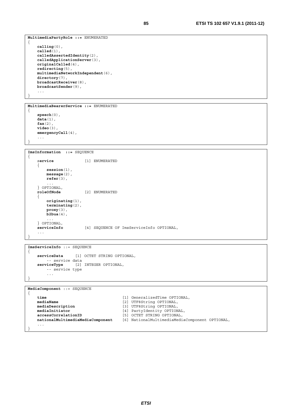**MultimediaPartyRole ::=** ENUMERATED { **calling**(0), **called**(1), **calledAssertedIdentity**(2), **calledApplicationServer**(3), **originalCalled**(4), **redirecting**(5), **multimediaNetworkIndependent**(6), **directory**(7), **broadcastReceiver**(8), **broadcastSender**(9), ...

}

}

```
MultimediaBearerService ::= ENUMERATED 
{ 
    speech(0), 
    data(1), 
    fax(2), 
    video(3), 
    emergencyCall(4), 
      ...
```

```
ImsInformation ::= SEQUENCE 
{ 
     service [1] ENUMERATED 
     { 
         session(1), 
         message(2), 
         refer(3), 
 ... 
     } OPTIONAL, 
                          roleOfNode [2] ENUMERATED 
     { 
         originating(1), 
         terminating(2), 
         proxy(3), 
         b2bua(4), 
 ... 
     } OPTIONAL, 
                           serviceInfo [4] SEQUENCE OF ImsServiceInfo OPTIONAL, 
     ... 
}
```

```
ImsServiceInfo ::= SEQUENCE 
{ 
    serviceData [1] OCTET STRING OPTIONAL, 
    -- service data<br>serviceType [2]
                      [2] INTEGER OPTIONAL,
          -- service type 
          ... 
}
```
**MediaComponent** ::= SEQUENCE

```
{ 
   time [1] GeneralizedTime OPTIONAL, 
   mediaName [2] UTF8String OPTIONAL, mediaDescription [3] UTF8String OPTIONAL,
                                   [3] UTF8String OPTIONAL,
   mediaInitiator [4] PartyIdentity OPTIONAL, 
   accessCorrelationID [5] OCTET STRING OPTIONAL, 
   nationalMultimediaMediaComponent [6] NationalMultimediaMediaComponent OPTIONAL, 
    ... 
}
```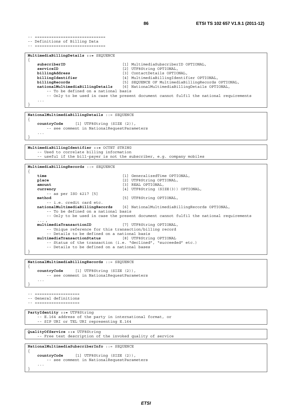-- ============================== -- Definitions of Billing Data -- ============================== **MultimediaBillingDetails ::=** SEQUENCE { **subscriberID** [1] MultimediaSubscriberID OPTIONAL,<br>**serviceID** [2] UTF8String OPTIONAL, **serviceID** [2] UTF8String OPTIONAL,<br> **billingAddress** [3] ContactDetails OPTIC **billingAddress** [3] ContactDetails OPTIONAL,<br> **billingIdentifier** [4] MultimediaBillingIdentif **billingIdentifier** [4] MultimediaBillingIdentifier OPTIONAL, **billingRecords** [5] SEQUENCE OF MultimediaBillingRecords OPTIONAL, **nationalMultimediaBillingDetails** [6] NationalMultimediaBillingDetails OPTIONAL, -- To be defined on a national basis -- Only to be used in case the present document cannot fulfil the national requirements ... }

```
NationalMultimediaBillingDetails ::= SEQUENCE 
{
```
**countryCode** [1] UTF8String (SIZE (2)), -- see comment in NationalRequestParameters ... }

```
MultimediaBillingIdentifier ::= OCTET STRING 
     -- Used to correlate billing information 
     -- useful if the bill-payer is not the subscriber, e.g. company mobiles
```
**MultimediaBillingRecords** ::= SEQUENCE { **time** [1] GeneralizedTime OPTIONAL, place  $[2]$  UTF8String OPTIONAL, amount  $[3]$  REAL OPTIONAL, **amount** [3] REAL OPTIONAL, **currency** [4] UTF8String (SIZE(3)) OPTIONAL, -- as per ISO 4217 [5]  **method** [5] UTF8String OPTIONAL, -- i.e. credit card etc. **nationalMultimediaBillingRecords** [6] NationalMultimediaBillingRecords OPTIONAL, -- To be defined on a national basis -- Only to be used in case the present document cannot fulfil the national requirements  $\ldots$  ,  $\ldots$  ,  $\ldots$ **multimediaTransactionID** [7] UTF8String OPTIONAL, -- Unique reference for this transaction/billing record -- Details to be defined on a national basis **multimediaTransactionStatus** [8] UTF8String OPTIONAL -- Status of the transaction (i.e. "declined", "succeeded" etc.) -- Details to be defined on a national bases }

**NationalMultimediaBillingRecords** ::= SEQUENCE

{ **countryCode** [1] UTF8String (SIZE (2)), -- see comment in NationalRequestParameters ... }

-- =================== -- General definitions

```
-- ===================
```
{

**PartyIdentity ::=** UTF8String

```
 -- E.164 address of the party in international format, or 
 -- SIP URI or TEL URI representing E.164
```
**QualityOfService ::=** UTF8String -- Free text description of the invoked quality of service

```
NationalMultimediaSubscriberInfo ::= SEQUENCE
```

```
countryCode [1] UTF8String (SIZE (2)), 
       -- see comment in NationalRequestParameters 
 ... 
}
```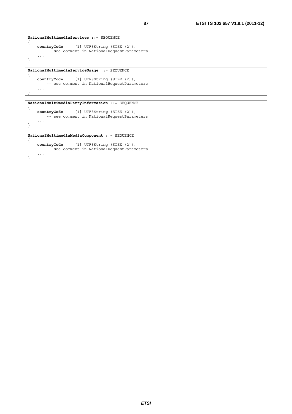```
NationalMultimediaServices ::= SEQUENCE 
{ 
    countryCode [1] UTF8String (SIZE (2)), 
     -- see comment in NationalRequestParameters
     ... 
}
```
**NationalMultimediaServiceUsage** ::= SEQUENCE

{

}

}

{

```
countryCode [1] UTF8String (SIZE (2)), 
   -- see comment in NationalRequestParameters 
 ...
```

```
NationalMultimediaPartyInformation ::= SEQUENCE 
{ 
    countryCode [1] UTF8String (SIZE (2)), 
      -- see comment in NationalRequestParameters
     ...
```

```
NationalMultimediaMediaComponent ::= SEQUENCE
```

```
countryCode [1] UTF8String (SIZE (2)), 
      -- see comment in NationalRequestParameters 
    ... 
}
```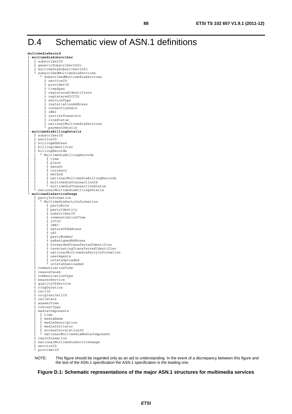# D.4 Schematic view of ASN.1 definitions

**multimediaRecord**  ├ **multimediaSubscriber**  $subscript$ genericSubscriberInfo │ multimediaSubscriberInfo<br>↓ qubscribedMultimediaSery subscribedMultimediaServices │ └ SubscribedMultimediaServices │ ├ serviceID providerID │ ├ timeSpan registeredIdentifiers registeredICCID serviceType installationAddress │ ├ connectionDate  $i$ MSI -----<br>carrierPreselect lineStatus │ nationalMultimediaServices<br>│ paymentDetails │ └ paymentDetails ├ **multimediaBillingDetails**  │ ├ subscriberID serviceID billingAddress billingIdentifier │ ├ billingRecords │ │ └ MultimediaBillingRecords │ │ ├ time place  $a$  mount currency<br>method │ │ │ № thod<br>│ │ │ │ ∴ationalMultimediaBillingRecords multimediaTransactionID │ │ └ multimediaTransactionStatus │ └ nationalMultimediaBillingDetails └ **multimediaServiceUsage** ├ partyInformation L MultimediaPartyInformation │ ├ partyRole partyIdentity subscriberID │ ├ communicationTime │ ├ iCCID  $i$ MSI natureOfAddress  $uRI$ partyNumber │ ├ naAssignedAddress │ ├ forwardedTransferredIdentifier │ ├ terminatingTransferredIdentifier nationalMultimediaPartyInformation userAgents octetsUploaded │ └ octetsDownloaded ├ communicationTime  $reasonCause$ ├ communicationType bearerService ├ qualityOfService *ringDuration* ├ callID ├ originalCallID callState ├ answerTime  $\verb|contentType|$ ├ mediaComponents time mediaName mediaDescription │ ├ mediaInitiator ↑ accessCorrelationID nationalMultimediaMediaComponent ├ imsInformation ├ nationalMultimediaServiceUsage ├ serviceID └ providerID

NOTE: This figure should be regarded only as an aid to understanding. In the event of a discrepancy between this figure and the text of the ASN.1 specification the ASN.1 specification is the leading one.

#### **Figure D.1: Schematic representations of the major ASN.1 structures for multimedia services**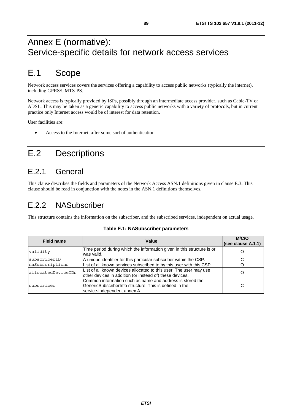# Annex E (normative): Service-specific details for network access services

# E.1 Scope

Network access services covers the services offering a capability to access public networks (typically the internet), including GPRS/UMTS-PS.

Network access is typically provided by ISPs, possibly through an intermediate access provider, such as Cable-TV or ADSL. This may be taken as a generic capability to access public networks with a variety of protocols, but in current practice only Internet access would be of interest for data retention.

User facilities are:

• Access to the Internet, after some sort of authentication.

# E.2 Descriptions

## E.2.1 General

This clause describes the fields and parameters of the Network Access ASN.1 definitions given in clause E.3. This clause should be read in conjunction with the notes in the ASN.1 definitions themselves.

## E.2.2 NASubscriber

This structure contains the information on the subscriber, and the subscribed services, independent on actual usage.

| <b>Field name</b>  | Value                                                                                                                                                 | M/C/O<br>(see clause A.1.1) |
|--------------------|-------------------------------------------------------------------------------------------------------------------------------------------------------|-----------------------------|
| validity           | Time period during which the information given in this structure is or<br>was valid.                                                                  |                             |
| subscriberID       | A unique identifier for this particular subscriber within the CSP.                                                                                    |                             |
| naSubscriptions    | List of all known services subscribed to by this user with this CSP.                                                                                  |                             |
| allocatedDeviceIDs | List of all known devices allocated to this user. The user may use<br>other devices in addition (or instead of) these devices.                        |                             |
| subscriber         | Common information such as name and address is stored the<br>IGenericSubscriberInfo structure. This is defined in the<br>service-independent annex A. | С                           |

#### **Table E.1: NASubscriber parameters**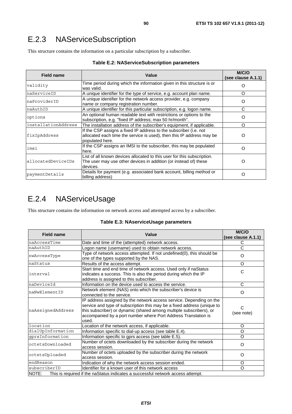This structure contains the information on a particular subscription by a subscriber.

| <b>Table E.2: NAServiceSubscription parameters</b> |  |
|----------------------------------------------------|--|
|----------------------------------------------------|--|

| <b>Field name</b>   | Value                                                                                                                                                         | M/C/O<br>(see clause A.1.1) |
|---------------------|---------------------------------------------------------------------------------------------------------------------------------------------------------------|-----------------------------|
| validity            | Time period during which the information given in this structure is or<br>was valid.                                                                          |                             |
| naServiceID         | A unique identifier for the type of service, e.g. account plan name.                                                                                          | O                           |
| naProviderID        | A unique identifier for the network access provider, e.g. company<br>name or company registration number.                                                     | O                           |
| naAuthID            | A unique identifier for this particular subscription, e.g. logon name.                                                                                        | C                           |
| options             | An optional human readable text with restrictions or options to the<br>subscription, e.g. "fixed IP address; max 50 hr/month".                                | O                           |
| installationAddress | The installation address of the subscriber's equipment, if applicable.                                                                                        | Ω                           |
| fixIpAddress        | If the CSP assigns a fixed IP address to the subscriber (i.e. not<br>allocated each time the service is used), then this IP address may be<br>populated here. | O                           |
| imsi                | If the CSP assigns an IMSI to the subscriber, this may be populated<br>here.                                                                                  | O                           |
| allocatedDeviceIDs  | List of all known devices allocated to this user for this subscription.<br>The user may use other devices in addition (or instead of) these<br>devices.       | O                           |
| paymentDetails      | Details for payment (e.g. associated bank account, billing method or<br>billing address)                                                                      | O                           |

# E.2.4 NAServiceUsage

This structure contains the information on network access and attempted access by a subscriber.

| <b>Field name</b>                                                                        | Value                                                                                                                                                                                                                                                                                            | M/C/O<br>(see clause A.1.1) |
|------------------------------------------------------------------------------------------|--------------------------------------------------------------------------------------------------------------------------------------------------------------------------------------------------------------------------------------------------------------------------------------------------|-----------------------------|
| naAccessTime                                                                             | Date and time of the (attempted) network access.                                                                                                                                                                                                                                                 | C                           |
| naAuthID                                                                                 | Logon name (username) used to obtain network access.                                                                                                                                                                                                                                             | C                           |
| nwAccessType                                                                             | Type of network access attempted. If not undefined(0), this should be<br>one of the types supported by the NAS.                                                                                                                                                                                  | $\Omega$                    |
| naStatus                                                                                 | Results of the access attempt.                                                                                                                                                                                                                                                                   | O                           |
| linterval                                                                                | Start time and end time of network access. Used only if naStatus<br>indicates a success. This is also the period during which the IP<br>address is assigned to this subscriber.                                                                                                                  | C                           |
| naDeviceId                                                                               | Information on the device used to access the service.                                                                                                                                                                                                                                            | C                           |
| naNwElementID                                                                            | Network element (NAS) onto which the subscriber's device is<br>connected to the service.                                                                                                                                                                                                         | O                           |
| naAssignedAddress                                                                        | IP address assigned by the network access service. Depending on the<br>service and type of subscription this may be a fixed address (unique to<br>this subscriber) or dynamic (shared among multiple subscribers), or<br>accompanied by a port number where Port Address Translation is<br>used. | С<br>(see note)             |
| location                                                                                 | Location of the network access, if applicable.                                                                                                                                                                                                                                                   | O                           |
| dialUpInformation                                                                        | Information specific to dial-up access (see table E.4).                                                                                                                                                                                                                                          | O                           |
| gprsInformation                                                                          | Information specific to gprs access (see table E.5).                                                                                                                                                                                                                                             | O                           |
| octetsDownloaded                                                                         | Number of octets downloaded by the subscriber during the network<br>access session.                                                                                                                                                                                                              | O                           |
| octetsUploaded                                                                           | Number of octets uploaded by the subscriber during the network<br>access session.                                                                                                                                                                                                                | $\Omega$                    |
| endReason                                                                                | Indication of why the network access session ended.                                                                                                                                                                                                                                              | O                           |
| subscriberID                                                                             | Identifier for a known user of this network access                                                                                                                                                                                                                                               | O                           |
| NOTE:<br>This is required if the naStatus indicates a successful network access attempt. |                                                                                                                                                                                                                                                                                                  |                             |

#### **Table E.3: NAserviceUsage parameters**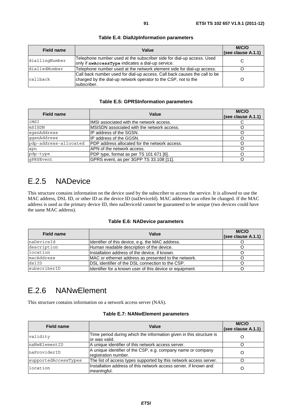| Field name     | Value                                                                                                                                                       | M/C/O<br>(see clause A.1.1) |
|----------------|-------------------------------------------------------------------------------------------------------------------------------------------------------------|-----------------------------|
| diallingNumber | Telephone number used at the subscriber side for dial-up access. Used<br>only if nwAccessType indicates a dial-up service.                                  | C                           |
| dialledNumber  | Telephone number used at the network element side for dial-up access.                                                                                       |                             |
| callback       | Call back number used for dial-up access. Call back causes the call to be<br>charged by the dial-up network operator to the CSP, not to the<br>Isubscriber. |                             |

#### **Table E.4: DialUpInformation parameters**

#### **Table E.5: GPRSInformation parameters**

| <b>Field name</b>     | Value                                         | M/C/O<br>(see clause A.1.1) |
|-----------------------|-----------------------------------------------|-----------------------------|
| iMSI                  | IMSI associated with the network access.      |                             |
| mSISDN                | IMSISDN associated with the network access.   |                             |
| sgsnAddress           | IP address of the SGSN.                       |                             |
| qqsnAddress           | IP address of the GGSN.                       |                             |
| pdp-address-allocated | PDP address allocated for the network access. |                             |
| apn                   | APN of the network access.                    |                             |
| pdp-type              | PDP type, format as per TS 101 671 [6].       |                             |
| qPRSEvent             | GPRS event, as per 3GPP TS 33.108 [11].       |                             |

### E.2.5 NADevice

This structure contains information on the device used by the subscriber to access the service. It is allowed to use the MAC address, DSL ID, or other ID as the device ID (naDeviceId). MAC addresses can often be changed. If the MAC address is used as the primary device ID, then naDeviceId cannot be guaranteed to be unique (two devices could have the same MAC address).

#### **Table E.6: NADevice parameters**

| Field name   | Value                                                   | M/C/O<br>(see clause A.1.1) |
|--------------|---------------------------------------------------------|-----------------------------|
| naDeviceId   | Identifier of this device, e.g. the MAC address.        |                             |
| description  | Human readable description of the device.               |                             |
| location     | Installation address of the device, if known.           |                             |
| macAddress   | MAC or ethernet address as presented to the network.    |                             |
| dslID        | DSL identifier of the DSL connection to the CSP.        |                             |
| subscriberID | Identifier for a known user of this device or equipment |                             |

## E.2.6 NANwElement

This structure contains information on a network access server (NAS).

#### **Table E.7: NANwElement parameters**

| <b>Field name</b>    | Value                                                                                 | M/C/O<br>(see clause A.1.1) |
|----------------------|---------------------------------------------------------------------------------------|-----------------------------|
| validity             | Time period during which the information given in this structure is<br>lor was valid. |                             |
| naNwElementID        | A unique identifier of this network access server.                                    |                             |
| naProviderID         | A unique identifier of the CSP, e.g. company name or company<br>registration number.  |                             |
| supportedAccessTypes | The list of access types supported by this network access server.                     |                             |
| location             | Installation address of this network access server, if known and<br>meaningful.       |                             |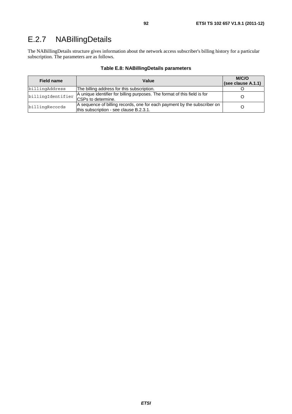## E.2.7 NABillingDetails

The NABillingDetails structure gives information about the network access subscriber's billing history for a particular subscription. The parameters are as follows.

| <b>Field name</b> | Value                                                                                                               | M/C/O<br>(see clause A.1.1) |
|-------------------|---------------------------------------------------------------------------------------------------------------------|-----------------------------|
| billingAddress    | The billing address for this subscription.                                                                          |                             |
| billingIdentifier | A unique identifier for billing purposes. The format of this field is for<br><b>ICSPs to determine.</b>             |                             |
| billingRecords    | A sequence of billing records, one for each payment by the subscriber on<br>this subscription - see clause B.2.3.1. |                             |

#### **Table E.8: NABillingDetails parameters**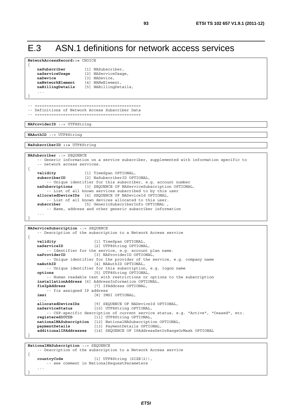## E.3 ASN.1 definitions for network access services

```
NetworkAccessRecord::= CHOICE 
{ 
    naSubscriber [1] NASubscriber,<br>
naServiceUsage [2] NAServiceUsac
                              naServiceUsage [2] NAServiceUsage, 
     naDevice [3] NADevice,<br>
naNetworkElement [4] NANwElement
     nak naNetworkElement
    naBillingDetails [5] NABillingDetails, 
 ... 
}
```
-- ============================================= -- Definitions of Network Access Subscriber Data -- =============================================

**NAProviderID** ::= UTF8String

**NAAuthID** ::= UTF8String

**NaSubscriberID ::=** UTF8String

```
NASubscriber ::= SEQUENCE 
     -- Generic information on a service subscriber, supplemented with information specific to 
     -- network access services. 
{ 
   validity [1] TimeSpan OPTIONAL, 
    subscriberID [2] NaSubscriberID OPTIONAL, 
         -- Unique identifier for this subscriber, e.g. account number 
   naSubscriptions [3] SEQUENCE OF NAServiceSubscription OPTIONAL, 
        -- List of all known services subscribed to by this user 
    allocatedDeviceIDs [4] SEQUENCE OF NADeviceId OPTIONAL, 
        -- List of all known devices allocated to this user. 
    subscriber [5] GenericSubscriberInfo OPTIONAL , 
         -- Name, address and other generic subscriber information 
 ... 
}
```

```
NAServiceSubscription ::= SEQUENCE 
     -- Description of the subscription to a Network Access service 
{ 
   validity [1] TimeSpan OPTIONAL,<br>
naServiceID [2] UTF8String OPTIONA
                           [2] UTF8String OPTIONAL,
        -- Identifier for the service, e.g. account plan name. 
   naProviderID [3] NAProviderID OPTIONAL, 
          -- Unique identifier for the provider of the service, e.g. company name 
   naAuthID [4] NAAuthID OPTIONAL,
         -- Unique identifier for this subscription, e.g. logon name 
    options [5] UTF8String OPTIONAL, 
          -- Human readable text with restrictions or options to the subscription 
    installationAddress [6] AddressInformation OPTIONAL, 
                           fixIpAddress [7] IPAddress OPTIONAL, 
         -- fix assigned IP address 
    imsi [8] IMSI OPTIONAL, 
 ..., 
    allocatedDeviceIDs [9] SEQUENCE OF NADeviceId OPTIONAL, 
   naServiceStatus [10] UTF8String OPTIONAL, 
         -- CSP-specific description of current service status, e.g. "Active", "Ceased", etc. 
    registeredICCID [11] UTF8String OPTIONAL, 
   nationalNASubscription [12] NationalNASubscription OPTIONAL, 
    paymentDetails [13] PaymentDetails OPTIONAL, 
    additionalIPAddresses [14] SEQUENCE OF IPAddressSetOrRangeOrMask OPTIONAL 
}
```

```
NationalNASubscription ::= SEQUENCE 
     -- Description of the subscription to a Network Access service 
{ 
   countryCode [1] UTF8String (SIZE(2)), 
        -- see comment in NationalRequestParameters 
 ... 
}
```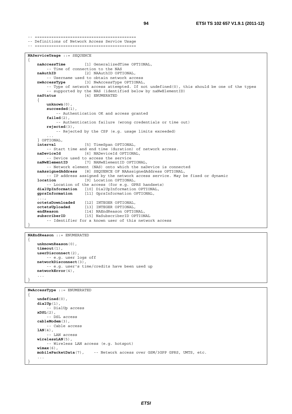-- =========================================== -- Definitions of Network Access Service Usage -- =========================================== **NAServiceUsage** ::= SEQUENCE { **naAccessTime** [1] GeneralizedTime OPTIONAL, -- Time of connection to the NAS<br>naAuthID [2] NAAuthID OPT **naAuthID** [2] NAAuthID OPTIONAL, -- Username used to obtain network access **nwAccessType** [3] NwAccessType OPTIONAL, -- Type of network access attempted. If not undefined(0), this should be one of the types -- supported by the NAS (identified below by naNwElementID) **naStatus** [4] ENUMERATED { **unknown**(0), **succeeded**(1), -- Authentication OK and access granted **failed**(2), -- Authentication failure (wrong credentials or time out) **rejected**(3), -- Rejected by the CSP (e.g. usage limits exceeded) ... } OPTIONAL, **interval** [5] TimeSpan OPTIONAL, -- Start time and end time (duration) of network access. **naDeviceId** [6] NADeviceId OPTIONAL, -- Device used to access the service **naNwElementID** [7] NANwElementID OPTIONAL, -- Network element (NAS) onto which the naDevice is connected **naAssignedAddress** [8] SEQUENCE OF NAAssignedAddress OPTIONAL, -- IP address assigned by the network access service. May be fixed or dynamic  **location** [9] Location OPTIONAL, -- Location of the access (for e.g. GPRS handsets) dialUpInformation [10] DialUpInformation OPTIONAL,<br>gprsInformation [11] GprsInformation OPTIONAL, [11] GprsInformation OPTIONAL, ...,  **octetsDownloaded** [12] INTEGER OPTIONAL, **octetsUploaded** [13] INTEGER OPTIONAL, **endReason** [14] NAEndReason OPTIONAL, **subscriberID** [14] NAEndReason OPTIONAL,<br> **subscriberID** [15] NaSubscriberID OPTIONAL

```
NAEndReason ::= ENUMERATED 
{ 
    unknownReason(0), 
    timeout(1), 
    userDisconnect(2), 
         -- e.g. user logs off 
    networkDisconnect(3), 
         -- e.g. user's time/credits have been used up 
    networkError(4), 
 ...
}
```
}

```
NwAccessType ::= ENUMERATED 
{ 
    undefined(0), 
    dialUp(1), 
          -- DialUp access 
    xDSL(2), 
          -- DSL access 
    cableModem(3), 
           -- Cable access 
    lAN(4), 
          -- LAN access 
    wirelessLAN(5), 
          -- Wireless LAN access (e.g. hotspot) 
    wimax(6), 
    mobilePacketData(7), -- Network access over GSM/3GPP GPRS, UMTS, etc. 
     ... 
}
```
-- Identifier for a known user of this network access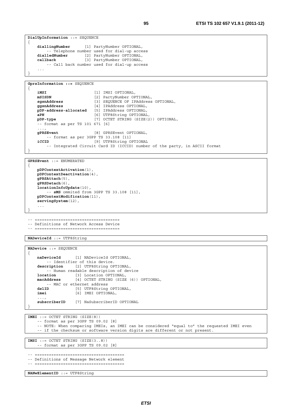```
DialUpInformation ::= SEQUENCE
{ 
   diallingNumber [1] PartyNumber OPTIONAL, 
        -- Telephone number used for dial-up access 
   dialledNumber [2] PartyNumber OPTIONAL, 
   callback [3] PartyNumber OPTIONAL, 
         -- Call back number used for dial-up access 
 ... 
}
```

```
GprsInformation ::= SEQUENCE
```
{

}

{

}

```
iMSI [1] IMSI OPTIONAL, 
  mSISDN [2] PartyNumber OPTIONAL, 
  sgsnAddress [3] SEQUENCE OF IPAddress OPTIONAL, 
                      [4] IPAddress OPTIONAL,
  pDP-address-allocated [5] IPAddress OPTIONAL, 
  aPN [6] UTF8String OPTIONAL, 
  pDP-type [7] OCTET STRING (SIZE(2)) OPTIONAL, 
    -- format as per TS 101 671 [6] 
 ..., 
   gPRSEvent [8] GPRSEvent OPTIONAL, 
      -- format as per 3GPP TS 33.108 [11] 
   iCCID [9] UTF8String OPTIONAL
       -- Integrated Circuit Card ID (ICCID) number of the party, in ASCII format
```

```
GPRSEvent ::= ENUMERATED
```

```
pDPContextActivation(1), 
pDPContextDeactivation(4), 
gPRSAttach(5), 
gPRSDetach(6), 
locationInfoUpdate(10), 
     -- sMS ommited from 3GPP TS 33.108 [11], 
 pDPContextModification(11), 
servingSystem(12), 
 ...
```
-- ==================================== -- Definitions of Network Access Device

-- ====================================

**NADeviceId** ::= UTF8String

```
NADevice ::= SEQUENCE 
\{naDeviceId [1] NADeviceId OPTIONAL, 
          -- Identifier of this device. 
    description [2] UTF8String OPTIONAL, 
         -- Human readable description of device 
    location [3] Location OPTIONAL, 
    macAddress [4] OCTET STRING (SIZE (6)) OPTIONAL, 
    -- MAC or ethernet address<br>dslID [5] UTF8String
    dslID [5] UTF8String OPTIONAL,<br>
imei [6] IMEI OPTIONAL,
                     imei [6] IMEI OPTIONAL, 
 ..., 
    subscriberID [7] NaSubscriberID OPTIONAL 
}
```
**IMEI** ::= OCTET STRING (SIZE(8)) -- format as per 3GPP TS 09.02 [8] -- NOTE: When comparing IMEIs, an IMEI can be considered "equal to" the requested IMEI even -- if the checksum or software version digits are different or not present. **IMSI** ::= OCTET STRING (SIZE(3..8))

-- format as per 3GPP TS 09.02 [8]

```
-- ======================================
```

```
-- Definitions of Message Network element 
-- ======================================
```
**NANwElementID** ::= UTF8String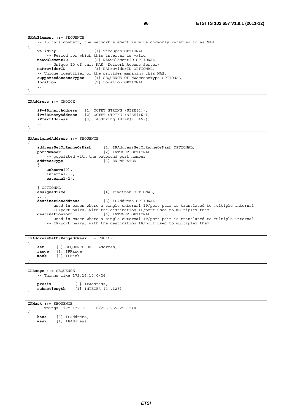```
NANwElement ::= SEQUENCE 
      -- In this context, the network element is more commonly referred to as NAS 
{ 
    validity [1] TimeSpan OPTIONAL, 
          -- Period for which this interval is valid 
    naNwElementID [2] NANwElementID OPTIONAL, 
    -- Unique ID of this NAS (Network Access Server)<br>naProviderID [3] NAProviderID OPTIONAL,
                                 naProviderID [3] NAProviderID OPTIONAL, 
    -- Unique identifier of the provider managing this NAS.<br>supportedAccessTypes [4] SEQUENCE OF NwAccessType OF
                                 [4] SEQUENCE OF NwAccessType OPTIONAL,
    location [5] Location OPTIONAL,
      ... 
}
```

```
IPAddress ::= CHOICE 
{
```
}

}

```
iPv4BinaryAddress [1] OCTET STRING (SIZE(4)), 
   iPv6BinaryAddress [2] OCTET STRING (SIZE(16)), 
   iPTextAddress [3] IA5String (SIZE(7..45)), 
 ...
```

```
NAAssignedAddress ::= SEQUENCE
```

```
{ 
    addressSetOrRangeOrMask [1] IPAddressSetOrRangeOrMask OPTIONAL, 
                                portNumber [2] INTEGER OPTIONAL, 
        -- populated with the outbound port number 
    addressType [3] ENUMERATED 
    { 
        unknown(0), 
        internal(1), 
        external(2), 
         ... 
    } OPTIONAL, 
                               [4] TimeSpan OPTIONAL,
 ..., 
   destinationAddress [5] IPAddress OPTIONAL, 
        -- used in cases where a single external IP/port pair is translated to multiple internal 
         -- IP/port pairs, with the destination IP/port used to multiplex them 
   destinationPort [6] INTEGER OPTIONAL 
         -- used in cases where a single external IP/port pair is translated to multiple internal 
         -- IP/port pairs, with the destination IP/port used to multiplex them 
}
```

```
IPAddressSetOrRangeOrMask ::= CHOICE 
{ 
     set [0] SEQUENCE OF IPAddress,<br>range [1] IPRange,
                range [1] IPRange, 
     mask [2] IPMask
```

```
IPRange ::= SEQUENCE 
     -- Things like 172.16.10.0/26 
{ 
    prefix [0] IPAddress, 
    subnetlength [1] INTEGER (1..128) 
}
```
**IPMask** ::= SEQUENCE -- Things like 172.16.10.0/255.255.255.240 {  **base** [0] IPAddress,  **mask** [1] IPAddress }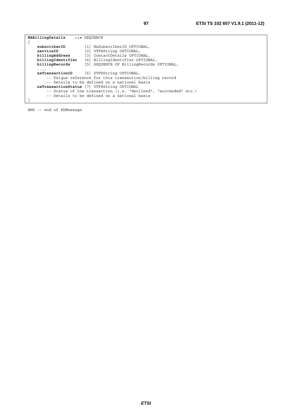| NABillingDetails  | $\cdot \cdot \cdot$ SEOUENCE                                                                                                                                                                                                                                                                                           |
|-------------------|------------------------------------------------------------------------------------------------------------------------------------------------------------------------------------------------------------------------------------------------------------------------------------------------------------------------|
|                   |                                                                                                                                                                                                                                                                                                                        |
| subscriberID      | [1] NaSubscriberID OPTIONAL,                                                                                                                                                                                                                                                                                           |
| serviceID         | [2] UTF8String OPTIONAL,                                                                                                                                                                                                                                                                                               |
| billingAddress    | [3] ContactDetails OPTIONAL,                                                                                                                                                                                                                                                                                           |
| billingIdentifier | [4] BillingIdentifier OPTIONAL,                                                                                                                                                                                                                                                                                        |
| billingRecords    | [5] SEQUENCE OF BillingRecords OPTIONAL,                                                                                                                                                                                                                                                                               |
| $\cdots$          | naTransactionID [6] UTF8String OPTIONAL,<br>-- Unique reference for this transaction/billing record<br>-- Details to be defined on a national basis<br>naTransactionStatus [7] UTF8String OPTIONAL<br>-- Status of the transaction (i.e. "declined", "succeeded" etc.)<br>-- Details to be defined on a national basis |

END -- end of RDMessage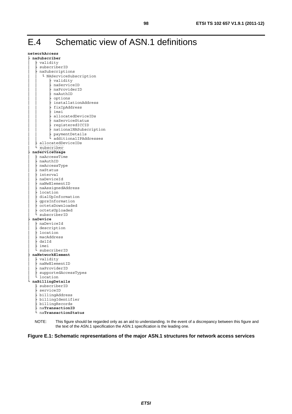# E.4 Schematic view of ASN.1 definitions

| networkAccess                      |
|------------------------------------|
| $\vdash$ <code>naSubscriber</code> |
| validity                           |
| subscriberID                       |
| naSubscriptions                    |
| Ļ<br>NAServiceSubscription         |
| validity                           |
| naServiceID                        |
|                                    |
| naProviderID                       |
| naAuthID                           |
| options                            |
| installationAddress                |
| fixIpAddress                       |
| - imsi                             |
| allocatedDeviceIDs                 |
| naServiceStatus                    |
| registeredICCID                    |
| nationalNASubscription             |
| paymentDetails                     |
| additionalIPAddresses              |
| allocatedDeviceIDs                 |
|                                    |
| subscriber                         |
| naServiceUsage                     |
| - naAccessTime                     |
| - naAuthID                         |
| nwAccessType                       |
| naStatus                           |
| interval                           |
| naDeviceId                         |
| naNwElementID                      |
| naAssignedAddress                  |
| location                           |
|                                    |
| dialUpInformation                  |
| gprsInformation                    |
| octetsDownloaded                   |
| octetsUploaded                     |
| subscriberID                       |
| naDevice                           |
| ⊦ naDeviceId                       |
| description                        |
| location                           |
| - macAddress                       |
| dslId                              |
| imei                               |
| subscriberID                       |
| naNetworkElement                   |
| ├ validity                         |
| - naNwElementID                    |
| naProviderID                       |
|                                    |
| supportedAccessTypes               |
| location                           |
| naBillingDetails                   |
| subscriberID                       |
| - serviceID                        |
| billingAddress                     |
| billingIdentifier                  |
| billingRecords                     |
| naTransactionID                    |
| naTransactionStatus                |
|                                    |

NOTE: This figure should be regarded only as an aid to understanding. In the event of a discrepancy between this figure and the text of the ASN.1 specification the ASN.1 specification is the leading one.

**Figure E.1: Schematic representations of the major ASN.1 structures for network access services**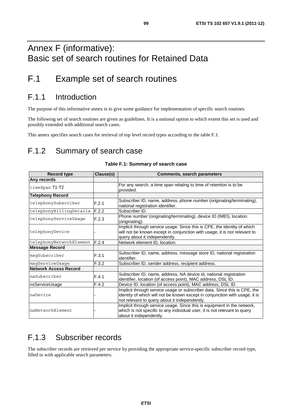# Annex F (informative): Basic set of search routines for Retained Data

# F.1 Example set of search routines

### F.1.1 Introduction

The purpose of this informative annex is to give some guidance for implementation of specific search routines.

The following set of search routines are given as guidelines. It is a national option to which extent this set is used and possibly extended with additional search cases.

This annex specifies search cases for retrieval of top level record types according to the table F.1.

## F.1.2 Summary of search case

| <b>Record type</b>           | Clause(s) | <b>Comments, search parameters</b>                                                                                                                                                                        |
|------------------------------|-----------|-----------------------------------------------------------------------------------------------------------------------------------------------------------------------------------------------------------|
| Any records                  |           |                                                                                                                                                                                                           |
| timeSpan T1-T2               |           | For any search, a time span relating to time of retention is to be<br>provided.                                                                                                                           |
| <b>Telephony Record</b>      |           |                                                                                                                                                                                                           |
| telephonySubscriber          | F.2.1     | Subscriber ID, name, address, phone number (originating/terminating),<br>national registration identifier.                                                                                                |
| telephonyBillingDetails      | F.2.2     | Subscriber ID.                                                                                                                                                                                            |
| telephonyServiceUsaqe        | F.2.3     | Phone number (originating/terminating), device ID (IMEI), location<br>(originating).                                                                                                                      |
| telephonyDevice              |           | Implicit through service usage. Since this is CPE, the identity of which<br>will not be known except in conjunction with usage, it is not relevant to<br>query about it independently.                    |
| telephonyNetworkElement      | F.2.4     | Network element ID, location.                                                                                                                                                                             |
| <b>Message Record</b>        |           |                                                                                                                                                                                                           |
| msqSubscriber                | F.3.1     | Subscriber ID, name, address, message store ID, national registration<br>identifier.                                                                                                                      |
| msgServiceUsage              | F.3.2     | Subscriber ID, sender address, recipient address.                                                                                                                                                         |
| <b>Network Access Record</b> |           |                                                                                                                                                                                                           |
| naSubscriber                 | F.4.1     | Subscriber ID, name, address, NA device id, national registration<br>identifier, location (of access point), MAC address, DSL ID.                                                                         |
| nsServiceUsage               | F.4.2     | Device ID, location (of access point), MAC address, DSL ID.                                                                                                                                               |
| naDevice                     |           | Implicit through service usage or subscriber data. Since this is CPE, the<br>identity of which will not be known except in conjunction with usage, it is<br>not relevant to query about it independently. |
| naNetworkElement             |           | Implicit through service usage. Since this is equipment in the network,<br>which is not specific to any individual user, it is not relevant to query<br>about it independently.                           |

#### **Table F.1: Summary of search case**

### F.1.3 Subscriber records

The subscriber records are retrieved per service by providing the appropriate service-specific subscriber record type, filled in with applicable search parameters.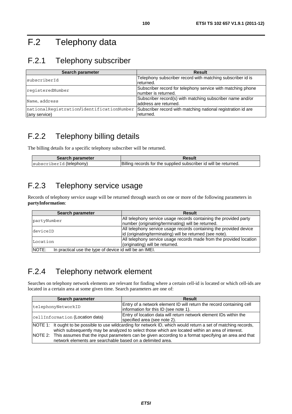# F.2 Telephony data

# F.2.1 Telephony subscriber

| Search parameter                                           | <b>Result</b>                                                                       |
|------------------------------------------------------------|-------------------------------------------------------------------------------------|
| subscriberId                                               | Telephony subscriber record with matching subscriber id is<br>returned.             |
| reqisteredNumber                                           | Subscriber record for telephony service with matching phone<br>Inumber is returned. |
| Name, address                                              | Subscriber record(s) with matching subscriber name and/or<br>laddress are returned. |
| nationalRegistration/identificationNumber<br>(any service) | Subscriber record with matching national registration id are<br>returned.           |

## F.2.2 Telephony billing details

The billing details for a specific telephony subscriber will be returned.

| Search parameter                            | Result                                                           |
|---------------------------------------------|------------------------------------------------------------------|
| (telephony)<br>Isubscri<br>her <sup>-</sup> | Billing records for the supplied subscriber id will be returned. |

## F.2.3 Telephony service usage

Records of telephony service usage will be returned through search on one or more of the following parameters in **partyInformation**:

| Search parameter                                                 | <b>Result</b>                                                       |
|------------------------------------------------------------------|---------------------------------------------------------------------|
| partyNumber                                                      | All telephony service usage records containing the provided party   |
|                                                                  | number (originating/terminating) will be returned.                  |
| deviceID                                                         | All telephony service usage records containing the provided device  |
|                                                                  | lid (originating/terminating) will be returned (see note).          |
| Location                                                         | All telephony service usage records made from the provided location |
|                                                                  | (originating) will be returned.                                     |
| NOTE:<br>In practical use the type of device id will be an IMEI. |                                                                     |

### F.2.4 Telephony network element

Searches on telephony network elements are relevant for finding where a certain cell-id is located or which cell-ids are located in a certain area at some given time. Search parameters are one of:

| Search parameter                                                                                                                                                            | <b>Result</b>                                                                                                 |
|-----------------------------------------------------------------------------------------------------------------------------------------------------------------------------|---------------------------------------------------------------------------------------------------------------|
| telephonyNetworkID                                                                                                                                                          | Entry of a network element ID will return the record containing cell<br>information for this ID (see note 1). |
|                                                                                                                                                                             |                                                                                                               |
| cellInformation (Location data)                                                                                                                                             | Entry of location data will return network element IDs within the<br>specified area (see note 2).             |
| NOTE 1: It ought to be possible to use wildcarding for network ID, which would return a set of matching records,                                                            |                                                                                                               |
| which subsequently may be analyzed to select those which are located within an area of interest.                                                                            |                                                                                                               |
| NOTE 2: This assumes that the input parameters can be given according to a format specifying an area and that<br>network elements are searchable based on a delimited area. |                                                                                                               |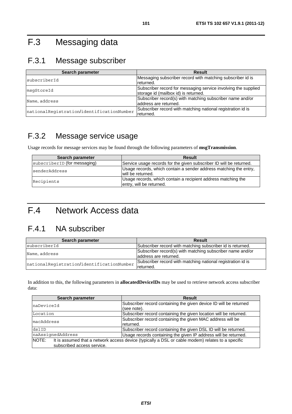# F.3 Messaging data

# F.3.1 Message subscriber

| Search parameter                          | <b>Result</b>                                                                                          |
|-------------------------------------------|--------------------------------------------------------------------------------------------------------|
| subscriberId                              | Messaging subscriber record with matching subscriber id is<br>returned.                                |
| msqStoreId                                | Subscriber record for messaging service involving the supplied<br>storage id (mailbox id) is returned. |
| Name, address                             | Subscriber record(s) with matching subscriber name and/or<br>laddress are returned.                    |
| nationalRegistration/identificationNumber | Subscriber record with matching national registration id is<br>returned.                               |

## F.3.2 Message service usage

Usage records for message services may be found through the following parameters of **msgTransmission**.

| Search parameter             | <b>Result</b>                                                                             |
|------------------------------|-------------------------------------------------------------------------------------------|
| subscriberID (for messaging) | Service usage records for the given subscriber ID will be returned.                       |
| senderAddress                | Usage records, which contain a sender address matching the entry,<br>will be returned.    |
| Recipients                   | Usage records, which contain a recipient address matching the<br>entry, will be returned. |

# F.4 Network Access data

## F.4.1 NA subscriber

| Search parameter                          | <b>Result</b>                                               |
|-------------------------------------------|-------------------------------------------------------------|
| subscriberId                              | Subscriber record with matching subscriber id is returned.  |
|                                           | Subscriber record(s) with matching subscriber name and/or   |
| Name, address                             | laddress are returned.                                      |
| nationalRegistration/identificationNumber | Subscriber record with matching national registration id is |
|                                           | Ireturned.                                                  |

In addition to this, the following parameters in **allocatedDeviceIDs** may be used to retrieve network access subscriber data:

| Search parameter           | <b>Result</b>                                                                                     |
|----------------------------|---------------------------------------------------------------------------------------------------|
| naDeviceId                 | Subscriber record containing the given device ID will be returned                                 |
|                            | (see note).                                                                                       |
| Location                   | Subscriber record containing the given location will be returned.                                 |
| macAddress                 | Subscriber record containing the given MAC address will be                                        |
|                            | returned.                                                                                         |
| dslID                      | Subscriber record containing the given DSL ID will be returned.                                   |
| naAssignedAddress          | Usage records containing the given IP address will be returned.                                   |
| NOTE:                      | It is assumed that a network access device (typically a DSL or cable modem) relates to a specific |
| subscribed access service. |                                                                                                   |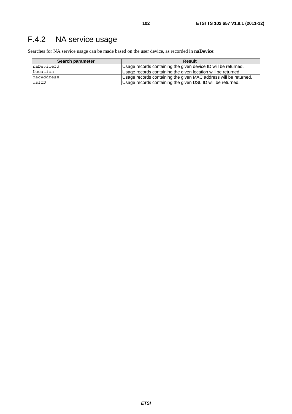# F.4.2 NA service usage

Searches for NA service usage can be made based on the user device, as recorded in **naDevice**:

| Search parameter | <b>Result</b>                                                    |
|------------------|------------------------------------------------------------------|
| naDeviceId       | Usage records containing the given device ID will be returned.   |
| Location         | Usage records containing the given location will be returned.    |
| macAddress       | Usage records containing the given MAC address will be returned. |
| dslID            | Usage records containing the given DSL ID will be returned.      |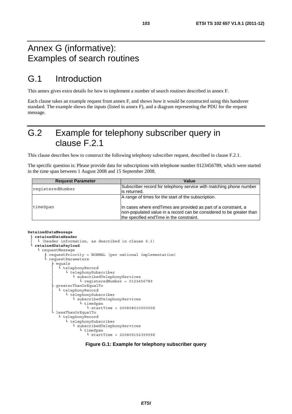## Annex G (informative): Examples of search routines

## G.1 Introduction

This annex gives extra details for how to implement a number of search routines described in annex F.

Each clause takes an example request from annex F, and shows how it would be constructed using this handover standard. The example shows the inputs (listed in annex F), and a diagram representing the PDU for the request message.

## G.2 Example for telephony subscriber query in clause F.2.1

This clause describes how to construct the following telephony subscriber request, described in clause F.2.1.

The specific question is: Please provide data for subscriptions with telephone number 0123456789, which were started in the time span between 1 August 2008 and 15 September 2008.

| <b>Request Parameter</b> | Value                                                                                                                                                                                                                                        |
|--------------------------|----------------------------------------------------------------------------------------------------------------------------------------------------------------------------------------------------------------------------------------------|
| reqisteredNumber         | Subscriber record for telephony service with matching phone number<br>lis returned.                                                                                                                                                          |
| timeSpan                 | A range of times for the start of the subscription.<br>In cases where end Times are provided as part of a constraint, a<br>non-populated value in a record can be considered to be greater than<br>the specified end Time in the constraint. |

#### **RetainedDataMessage**

```
├ retainedDataHeader
  │ └ (header information, as described in clause 6.1) 
 └ retainedDataPayload
   └ requestMessage 
       ├ requestPriority = NORMAL (per national implementation) 
       requestParameters
           equals
             L telephonyRecord
               L telephonySubscriber
                   L subscribedTelephonyServices
                       │ └ registeredNumber = 0123456789 
           greaterThanOrEqualTo
              │ └ telephonyRecord 
                 │ └ telephonySubscriber 
                    │ └ subscribedTelephonyServices 
                       │ └ timeSpan 
                          L \text{ startTime} = 200808010000000ZlessThanOrEqualTo
             └ telephonyRecord 
                L telephonySubscriber
                    └ subscribedTelephonyServices 
                       └ timeSpan 
                          L startTime = 20080915235959Z
```
#### **Figure G.1: Example for telephony subscriber query**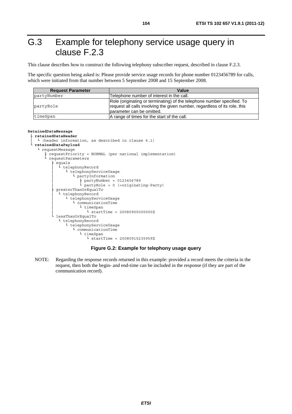# G.3 Example for telephony service usage query in clause F.2.3

This clause describes how to construct the following telephony subscriber request, described in clause F.2.3.

The specific question being asked is: Please provide service usage records for phone number 0123456789 for calls, which were initiated from that number between 5 September 2008 and 15 September 2008.

| <b>Request Parameter</b> | Value                                                                                                                                                                               |
|--------------------------|-------------------------------------------------------------------------------------------------------------------------------------------------------------------------------------|
| partyNumber              | Telephone number of interest in the call.                                                                                                                                           |
| partyRole                | Role (originating or terminating) of the telephone number specified. To<br>request all calls involving the given number, regardless of its role, this<br>lparameter can be omitted. |
| timeSpan                 | A range of times for the start of the call.                                                                                                                                         |

#### **RetainedDataMessage**

```
├ retainedDataHeader 
   L (header information, as described in clause 6.1)
  retainedDataPayload<br>L requestMessaqe
L requestMessage
 ├ requestPriority = NORMAL (per national implementation) 
         requestParameters
             equals
              L telephonyRecord
                  L telephonyServiceUsage
                      │ └ partyInformation 
\frac{1}{2} partyNumber = 0123456789
\begin{bmatrix} \text{L} \\ \text{partyRole} = 0 \end{bmatrix} (=originating-Party)
            greaterThanOrEqualTo
               │ └ telephonyRecord 
                  │ └ telephonyServiceUsage 
                      │ └ communicationTime 
                         │ └ timeSpan 
                            │ └ startTime = 20080905000000Z 
             └ lessThanOrEqualTo 
              L telephonyRecord
                 L telephonyServiceUsage
                     L communicationTime
                        L timeSpan
                            L \text{ startTime} = 20080915235959Z
```
#### **Figure G.2: Example for telephony usage query**

NOTE: Regarding the response records returned in this example: provided a record meets the criteria in the request, then both the begin- and end-time can be included in the response (if they are part of the communication record).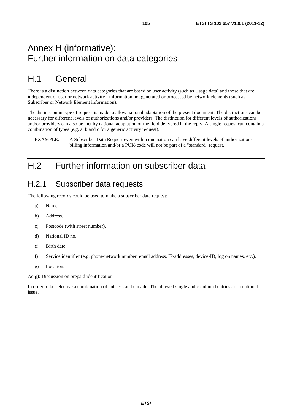# H.1 General

There is a distinction between data categories that are based on user activity (such as Usage data) and those that are independent of user or network activity - information not generated or processed by network elements (such as Subscriber or Network Element information).

The distinction in type of request is made to allow national adaptation of the present document. The distinctions can be necessary for different levels of authorizations and/or providers. The distinction for different levels of authorizations and/or providers can also be met by national adaptation of the field delivered in the reply. A single request can contain a combination of types (e.g. a, b and c for a generic activity request).

# H.2 Further information on subscriber data

### H.2.1 Subscriber data requests

The following records could be used to make a subscriber data request:

- a) Name.
- b) Address.
- c) Postcode (with street number).
- d) National ID no.
- e) Birth date.
- f) Service identifier (e.g. phone/network number, email address, IP-addresses, device-ID, log on names, etc.).
- g) Location.

Ad g): Discussion on prepaid identification.

In order to be selective a combination of entries can be made. The allowed single and combined entries are a national issue.

EXAMPLE: A Subscriber Data Request even within one nation can have different levels of authorizations: billing information and/or a PUK-code will not be part of a "standard" request.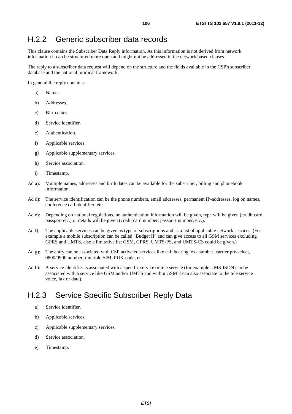### H.2.2 Generic subscriber data records

This clause contains the Subscriber Data Reply information. As this information is not derived from network information it can be structured more open and might not be addressed in the network based clauses.

The reply to a subscriber data request will depend on the structure and the fields available in the CSP's subscriber database and the national juridical framework.

In general the reply contains:

- a) Names.
- b) Addresses.
- c) Birth dates.
- d) Service identifier.
- e) Authentication.
- f) Applicable services.
- g) Applicable supplementary services.
- h) Service association.
- i) Timestamp.
- Ad a): Multiple names, addresses and birth dates can be available for the subscriber, billing and phonebook information.
- Ad d): The service identification can be the phone numbers, email addresses, permanent IP-addresses, log on names, conference call identifier, etc.
- Ad e): Depending on national regulations, no authentication information will be given, type will be given (credit card, passport etc.) or details will be given (credit card number, passport number, etc.).
- Ad f): The applicable services can be given as type of subscriptions and as a list of applicable network services. (For example a mobile subscription can be called "Budget II" and can give access to all GSM services excluding GPRS and UMTS, also a limitative list GSM, GPRS, UMTS-PS, and UMTS-CS could be given.)
- Ad g): The entry can be associated with CSP activated services like call bearing, ex- number, carrier pre-select, 0800/0900 number, multiple SIM, PUK-code, etc.
- Ad h): A service identifier is associated with a specific service or tele service (for example a MS-ISDN can be associated with a service like GSM and/or UMTS and within GSM it can also associate to the tele service voice, fax or data).

### H.2.3 Service Specific Subscriber Reply Data

- a) Service identifier.
- b) Applicable services.
- c) Applicable supplementary services.
- d) Service association.
- e) Timestamp.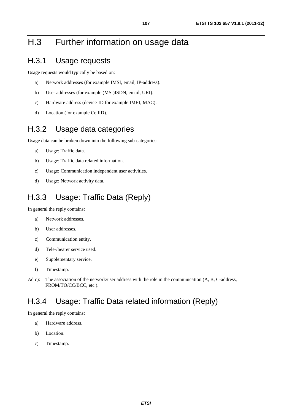# H.3 Further information on usage data

### H.3.1 Usage requests

Usage requests would typically be based on:

- a) Network addresses (for example IMSI, email, IP-address).
- b) User addresses (for example (MS-)ISDN, email, URI).
- c) Hardware address (device-ID for example IMEI, MAC).
- d) Location (for example CellID).

#### H.3.2 Usage data categories

Usage data can be broken down into the following sub-categories:

- a) Usage: Traffic data.
- b) Usage: Traffic data related information.
- c) Usage: Communication independent user activities.
- d) Usage: Network activity data.

### H.3.3 Usage: Traffic Data (Reply)

In general the reply contains:

- a) Network addresses.
- b) User addresses.
- c) Communication entity.
- d) Tele-/bearer service used.
- e) Supplementary service.
- f) Timestamp.
- Ad c): The association of the network/user address with the role in the communication (A, B, C-address, FROM/TO/CC/BCC, etc.).

#### H.3.4 Usage: Traffic Data related information (Reply)

In general the reply contains:

- a) Hardware address.
- b) Location.
- c) Timestamp.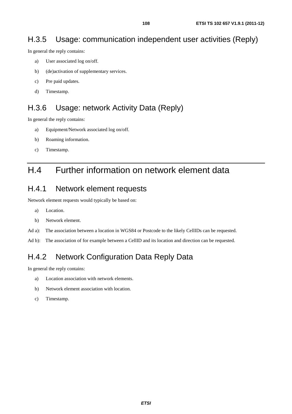### H.3.5 Usage: communication independent user activities (Reply)

In general the reply contains:

- a) User associated log on/off.
- b) (de)activation of supplementary services.
- c) Pre paid updates.
- d) Timestamp.

### H.3.6 Usage: network Activity Data (Reply)

In general the reply contains:

- a) Equipment/Network associated log on/off.
- b) Roaming information.
- c) Timestamp.

## H.4 Further information on network element data

#### H.4.1 Network element requests

Network element requests would typically be based on:

- a) Location.
- b) Network element.
- Ad a): The association between a location in WGS84 or Postcode to the likely CellIDs can be requested.
- Ad b): The association of for example between a CellID and its location and direction can be requested.

### H.4.2 Network Configuration Data Reply Data

In general the reply contains:

- a) Location association with network elements.
- b) Network element association with location.
- c) Timestamp.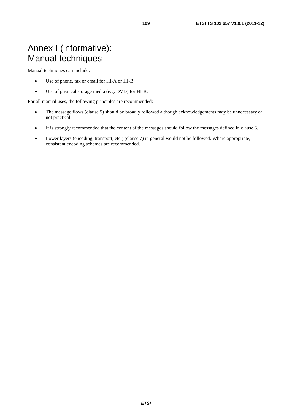Manual techniques can include:

- Use of phone, fax or email for HI-A or HI-B.
- Use of physical storage media (e.g. DVD) for HI-B.

For all manual uses, the following principles are recommended:

- The message flows (clause 5) should be broadly followed although acknowledgements may be unnecessary or not practical.
- It is strongly recommended that the content of the messages should follow the messages defined in clause 6.
- Lower layers (encoding, transport, etc.) (clause 7) in general would not be followed. Where appropriate, consistent encoding schemes are recommended.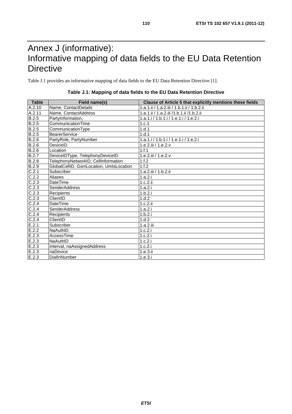## Annex J (informative): Informative mapping of data fields to the EU Data Retention **Directive**

Table J.1 provides an informative mapping of data fields to the EU Data Retention Directive [1].

| Table        | Field name(s)                           | Clause of Article 5 that explicitly mentions these fields |
|--------------|-----------------------------------------|-----------------------------------------------------------|
| A.2.10       | Name, ContactDetails                    | 1.a.1.ii / 1.a.2.iii / 1.b.1.ii / 1.b.2.ii                |
| A.2.11       | Name, ContactAddress                    | 1.a.1.ii / 1.a.2.iii /1.b.1.ii /1.b.2.ii                  |
| <b>B.2.5</b> | PartyInformation,                       | 1.a.1.i / 1.b.1.i / 1.e.1.i / 1.e.2.i                     |
| B.2.5        | CommunicationTime                       | 1.c.1                                                     |
| B.2.5        | CommunicationType                       | 1.d.1                                                     |
| <b>B.2.5</b> | <b>BearerService</b>                    | 1.d.1                                                     |
| B.2.6        | PartyRole, PartyNumber                  | 1.a.1.i/1.b.1.i/1.e.1.i/1.e.2.i                           |
| B.2.6        | DeviceID                                | 1.e.2.iii / 1.e.2.v                                       |
| B.2.6        | Location                                | 1.f.1                                                     |
| B.2.7        | DeviceIDType, TelephonyDeviceID         | 1.e.2.iii / 1.e.2.v                                       |
| B.2.8        | TelephonyNetworkID, CellInformation     | 1.f.2                                                     |
| B.2.9        | GlobalCellID, GsmLocation, UmtsLocation | 1.f.2                                                     |
| C.2.1        | Subscriber                              | 1.a.2.iii / 1.b.2.ii                                      |
| C.2.2        | <b>Aliases</b>                          | 1.a.2.i                                                   |
| C.2.3        | DateTime                                | 1.c.2.ii                                                  |
| C.2.3        | <b>SenderAddress</b>                    | 1.a.2.i                                                   |
| C.2.3        | Recipients                              | 1.b.2.i                                                   |
| C.2.3        | ClientID                                | 1.d.2                                                     |
| C.2.4        | DateTime                                | 1.c.2.ii                                                  |
| C.2.4        | <b>SenderAddress</b>                    | 1.a.2.i                                                   |
| C.2.4        | Recipients                              | 1.b.2.i                                                   |
| C.2.4        | ClientID                                | 1.d.2                                                     |
| E.2.1        | Subscriber                              | 1.a.2.iii                                                 |
| E.2.2        | NaAuthID                                | 1.c.2.i                                                   |
| E.2.3        | AccessTime                              | 1.c.2.i                                                   |
| E.2.3        | NaAuthID                                | 1.c.2.i                                                   |
| E.2.3        | Interval, naAssignedAddress             | 1.c.2.i                                                   |
| E.2.3        | naDevice                                | 1.e.3.ii                                                  |
| E.2.3        | DiallnNumber                            | 1.e.3.i                                                   |

#### **Table J.1: Mapping of data fields to the EU Data Retention Directive**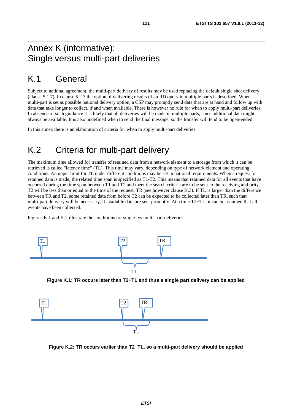### Annex K (informative): Single versus multi-part deliveries

## K.1 General

Subject to national agreement, the multi-part delivery of results may be used replacing the default single shot delivery (clause 5.1.7). In clause 5.2.3 the option of delivering results of an RD query in multiple parts is described. When multi-part is set as possible national delivery option, a CSP may promptly send data that are at hand and follow up with data that take longer to collect, if and when available. There is however no rule for when to apply multi-part deliveries. In absence of such guidance it is likely that all deliveries will be made in multiple parts, since additional data might always be available. It is also undefined when to send the final message, so the transfer will tend to be open-ended.

In this annex there is an elaboration of criteria for when to apply multi-part deliveries.

## K.2 Criteria for multi-part delivery

The maximum time allowed for transfer of retained data from a network element to a storage from which it can be retrieved is called "latency time" (TL). This time may vary, depending on type of network element and operating conditions. An upper limit for TL under different conditions may be set in national requirements. When a request for retained data is made, the related time span is specified as T1-T2. This means that retained data for all events that have occurred during the time span between T1 and T2 and meet the search criteria are to be sent to the receiving authority. T2 will be less than or equal to the time of the request, TR (see however clause K.3). If TL is larger than the difference between TR and T2, some retained data from before T2 can be expected to be collected later than TR, such that multi-part delivery will be necessary, if available data are sent promptly. At a time T2+TL, it can be assumed that all events have been collected.

Figures K.1 and K.2 illustrate the conditions for single- vs multi-part deliveries.



**Figure K.1: TR occurs later than T2+TL and thus a single part delivery can be applied** 



**Figure K.2: TR occurs earlier than T2+TL, so a multi-part delivery should be applied**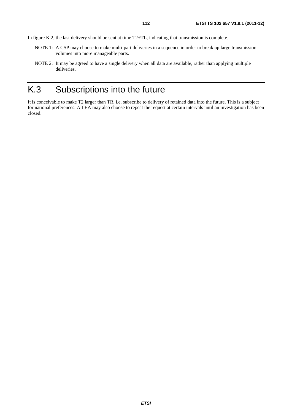In figure K.2, the last delivery should be sent at time T2+TL, indicating that transmission is complete.

- NOTE 1: A CSP may choose to make multi-part deliveries in a sequence in order to break up large transmission volumes into more manageable parts.
- NOTE 2: It may be agreed to have a single delivery when all data are available, rather than applying multiple deliveries.

## K.3 Subscriptions into the future

It is conceivable to make T2 larger than TR, i.e. subscribe to delivery of retained data into the future. This is a subject for national preferences. A LEA may also choose to repeat the request at certain intervals until an investigation has been closed.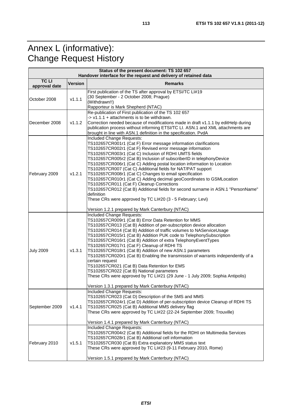## Annex L (informative): Change Request History

| Status of the present document: TS 102 657<br>Handover interface for the request and delivery of retained data |        |                                                                                                                                                                                                                                                                                                                                                                                                                                                                                                                                                                                                                                                                                                                                                                                                                                         |  |  |  |
|----------------------------------------------------------------------------------------------------------------|--------|-----------------------------------------------------------------------------------------------------------------------------------------------------------------------------------------------------------------------------------------------------------------------------------------------------------------------------------------------------------------------------------------------------------------------------------------------------------------------------------------------------------------------------------------------------------------------------------------------------------------------------------------------------------------------------------------------------------------------------------------------------------------------------------------------------------------------------------------|--|--|--|
| <b>TCLI</b><br><b>Version</b><br><b>Remarks</b>                                                                |        |                                                                                                                                                                                                                                                                                                                                                                                                                                                                                                                                                                                                                                                                                                                                                                                                                                         |  |  |  |
| approval date                                                                                                  |        |                                                                                                                                                                                                                                                                                                                                                                                                                                                                                                                                                                                                                                                                                                                                                                                                                                         |  |  |  |
| October 2008                                                                                                   | v1.1.1 | First publication of the TS after approval by ETSI/TC LI#19<br>(30 September - 2 October 2008; Prague)<br>(Withdrawn!!)<br>Rapporteur is Mark Shepherd (NTAC)                                                                                                                                                                                                                                                                                                                                                                                                                                                                                                                                                                                                                                                                           |  |  |  |
| December 2008                                                                                                  | v1.1.2 | Re-publication of First publication of the TS 102 657<br>$\rightarrow$ v1.1.1 + attachments is to be withdrawn.<br>Correction needed because of modifications made in draft v1.1.1 by editHelp during<br>publication process without informing ETSI/TC LI. ASN.1 and XML attachments are<br>brought in line with ASN.1 definition in the specification. PvdA                                                                                                                                                                                                                                                                                                                                                                                                                                                                            |  |  |  |
| February 2009                                                                                                  | v1.2.1 | Included Change Requests:<br>TS102657CR001r1 (Cat F) Error message information clarifications<br>TS102657CR002r1 (Cat F) Revised error message information<br>TS102657CR003r1 (Cat C) Inclusion of RDHI UMTS fields<br>TS102657CR005r2 (Cat B) Inclusion of subscriberID in telephonyDevice<br>TS102657CR006r1 (Cat C) Adding postal location information to Location<br>TS102657CR007 (Cat C) Additional fields for NAT/PAT support<br>TS102657CR008r1 (Cat C) Changes to email specification<br>TS102657CR010r1 (Cat C) Adding decimal geoCoordinates to GSMLocation<br>TS102657CR011 (Cat F) Cleanup Corrections<br>TS102657CR012 (Cat B) Additional fields for second surname in ASN.1 "PersonName"<br>definition<br>These CRs were approved by TC LI#20 (3 - 5 February; Levi)<br>Version 1.2.1 prepared by Mark Canterbury (NTAC) |  |  |  |
| <b>July 2009</b>                                                                                               | v1.3.1 | Included Change Requests:<br>TS102657CR009r1 (Cat B) Error Data Retention for MMS<br>TS102657CR013 (Cat B) Addition of per-subscription device allocation<br>TS102657CR014 (Cat B) Addition of traffic volumes to NAServiceUsage<br>TS102657CR015r1 (Cat B) Addition PUK code to TelephonySubscription<br>TS102657CR016r1 (Cat B) Addition of extra TelephonyEventTypes<br>TS102657CR017r1 (Cat F) Cleanup of RDHI TS<br>TS102657CR018r1 (Cat B) Addition of new ASN.1 parameters<br>TS102657CR020r1 (Cat B) Enabling the transmission of warrants independently of a<br>certain request<br>TS102657CR021 (Cat B) Data Retention for EMS<br>TS102657CR022 (Cat B) National parameters<br>These CRs were approved by TC LI#21 (29 June - 1 July 2009; Sophia Antipolis)<br>Version 1.3.1 prepared by Mark Canterbury (NTAC)              |  |  |  |
| September 2009                                                                                                 | V1.4.1 | Included Change Requests:<br>TS102657CR023 (Cat D) Description of the SMS and MMS<br>TS102657CR024r1 (Cat D) Addition of per-subscription device Cleanup of RDHI TS<br>TS102657CR025 (Cat B) Additional MMS delivery flag<br>These CRs were approved by TC LI#22 (22-24 September 2009; Trouville)<br>Version 1.4.1 prepared by Mark Canterbury (NTAC)                                                                                                                                                                                                                                                                                                                                                                                                                                                                                  |  |  |  |
| February 2010                                                                                                  | v1.5.1 | Included Change Requests:<br>TS102657CR004r2 (Cat B) Additional fields for the RDHI on Multimedia Services<br>TS102657CR028r1 (Cat B) Additional cell information<br>TS102657CR030 (Cat B) Extra explanatory MMS status text<br>These CRs were approved by TC LI#23 (9-11 February 2010, Rome)<br>Version 1.5.1 prepared by Mark Canterbury (NTAC)                                                                                                                                                                                                                                                                                                                                                                                                                                                                                      |  |  |  |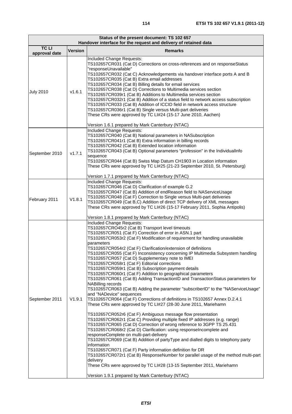è

| Status of the present document: TS 102 657<br>Handover interface for the request and delivery of retained data |                |                                                                                                                                                                                                                                                                                                                                                                                                                                                                                                                                                                                                                                                                                                                                                                                                                                                                                                                                                                                                                                                                                                                                                                                                                                                                                                                                                                                                                                                                                                                                                                                                                                                                                                                                          |  |  |  |
|----------------------------------------------------------------------------------------------------------------|----------------|------------------------------------------------------------------------------------------------------------------------------------------------------------------------------------------------------------------------------------------------------------------------------------------------------------------------------------------------------------------------------------------------------------------------------------------------------------------------------------------------------------------------------------------------------------------------------------------------------------------------------------------------------------------------------------------------------------------------------------------------------------------------------------------------------------------------------------------------------------------------------------------------------------------------------------------------------------------------------------------------------------------------------------------------------------------------------------------------------------------------------------------------------------------------------------------------------------------------------------------------------------------------------------------------------------------------------------------------------------------------------------------------------------------------------------------------------------------------------------------------------------------------------------------------------------------------------------------------------------------------------------------------------------------------------------------------------------------------------------------|--|--|--|
| <b>TCLI</b>                                                                                                    |                |                                                                                                                                                                                                                                                                                                                                                                                                                                                                                                                                                                                                                                                                                                                                                                                                                                                                                                                                                                                                                                                                                                                                                                                                                                                                                                                                                                                                                                                                                                                                                                                                                                                                                                                                          |  |  |  |
| approval date                                                                                                  | <b>Version</b> | <b>Remarks</b>                                                                                                                                                                                                                                                                                                                                                                                                                                                                                                                                                                                                                                                                                                                                                                                                                                                                                                                                                                                                                                                                                                                                                                                                                                                                                                                                                                                                                                                                                                                                                                                                                                                                                                                           |  |  |  |
| <b>July 2010</b>                                                                                               | v1.6.1         | Included Change Requests:<br>TS102657CR031 (Cat D) Corrections on cross-references and on responseStatus<br>"responseUnavailable"<br>TS102657CR032 (Cat C) Acknowledgements via handover interface ports A and B<br>TS102657CR035 (Cat B) Extra email addresses<br>TS102657CR034 (Cat B) Billing details for email services<br>TS102657CR038 (Cat D) Corrections to Multimedia services section<br>TS102657CR039r1 (Cat B) Additions to Multimedia services section<br>TS102657CR032r1 (Cat B) Addition of a status field to network access subscription<br>TS102657CR033 (Cat B) Addition of ICCID field in network access structure<br>TS102657CR036r1 (Cat B) Single versus Multi-part deliveries<br>These CRs were approved by TC LI#24 (15-17 June 2010, Aachen)<br>Version 1.6.1 prepared by Mark Canterbury (NTAC)                                                                                                                                                                                                                                                                                                                                                                                                                                                                                                                                                                                                                                                                                                                                                                                                                                                                                                                |  |  |  |
| September 2010                                                                                                 | v1.7.1         | Included Change Requests:<br>TS102657CR040 (Cat B) National parameters in NASubscription<br>TS102657CR041r1 (Cat B) Extra information in billing records<br>TS102657CR042 (Cat B) Extended location information<br>TS102657CR043 (Cat B) Optional parameters "profession" in the IndividualInfo<br>sequence<br>TS102657CR044 (Cat B) Swiss Map Datum CH1903 in Location information<br>These CRs were approved by TC LI#25 (21-23 September 2010, St. Petersburg)<br>Version 1.7.1 prepared by Mark Canterbury (NTAC)                                                                                                                                                                                                                                                                                                                                                                                                                                                                                                                                                                                                                                                                                                                                                                                                                                                                                                                                                                                                                                                                                                                                                                                                                    |  |  |  |
| February 2011                                                                                                  | V1.8.1         | Included Change Requests:<br>TS102657CR046 (Cat D) Clarification of example G.2<br>TS102657CR047 (Cat B) Addition of endReason field to NAServiceUsage<br>TS102657CR048 (Cat F) Correction to Single versus Multi-part deliveries<br>TS102657CR049 (Cat B,C) Addition of direct TCP delivery of XML messages<br>These CRs were approved by TC LI#26 (15-17 February 2011, Sophia Antipolis)<br>Version 1.8.1 prepared by Mark Canterbury (NTAC)                                                                                                                                                                                                                                                                                                                                                                                                                                                                                                                                                                                                                                                                                                                                                                                                                                                                                                                                                                                                                                                                                                                                                                                                                                                                                          |  |  |  |
| September 2011                                                                                                 | V1.9.1         | Included Change Requests:<br>TS102657CRO45r2 (Cat B) Transport level timeouts<br>TS102657CR051 (Cat F) Correction of error in ASN.1 part<br>TS102657CR053r2 (Cat F) Modification of requirement for handling unavailable<br>parameters<br>TS102657CR054r2 (Cat F) Clarification/extension of definitions<br>TS102657CR055 (Cat F) Inconsistency concerning IP Multimedia Subsystem handling<br>TS102657CR057 (Cat D) Supplementary note to IMEI<br>TS102657CR058r1 (Cat F) Editorial corrections<br>TS102657CR059r1 (Cat B) Subscription payment details<br>TS102657CR060r1 (Cat F) Addition to geographical parameters<br>TS102657CR061 (Cat B) Adding TransactionID and TransactionStatus parameters for<br>NABilling records<br>TS102657CR063 (Cat B) Adding the parameter "subscriberID" to the "NAServiceUsage"<br>and "NADevice" sequences<br>TS102657CR064 (Cat F) Corrections of definitions in TS102657 Annex D.2.4.1<br>These CRs were approved by TC LI#27 (28-30 June 2011, Mariehamn<br>TS102657CR052r6 (Cat F) Ambiguous message flow presentation<br>TS102657CR062r1 (Cat C) Providing multiple fixed IP addresses (e.g. range)<br>TS102657CR065 (Cat D) Correction of wrong reference to 3GPP TS 25.431<br>TS102657CR068r2 (Cat D) Clarification: using responseIncomplete and<br>responseComplete on multi-part-delivery<br>TS102657CR069 (Cat B) Addition of partyType and dialled digits to telephony party<br>information<br>TS102657CR071 (Cat F) Party information definition for DR<br>TS102657CR072r1 (Cat B) ResponseNumber for parallel usage of the method multi-part<br>delivery<br>These CRs were approved by TC LI#28 (13-15 September 2011, Mariehamn<br>Version 1.9.1 prepared by Mark Canterbury (NTAC) |  |  |  |